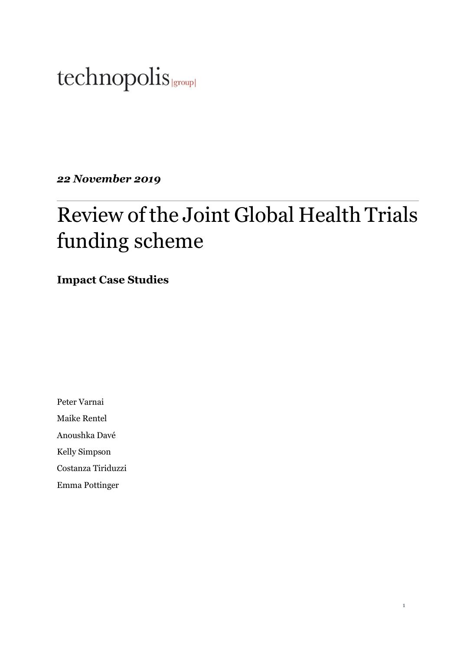# technopolis |group|

*22 November 2019*

# Review of the Joint Global Health Trials funding scheme

**Impact Case Studies**

Peter Varnai

Maike Rentel

Anoushka Davé

Kelly Simpson

Costanza Tiriduzzi

Emma Pottinger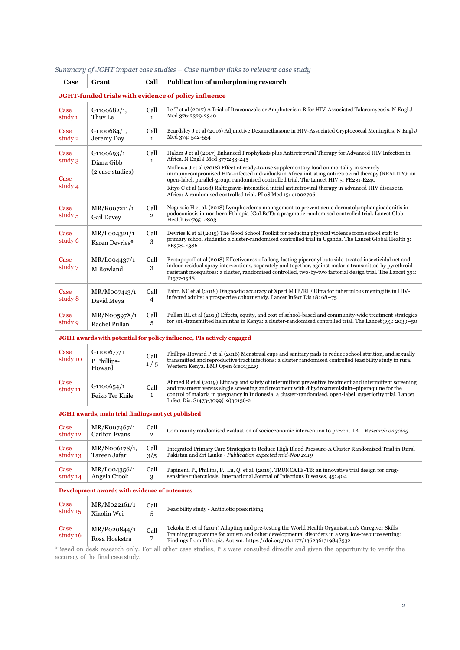| Case                                                                         | Grant                               | Call                   | Publication of underpinning research                                                                                                                                                                                                                                                                                                                          |  |  |
|------------------------------------------------------------------------------|-------------------------------------|------------------------|---------------------------------------------------------------------------------------------------------------------------------------------------------------------------------------------------------------------------------------------------------------------------------------------------------------------------------------------------------------|--|--|
| JGHT-funded trials with evidence of policy influence                         |                                     |                        |                                                                                                                                                                                                                                                                                                                                                               |  |  |
| Case<br>study 1                                                              | G1100682/1,<br>Thuy Le              | Call<br>$\mathbf{1}$   | Le T et al (2017) A Trial of Itraconazole or Amphotericin B for HIV-Associated Talaromycosis. N Engl J<br>Med 376:2329-2340                                                                                                                                                                                                                                   |  |  |
| Case<br>study 2                                                              | G1100684/1,<br>Jeremy Day           | Call<br>$\mathbf{1}$   | Beardsley J et al (2016) Adjunctive Dexamethasone in HIV-Associated Cryptococcal Meningitis, N Engl J<br>Med 374: 542-554                                                                                                                                                                                                                                     |  |  |
| Case<br>study 3                                                              | G1100693/1<br>Diana Gibb            | Call<br>$\mathbf{1}$   | Hakim J et al (2017) Enhanced Prophylaxis plus Antiretroviral Therapy for Advanced HIV Infection in<br>Africa. N Engl J Med 377:233-245                                                                                                                                                                                                                       |  |  |
| Case<br>study 4                                                              | (2 case studies)                    |                        | Mallewa J et al (2018) Effect of ready-to-use supplementary food on mortality in severely<br>immunocompromised HIV-infected individuals in Africa initiating antiretroviral therapy (REALITY): an<br>open-label, parallel-group, randomised controlled trial. The Lancet HIV 5: PE231-E240                                                                    |  |  |
|                                                                              |                                     |                        | Kityo C et al (2018) Raltegravir-intensified initial antiretroviral therapy in advanced HIV disease in<br>Africa: A randomised controlled trial. PLoS Med 15: e1002706                                                                                                                                                                                        |  |  |
| Case<br>study 5                                                              | MR/K007211/1<br>Gail Davey          | Call<br>$\overline{2}$ | Negussie H et al. (2018) Lymphoedema management to prevent acute dermatolymphangioadenitis in<br>podoconiosis in northern Ethiopia (GoLBeT): a pragmatic randomised controlled trial. Lancet Glob<br>Health 6:e795-e803                                                                                                                                       |  |  |
| Case<br>study 6                                                              | MR/L004321/1<br>Karen Devries*      | Call<br>3              | Devries K et al (2015) The Good School Toolkit for reducing physical violence from school staff to<br>primary school students: a cluster-randomised controlled trial in Uganda. The Lancet Global Health 3:<br>PE378-E386                                                                                                                                     |  |  |
| Case<br>study 7                                                              | MR/L004437/1<br>M Rowland           | Call<br>3              | Protopopoff et al (2018) Effectiveness of a long-lasting piperonyl butoxide-treated insecticidal net and<br>indoor residual spray interventions, separately and together, against malaria transmitted by pyrethroid-<br>resistant mosquitoes: a cluster, randomised controlled, two-by-two factorial design trial. The Lancet 391:<br>P <sub>1577</sub> -1588 |  |  |
| Case<br>study 8                                                              | MR/M007413/1<br>David Meya          | Call<br>$\overline{4}$ | Bahr, NC et al (2018) Diagnostic accuracy of Xpert MTB/RIF Ultra for tuberculous meningitis in HIV-<br>infected adults: a prospective cohort study. Lancet Infect Dis 18: 68-75                                                                                                                                                                               |  |  |
| Case<br>study 9                                                              | MR/NO0597X/1<br>Rachel Pullan       | Call<br>5              | Pullan RL et al (2019) Effects, equity, and cost of school-based and community-wide treatment strategies<br>for soil-transmitted helminths in Kenya: a cluster-randomised controlled trial. The Lancet 393: 2039–50                                                                                                                                           |  |  |
| <b>JGHT</b> awards with potential for policy influence, PIs actively engaged |                                     |                        |                                                                                                                                                                                                                                                                                                                                                               |  |  |
| Case<br>study 10                                                             | G1100677/1<br>P Phillips-<br>Howard | Call<br>1/5            | Phillips-Howard P et al (2016) Menstrual cups and sanitary pads to reduce school attrition, and sexually<br>transmitted and reproductive tract infections: a cluster randomised controlled feasibility study in rural<br>Western Kenya. BMJ Open 6:e013229                                                                                                    |  |  |
| Case<br>study 11                                                             | G1100654/1<br>Feiko Ter Kuile       | Call<br>$\mathbf{1}$   | Ahmed R et al (2019) Efficacy and safety of intermittent preventive treatment and intermittent screening<br>and treatment versus single screening and treatment with dihydroartemisinin-piperaquine for the<br>control of malaria in pregnancy in Indonesia: a cluster-randomised, open-label, superiority trial. Lancet<br>Infect Dis. S1473-3099(19)30156-2 |  |  |
| JGHT awards, main trial findings not yet published                           |                                     |                        |                                                                                                                                                                                                                                                                                                                                                               |  |  |
| Case<br>study 12                                                             | MR/K007467/1<br>Carlton Evans       | Call<br>$\overline{2}$ | Community randomised evaluation of socioeconomic intervention to prevent TB – Research ongoing                                                                                                                                                                                                                                                                |  |  |
| Case<br>study 13                                                             | MR/N006178/1,<br>Tazeen Jafar       | Call<br>3/5            | Integrated Primary Care Strategies to Reduce High Blood Pressure-A Cluster Randomized Trial in Rural<br>Pakistan and Sri Lanka - Publication expected mid-Nov 2019                                                                                                                                                                                            |  |  |
| Case<br>study 14                                                             | MR/L004356/1<br>Angela Crook        | Call<br>3              | Papineni, P., Phillips, P., Lu, O. et al. (2016). TRUNCATE-TB: an innovative trial design for drug-<br>sensitive tuberculosis. International Journal of Infectious Diseases, 45: 404                                                                                                                                                                          |  |  |
| Development awards with evidence of outcomes                                 |                                     |                        |                                                                                                                                                                                                                                                                                                                                                               |  |  |
| Case<br>study 15                                                             | MR/M022161/1<br>Xiaolin Wei         | Call<br>$\sqrt{5}$     | Feasibility study - Antibiotic prescribing                                                                                                                                                                                                                                                                                                                    |  |  |
| Case<br>study 16                                                             | MR/P020844/1<br>Rosa Hoekstra       | Call<br>$\overline{7}$ | Tekola, B. et al (2019) Adapting and pre-testing the World Health Organization's Caregiver Skills<br>Training programme for autism and other developmental disorders in a very low-resource setting:<br>Findings from Ethiopia. Autism: https://doi.org/10.1177/1362361319848532                                                                              |  |  |

*Summary of JGHT impact case studies – Case number links to relevant case study*

\*Based on desk research only. For all other case studies, PIs were consulted directly and given the opportunity to verify the accuracy of the final case study.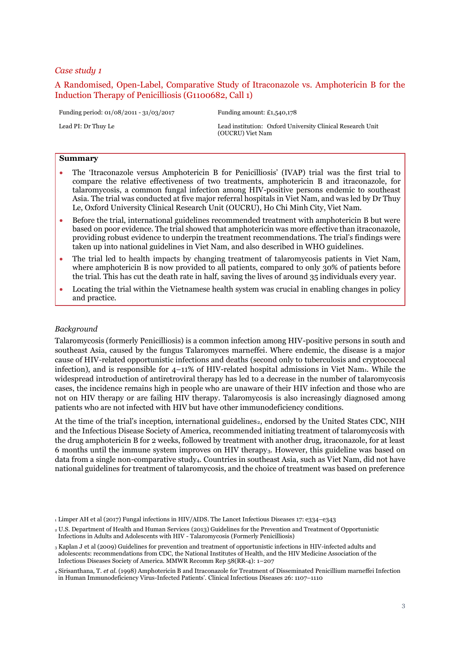# <span id="page-2-0"></span>A Randomised, Open-Label, Comparative Study of Itraconazole vs. Amphotericin B for the Induction Therapy of Penicilliosis (G1100682, Call 1)

Funding period: 01/08/2011 - 31/03/2017 Funding amount: £1,540,178

Lead PI: Dr Thuy Le Lead institution: Oxford University Clinical Research Unit (OUCRU) Viet Nam

#### **Summary**

- The 'Itraconazole versus Amphotericin B for Penicilliosis' (IVAP) trial was the first trial to compare the relative effectiveness of two treatments, amphotericin B and itraconazole, for talaromycosis, a common fungal infection among HIV-positive persons endemic to southeast Asia. The trial was conducted at five major referral hospitals in Viet Nam, and was led by Dr Thuy Le, Oxford University Clinical Research Unit (OUCRU), Ho Chi Minh City, Viet Nam.
- Before the trial, international guidelines recommended treatment with amphotericin B but were based on poor evidence. The trial showed that amphotericin was more effective than itraconazole, providing robust evidence to underpin the treatment recommendations. The trial's findings were taken up into national guidelines in Viet Nam, and also described in WHO guidelines.
- The trial led to health impacts by changing treatment of talaromycosis patients in Viet Nam, where amphotericin B is now provided to all patients, compared to only 30% of patients before the trial. This has cut the death rate in half, saving the lives of around 35 individuals every year.
- Locating the trial within the Vietnamese health system was crucial in enabling changes in policy and practice.

#### *Background*

Talaromycosis (formerly Penicilliosis) is a common infection among HIV-positive persons in south and southeast Asia, caused by the fungus Talaromyces marneffei. Where endemic, the disease is a major cause of HIV-related opportunistic infections and deaths (second only to tuberculosis and cryptococcal infection), and is responsible for  $4-11\%$  of HIV-related hospital admissions in Viet Nam<sub>1</sub>. While the widespread introduction of antiretroviral therapy has led to a decrease in the number of talaromycosis cases, the incidence remains high in people who are unaware of their HIV infection and those who are not on HIV therapy or are failing HIV therapy. Talaromycosis is also increasingly diagnosed among patients who are not infected with HIV but have other immunodeficiency conditions.

At the time of the trial's inception, international guidelines<sub>2</sub>, endorsed by the United States CDC, NIH and the Infectious Disease Society of America, recommended initiating treatment of talaromycosis with the drug amphotericin B for 2 weeks, followed by treatment with another drug, itraconazole, for at least 6 months until the immune system improves on HIV therapy3. However, this guideline was based on data from a single non-comparative study4. Countries in southeast Asia, such as Viet Nam, did not have national guidelines for treatment of talaromycosis, and the choice of treatment was based on preference

<sup>1</sup> Limper AH et al (2017) Fungal infections in HIV/AIDS. The Lancet Infectious Diseases 17: e334–e343

<sup>2</sup> U.S. Department of Health and Human Services (2013) Guidelines for the Prevention and Treatment of Opportunistic Infections in Adults and Adolescents with HIV - Talaromycosis (Formerly Penicilliosis)

<sup>3</sup> Kaplan J et al (2009) Guidelines for prevention and treatment of opportunistic infections in HIV-infected adults and adolescents: recommendations from CDC, the National Institutes of Health, and the HIV Medicine Association of the Infectious Diseases Society of America. MMWR Recomm Rep 58(RR-4): 1–207

<sup>4</sup> Sirisanthana, T. *et al.* (1998) Amphotericin B and Itraconazole for Treatment of Disseminated Penicillium marneffei Infection in Human Immunodeficiency Virus-Infected Patients'. Clinical Infectious Diseases 26: 1107–1110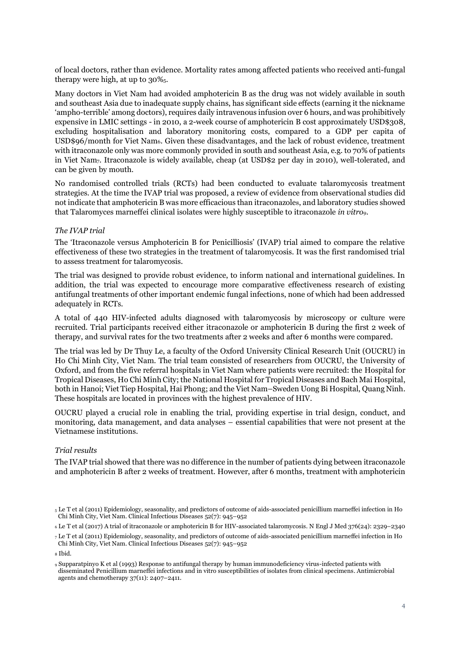of local doctors, rather than evidence. Mortality rates among affected patients who received anti-fungal therapy were high, at up to  $30\%$ .

Many doctors in Viet Nam had avoided amphotericin B as the drug was not widely available in south and southeast Asia due to inadequate supply chains, has significant side effects (earning it the nickname 'ampho-terrible' among doctors), requires daily intravenous infusion over 6 hours, and was prohibitively expensive in LMIC settings - in 2010, a 2-week course of amphotericin B cost approximately USD\$308, excluding hospitalisation and laboratory monitoring costs, compared to a GDP per capita of USD\$96/month for Viet Nam6. Given these disadvantages, and the lack of robust evidence, treatment with itraconazole only was more commonly provided in south and southeast Asia, e.g. to 70% of patients in Viet Nam7. Itraconazole is widely available, cheap (at USD\$2 per day in 2010), well-tolerated, and can be given by mouth.

No randomised controlled trials (RCTs) had been conducted to evaluate talaromycosis treatment strategies. At the time the IVAP trial was proposed, a review of evidence from observational studies did not indicate that amphotericin B was more efficacious than itraconazole8, and laboratory studies showed that Talaromyces marneffei clinical isolates were highly susceptible to itraconazole *in vitro9*.

# *The IVAP trial*

The 'Itraconazole versus Amphotericin B for Penicilliosis' (IVAP) trial aimed to compare the relative effectiveness of these two strategies in the treatment of talaromycosis. It was the first randomised trial to assess treatment for talaromycosis.

The trial was designed to provide robust evidence, to inform national and international guidelines. In addition, the trial was expected to encourage more comparative effectiveness research of existing antifungal treatments of other important endemic fungal infections, none of which had been addressed adequately in RCTs.

A total of 440 HIV-infected adults diagnosed with talaromycosis by microscopy or culture were recruited. Trial participants received either itraconazole or amphotericin B during the first 2 week of therapy, and survival rates for the two treatments after 2 weeks and after 6 months were compared.

The trial was led by Dr Thuy Le, a faculty of the Oxford University Clinical Research Unit (OUCRU) in Ho Chi Minh City, Viet Nam. The trial team consisted of researchers from OUCRU, the University of Oxford, and from the five referral hospitals in Viet Nam where patients were recruited: the Hospital for Tropical Diseases, Ho Chi Minh City; the National Hospital for Tropical Diseases and Bach Mai Hospital, both in Hanoi; Viet Tiep Hospital, Hai Phong; and the Viet Nam–Sweden Uong Bi Hospital, Quang Ninh. These hospitals are located in provinces with the highest prevalence of HIV.

OUCRU played a crucial role in enabling the trial, providing expertise in trial design, conduct, and monitoring, data management, and data analyses – essential capabilities that were not present at the Vietnamese institutions.

#### *Trial results*

The IVAP trial showed that there was no difference in the number of patients dying between itraconazole and amphotericin B after 2 weeks of treatment. However, after 6 months, treatment with amphotericin

<sup>5</sup> Le T et al (2011) Epidemiology, seasonality, and predictors of outcome of aids-associated penicillium marneffei infection in Ho Chi Minh City, Viet Nam. Clinical Infectious Diseases 52(7): 945–952

<sup>6</sup> Le T et al (2017) A trial of itraconazole or amphotericin B for HIV-associated talaromycosis. N Engl J Med 376(24): 2329–2340

<sup>7</sup> Le T et al (2011) Epidemiology, seasonality, and predictors of outcome of aids-associated penicillium marneffei infection in Ho Chi Minh City, Viet Nam. Clinical Infectious Diseases 52(7): 945–952

<sup>8</sup> Ibid.

<sup>9</sup> Supparatpinyo K et al (1993) Response to antifungal therapy by human immunodeficiency virus-infected patients with disseminated Penicillium marneffei infections and in vitro susceptibilities of isolates from clinical specimens. Antimicrobial agents and chemotherapy 37(11): 2407–2411.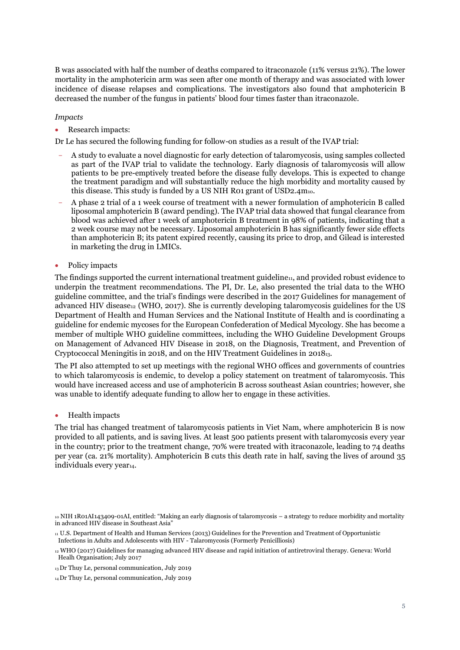B was associated with half the number of deaths compared to itraconazole (11% versus 21%). The lower mortality in the amphotericin arm was seen after one month of therapy and was associated with lower incidence of disease relapses and complications. The investigators also found that amphotericin B decreased the number of the fungus in patients' blood four times faster than itraconazole.

## *Impacts*

• Research impacts:

Dr Le has secured the following funding for follow-on studies as a result of the IVAP trial:

- A study to evaluate a novel diagnostic for early detection of talaromycosis, using samples collected as part of the IVAP trial to validate the technology. Early diagnosis of talaromycosis will allow patients to be pre-emptively treated before the disease fully develops. This is expected to change the treatment paradigm and will substantially reduce the high morbidity and mortality caused by this disease. This study is funded by a US NIH R01 grant of USD2.4m10.
- A phase 2 trial of a 1 week course of treatment with a newer formulation of amphotericin B called liposomal amphotericin B (award pending). The IVAP trial data showed that fungal clearance from blood was achieved after 1 week of amphotericin B treatment in 98% of patients, indicating that a 2 week course may not be necessary. Liposomal amphotericin B has significantly fewer side effects than amphotericin B; its patent expired recently, causing its price to drop, and Gilead is interested in marketing the drug in LMICs.
- Policy impacts

The findings supported the current international treatment guideline<sub>11</sub>, and provided robust evidence to underpin the treatment recommendations. The PI, Dr. Le, also presented the trial data to the WHO guideline committee, and the trial's findings were described in the 2017 Guidelines for management of advanced HIV disease $_{12}$  (WHO, 2017). She is currently developing talaromycosis guidelines for the US Department of Health and Human Services and the National Institute of Health and is coordinating a guideline for endemic mycoses for the European Confederation of Medical Mycology. She has become a member of multiple WHO guideline committees, including the WHO Guideline Development Groups on Management of Advanced HIV Disease in 2018, on the Diagnosis, Treatment, and Prevention of Cryptococcal Meningitis in 2018, and on the HIV Treatment Guidelines in 201813.

The PI also attempted to set up meetings with the regional WHO offices and governments of countries to which talaromycosis is endemic, to develop a policy statement on treatment of talaromycosis. This would have increased access and use of amphotericin B across southeast Asian countries; however, she was unable to identify adequate funding to allow her to engage in these activities.

• Health impacts

The trial has changed treatment of talaromycosis patients in Viet Nam, where amphotericin B is now provided to all patients, and is saving lives. At least 500 patients present with talaromycosis every year in the country; prior to the treatment change, 70% were treated with itraconazole, leading to 74 deaths per year (ca. 21% mortality). Amphotericin B cuts this death rate in half, saving the lives of around 35 individuals every year<sub>14</sub>.

<sup>10</sup> NIH 1R01AI143409-01AI, entitled: "Making an early diagnosis of talaromycosis – a strategy to reduce morbidity and mortality in advanced HIV disease in Southeast Asia"

<sup>11</sup> U.S. Department of Health and Human Services (2013) Guidelines for the Prevention and Treatment of Opportunistic Infections in Adults and Adolescents with HIV - Talaromycosis (Formerly Penicilliosis)

<sup>12</sup> WHO (2017) Guidelines for managing advanced HIV disease and rapid initiation of antiretroviral therapy. Geneva: World Healh Organisation; July 2017

<sup>13</sup> Dr Thuy Le, personal communication, July 2019

<sup>14</sup>Dr Thuy Le, personal communication, July 2019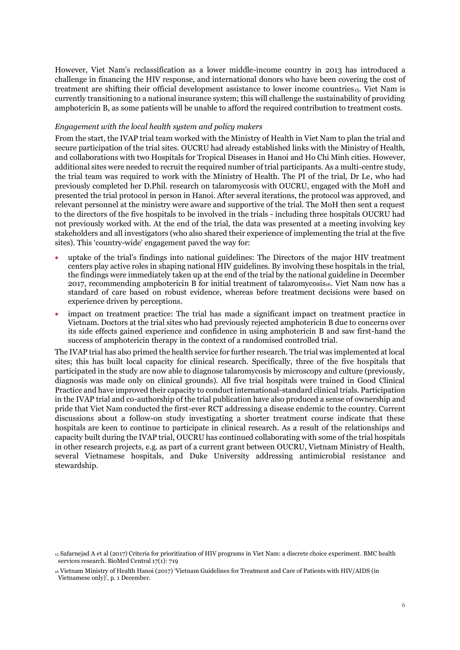However, Viet Nam's reclassification as a lower middle-income country in 2013 has introduced a challenge in financing the HIV response, and international donors who have been covering the cost of treatment are shifting their official development assistance to lower income countries<sub>15</sub>. Viet Nam is currently transitioning to a national insurance system; this will challenge the sustainability of providing amphotericin B, as some patients will be unable to afford the required contribution to treatment costs.

## *Engagement with the local health system and policy makers*

From the start, the IVAP trial team worked with the Ministry of Health in Viet Nam to plan the trial and secure participation of the trial sites. OUCRU had already established links with the Ministry of Health, and collaborations with two Hospitals for Tropical Diseases in Hanoi and Ho Chi Minh cities. However, additional sites were needed to recruit the required number of trial participants. As a multi-centre study, the trial team was required to work with the Ministry of Health. The PI of the trial, Dr Le, who had previously completed her D.Phil. research on talaromycosis with OUCRU, engaged with the MoH and presented the trial protocol in person in Hanoi. After several iterations, the protocol was approved, and relevant personnel at the ministry were aware and supportive of the trial. The MoH then sent a request to the directors of the five hospitals to be involved in the trials - including three hospitals OUCRU had not previously worked with. At the end of the trial, the data was presented at a meeting involving key stakeholders and all investigators (who also shared their experience of implementing the trial at the five sites). This 'country-wide' engagement paved the way for:

- uptake of the trial's findings into national guidelines: The Directors of the major HIV treatment centers play active roles in shaping national HIV guidelines. By involving these hospitals in the trial, the findings were immediately taken up at the end of the trial by the national guideline in December 2017, recommending amphotericin B for initial treatment of talaromycosis<sub>16</sub>. Viet Nam now has a standard of care based on robust evidence, whereas before treatment decisions were based on experience driven by perceptions.
- impact on treatment practice: The trial has made a significant impact on treatment practice in Vietnam. Doctors at the trial sites who had previously rejected amphotericin B due to concerns over its side effects gained experience and confidence in using amphotericin B and saw first-hand the success of amphotericin therapy in the context of a randomised controlled trial.

The IVAP trial has also primed the health service for further research. The trial was implemented at local sites; this has built local capacity for clinical research. Specifically, three of the five hospitals that participated in the study are now able to diagnose talaromycosis by microscopy and culture (previously, diagnosis was made only on clinical grounds). All five trial hospitals were trained in Good Clinical Practice and have improved their capacity to conduct international-standard clinical trials. Participation in the IVAP trial and co-authorship of the trial publication have also produced a sense of ownership and pride that Viet Nam conducted the first-ever RCT addressing a disease endemic to the country. Current discussions about a follow-on study investigating a shorter treatment course indicate that these hospitals are keen to continue to participate in clinical research. As a result of the relationships and capacity built during the IVAP trial, OUCRU has continued collaborating with some of the trial hospitals in other research projects, e.g. as part of a current grant between OUCRU, Vietnam Ministry of Health, several Vietnamese hospitals, and Duke University addressing antimicrobial resistance and stewardship.

<sup>15</sup> Safarnejad A et al (2017) Criteria for prioritization of HIV programs in Viet Nam: a discrete choice experiment. BMC health services research. BioMed Central 17(1): 719

<sup>16</sup> Vietnam Ministry of Health Hanoi (2017) 'Vietnam Guidelines for Treatment and Care of Patients with HIV/AIDS (in Vietnamese only)', p. 1 December.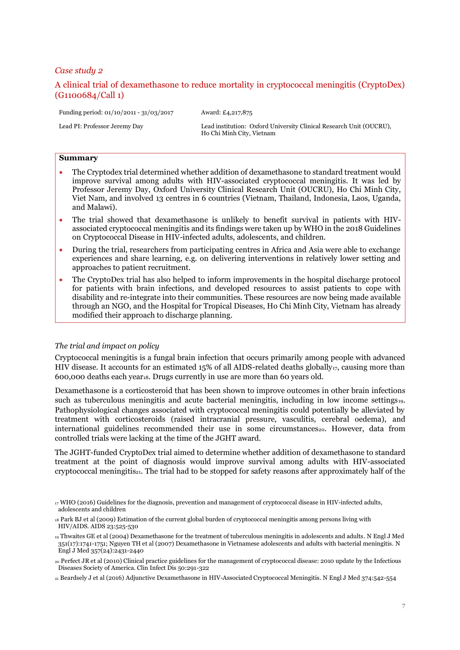# <span id="page-6-0"></span>A clinical trial of dexamethasone to reduce mortality in cryptococcal meningitis (CryptoDex) (G1100684/Call 1)

Ho Chi Minh City, Vietnam

Funding period: 01/10/2011 - 31/03/2017 Award: £4,217,875

Lead PI: Professor Jeremy Day Lead institution: Oxford University Clinical Research Unit (OUCRU),

#### **Summary**

- The Cryptodex trial determined whether addition of dexamethasone to standard treatment would improve survival among adults with HIV-associated cryptococcal meningitis. It was led by Professor Jeremy Day, Oxford University Clinical Research Unit (OUCRU), Ho Chi Minh City, Viet Nam, and involved 13 centres in 6 countries (Vietnam, Thailand, Indonesia, Laos, Uganda, and Malawi).
- The trial showed that dexamethasone is unlikely to benefit survival in patients with HIVassociated cryptococcal meningitis and its findings were taken up by WHO in the 2018 Guidelines on Cryptococcal Disease in HIV-infected adults, adolescents, and children.
- During the trial, researchers from participating centres in Africa and Asia were able to exchange experiences and share learning, e.g. on delivering interventions in relatively lower setting and approaches to patient recruitment.
- The CryptoDex trial has also helped to inform improvements in the hospital discharge protocol for patients with brain infections, and developed resources to assist patients to cope with disability and re-integrate into their communities. These resources are now being made available through an NGO, and the Hospital for Tropical Diseases, Ho Chi Minh City, Vietnam has already modified their approach to discharge planning.

#### *The trial and impact on policy*

Cryptococcal meningitis is a fungal brain infection that occurs primarily among people with advanced HIV disease. It accounts for an estimated 15% of all AIDS-related deaths globally $_{17}$ , causing more than  $600,000$  deaths each year<sub>18</sub>. Drugs currently in use are more than  $60$  years old.

Dexamethasone is a corticosteroid that has been shown to improve outcomes in other brain infections such as tuberculous meningitis and acute bacterial meningitis, including in low income settings19. Pathophysiological changes associated with cryptococcal meningitis could potentially be alleviated by treatment with corticosteroids (raised intracranial pressure, vasculitis, cerebral oedema), and international guidelines recommended their use in some circumstances<sub>20</sub>. However, data from controlled trials were lacking at the time of the JGHT award.

The JGHT-funded CryptoDex trial aimed to determine whether addition of dexamethasone to standard treatment at the point of diagnosis would improve survival among adults with HIV-associated cryptococcal meningitis<sub>21</sub>. The trial had to be stopped for safety reasons after approximately half of the

<sup>21</sup> Beardsely J et al (2016) Adjunctive Dexamethasone in HIV-Associated Cryptococcal Meningitis. N Engl J Med 374:542-554

<sup>17</sup> WHO (2016) Guidelines for the diagnosis, prevention and management of cryptococcal disease in HIV-infected adults, adolescents and children

<sup>18</sup> Park BJ et al (2009) Estimation of the current global burden of cryptococcal meningitis among persons living with HIV/AIDS. AIDS 23:525-530

<sup>19</sup> Thwaites GE et al (2004) Dexamethasone for the treatment of tuberculous meningitis in adolescents and adults. N Engl J Med 351(17):1741-1751; Nguyen TH et al (2007) Dexamethasone in Vietnamese adolescents and adults with bacterial meningitis. N Engl J Med 357(24):2431-2440

<sup>20</sup> Perfect JR et al (2010) Clinical practice guidelines for the management of cryptococcal disease: 2010 update by the Infectious Diseases Society of America. Clin Infect Dis 50:291-322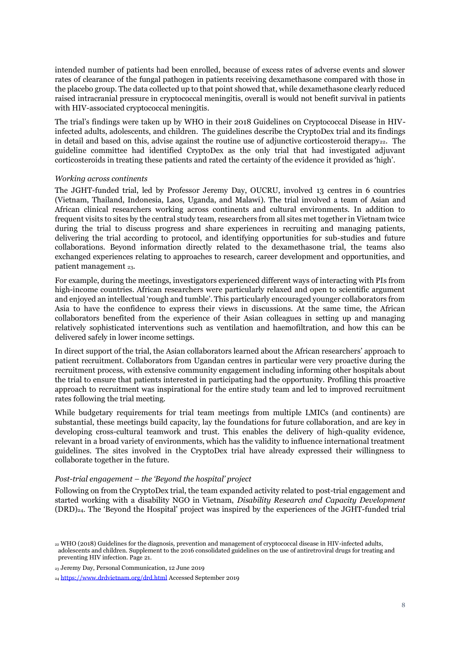intended number of patients had been enrolled, because of excess rates of adverse events and slower rates of clearance of the fungal pathogen in patients receiving dexamethasone compared with those in the placebo group. The data collected up to that point showed that, while dexamethasone clearly reduced raised intracranial pressure in cryptococcal meningitis, overall is would not benefit survival in patients with HIV-associated cryptococcal meningitis.

The trial's findings were taken up by WHO in their 2018 Guidelines on Cryptococcal Disease in HIVinfected adults, adolescents, and children. The guidelines describe the CryptoDex trial and its findings in detail and based on this, advise against the routine use of adiunctive corticosteroid therapy<sub>22</sub>. The guideline committee had identified CryptoDex as the only trial that had investigated adjuvant corticosteroids in treating these patients and rated the certainty of the evidence it provided as 'high'.

#### *Working across continents*

The JGHT-funded trial, led by Professor Jeremy Day, OUCRU, involved 13 centres in 6 countries (Vietnam, Thailand, Indonesia, Laos, Uganda, and Malawi). The trial involved a team of Asian and African clinical researchers working across continents and cultural environments. In addition to frequent visits to sites by the central study team, researchers from all sites met together in Vietnam twice during the trial to discuss progress and share experiences in recruiting and managing patients, delivering the trial according to protocol, and identifying opportunities for sub-studies and future collaborations. Beyond information directly related to the dexamethasone trial, the teams also exchanged experiences relating to approaches to research, career development and opportunities, and patient management 23.

For example, during the meetings, investigators experienced different ways of interacting with PIs from high-income countries. African researchers were particularly relaxed and open to scientific argument and enjoyed an intellectual 'rough and tumble'. This particularly encouraged younger collaborators from Asia to have the confidence to express their views in discussions. At the same time, the African collaborators benefited from the experience of their Asian colleagues in setting up and managing relatively sophisticated interventions such as ventilation and haemofiltration, and how this can be delivered safely in lower income settings.

In direct support of the trial, the Asian collaborators learned about the African researchers' approach to patient recruitment. Collaborators from Ugandan centres in particular were very proactive during the recruitment process, with extensive community engagement including informing other hospitals about the trial to ensure that patients interested in participating had the opportunity. Profiling this proactive approach to recruitment was inspirational for the entire study team and led to improved recruitment rates following the trial meeting.

While budgetary requirements for trial team meetings from multiple LMICs (and continents) are substantial, these meetings build capacity, lay the foundations for future collaboration, and are key in developing cross-cultural teamwork and trust. This enables the delivery of high-quality evidence, relevant in a broad variety of environments, which has the validity to influence international treatment guidelines. The sites involved in the CryptoDex trial have already expressed their willingness to collaborate together in the future.

## *Post-trial engagement – the 'Beyond the hospital' project*

Following on from the CryptoDex trial, the team expanded activity related to post-trial engagement and started working with a disability NGO in Vietnam, *Disability Research and Capacity Development* (DRD)24. The 'Beyond the Hospital' project was inspired by the experiences of the JGHT-funded trial

<sup>22</sup> WHO (2018) Guidelines for the diagnosis, prevention and management of cryptococcal disease in HIV-infected adults, adolescents and children. Supplement to the 2016 consolidated guidelines on the use of antiretroviral drugs for treating and preventing HIV infection. Page 21.

<sup>23</sup> Jeremy Day, Personal Communication, 12 June 2019

<sup>24</sup> <https://www.drdvietnam.org/drd.html> Accessed September 2019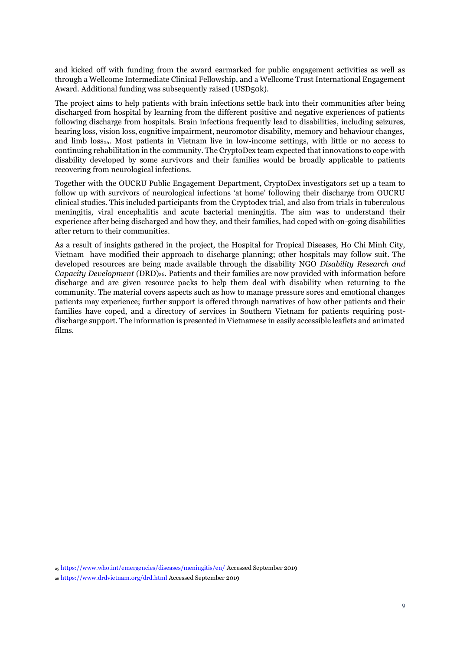and kicked off with funding from the award earmarked for public engagement activities as well as through a Wellcome Intermediate Clinical Fellowship, and a Wellcome Trust International Engagement Award. Additional funding was subsequently raised (USD50k).

The project aims to help patients with brain infections settle back into their communities after being discharged from hospital by learning from the different positive and negative experiences of patients following discharge from hospitals. Brain infections frequently lead to disabilities, including seizures, hearing loss, vision loss, cognitive impairment, neuromotor disability, memory and behaviour changes, and limb loss<sub>25</sub>. Most patients in Vietnam live in low-income settings, with little or no access to continuing rehabilitation in the community. The CryptoDex team expected that innovations to cope with disability developed by some survivors and their families would be broadly applicable to patients recovering from neurological infections.

Together with the OUCRU Public Engagement Department, CryptoDex investigators set up a team to follow up with survivors of neurological infections 'at home' following their discharge from OUCRU clinical studies. This included participants from the Cryptodex trial, and also from trials in tuberculous meningitis, viral encephalitis and acute bacterial meningitis. The aim was to understand their experience after being discharged and how they, and their families, had coped with on-going disabilities after return to their communities.

As a result of insights gathered in the project, the Hospital for Tropical Diseases, Ho Chi Minh City, Vietnam have modified their approach to discharge planning; other hospitals may follow suit. The developed resources are being made available through the disability NGO *Disability Research and Capacity Development* (DRD)26. Patients and their families are now provided with information before discharge and are given resource packs to help them deal with disability when returning to the community. The material covers aspects such as how to manage pressure sores and emotional changes patients may experience; further support is offered through narratives of how other patients and their families have coped, and a directory of services in Southern Vietnam for patients requiring postdischarge support. The information is presented in Vietnamese in easily accessible leaflets and animated films.

<sup>25</sup> <https://www.who.int/emergencies/diseases/meningitis/en/> Accessed September 2019

<sup>26</sup> <https://www.drdvietnam.org/drd.html> Accessed September 2019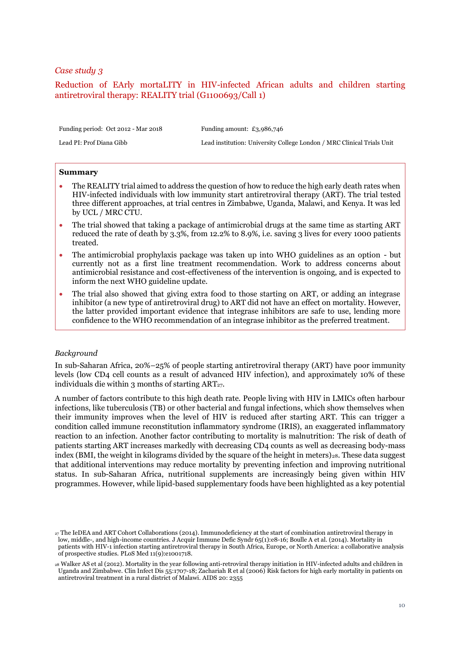# <span id="page-9-0"></span>Reduction of EArly mortaLITY in HIV-infected African adults and children starting antiretroviral therapy: REALITY trial (G1100693/Call 1)

Funding period: Oct 2012 - Mar 2018 Funding amount: £3,986,746

Lead PI: Prof Diana Gibb Lead institution: University College London / MRC Clinical Trials Unit

#### **Summary**

- The REALITY trial aimed to address the question of how to reduce the high early death rates when HIV-infected individuals with low immunity start antiretroviral therapy (ART). The trial tested three different approaches, at trial centres in Zimbabwe, Uganda, Malawi, and Kenya. It was led by UCL / MRC CTU.
- The trial showed that taking a package of antimicrobial drugs at the same time as starting ART reduced the rate of death by 3.3%, from 12.2% to 8.9%, i.e. saving 3 lives for every 1000 patients treated.
- The antimicrobial prophylaxis package was taken up into WHO guidelines as an option but currently not as a first line treatment recommendation. Work to address concerns about antimicrobial resistance and cost-effectiveness of the intervention is ongoing, and is expected to inform the next WHO guideline update.
- The trial also showed that giving extra food to those starting on ART, or adding an integrase inhibitor (a new type of antiretroviral drug) to ART did not have an effect on mortality. However, the latter provided important evidence that integrase inhibitors are safe to use, lending more confidence to the WHO recommendation of an integrase inhibitor as the preferred treatment.

#### *Background*

In sub-Saharan Africa, 20%–25% of people starting antiretroviral therapy (ART) have poor immunity levels (low CD4 cell counts as a result of advanced HIV infection), and approximately 10% of these individuals die within 3 months of starting  $ART_{27}$ .

A number of factors contribute to this high death rate. People living with HIV in LMICs often harbour infections, like tuberculosis (TB) or other bacterial and fungal infections, which show themselves when their immunity improves when the level of HIV is reduced after starting ART. This can trigger a condition called immune reconstitution inflammatory syndrome (IRIS), an exaggerated inflammatory reaction to an infection. Another factor contributing to mortality is malnutrition: The risk of death of patients starting ART increases markedly with decreasing CD4 counts as well as decreasing body-mass index (BMI, the weight in kilograms divided by the square of the height in meters)<sub>28</sub>. These data suggest that additional interventions may reduce mortality by preventing infection and improving nutritional status. In sub-Saharan Africa, nutritional supplements are increasingly being given within HIV programmes. However, while lipid-based supplementary foods have been highlighted as a key potential

<sup>27</sup> The IeDEA and ART Cohort Collaborations (2014). Immunodeficiency at the start of combination antiretroviral therapy in low, middle-, and high-income countries. J Acquir Immune Defic Syndr 65(1):e8-16; Boulle A et al. (2014). Mortality in patients with HIV-1 infection starting antiretroviral therapy in South Africa, Europe, or North America: a collaborative analysis of prospective studies. PLoS Med 11(9):e1001718.

<sup>28</sup> Walker AS et al (2012). Mortality in the year following anti-retroviral therapy initiation in HIV-infected adults and children in Uganda and Zimbabwe. Clin Infect Dis 55:1707-18; Zachariah R et al (2006) Risk factors for high early mortality in patients on antiretroviral treatment in a rural district of Malawi. AIDS 20: 2355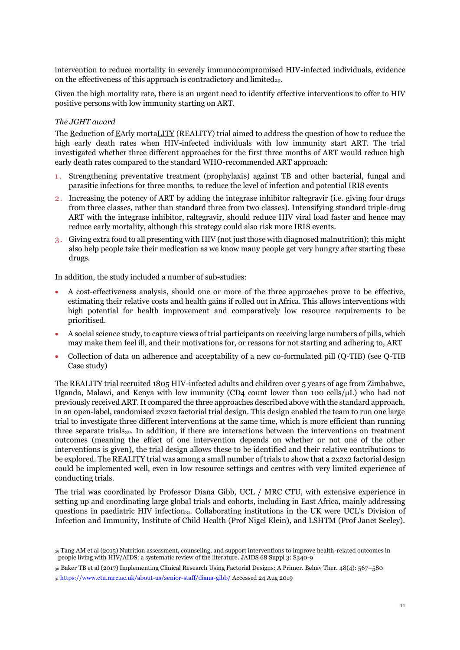intervention to reduce mortality in severely immunocompromised HIV-infected individuals, evidence on the effectiveness of this approach is contradictory and limited<sub>29</sub>.

Given the high mortality rate, there is an urgent need to identify effective interventions to offer to HIV positive persons with low immunity starting on ART.

## *The JGHT award*

The Reduction of EArly mortaLITY (REALITY) trial aimed to address the question of how to reduce the high early death rates when HIV-infected individuals with low immunity start ART. The trial investigated whether three different approaches for the first three months of ART would reduce high early death rates compared to the standard WHO-recommended ART approach:

- 1 . Strengthening preventative treatment (prophylaxis) against TB and other bacterial, fungal and parasitic infections for three months, to reduce the level of infection and potential IRIS events
- 2 . Increasing the potency of ART by adding the integrase inhibitor raltegravir (i.e. giving four drugs from three classes, rather than standard three from two classes). Intensifying standard triple-drug ART with the integrase inhibitor, raltegravir, should reduce HIV viral load faster and hence may reduce early mortality, although this strategy could also risk more IRIS events.
- 3 . Giving extra food to all presenting with HIV (not just those with diagnosed malnutrition); this might also help people take their medication as we know many people get very hungry after starting these drugs.

In addition, the study included a number of sub-studies:

- A cost-effectiveness analysis, should one or more of the three approaches prove to be effective, estimating their relative costs and health gains if rolled out in Africa. This allows interventions with high potential for health improvement and comparatively low resource requirements to be prioritised.
- A social science study, to capture views of trial participants on receiving large numbers of pills, which may make them feel ill, and their motivations for, or reasons for not starting and adhering to, ART
- Collection of data on adherence and acceptability of a new co-formulated pill (Q-TIB) (see Q-TIB Case study)

The REALITY trial recruited 1805 HIV-infected adults and children over 5 years of age from Zimbabwe, Uganda, Malawi, and Kenya with low immunity (CD4 count lower than 100 cells/μL) who had not previously received ART. It compared the three approaches described above with the standard approach, in an open-label, randomised 2x2x2 factorial trial design. This design enabled the team to run one large trial to investigate three different interventions at the same time, which is more efficient than running three separate trials<sub>30</sub>. In addition, if there are interactions between the interventions on treatment outcomes (meaning the effect of one intervention depends on whether or not one of the other interventions is given), the trial design allows these to be identified and their relative contributions to be explored. The REALITY trial was among a small number of trials to show that a 2x2x2 factorial design could be implemented well, even in low resource settings and centres with very limited experience of conducting trials.

The trial was coordinated by Professor Diana Gibb, UCL / MRC CTU, with extensive experience in setting up and coordinating large global trials and cohorts, including in East Africa, mainly addressing questions in paediatric HIV infection<sub>31</sub>. Collaborating institutions in the UK were UCL's Division of Infection and Immunity, Institute of Child Health (Prof Nigel Klein), and LSHTM (Prof Janet Seeley).

<sup>29</sup> Tang AM et al (2015) Nutrition assessment, counseling, and support interventions to improve health-related outcomes in people living with HIV/AIDS: a systematic review of the literature. JAIDS 68 Suppl 3: S340-9

<sup>30</sup> Baker TB et al (2017) Implementing Clinical Research Using Factorial Designs: A Primer. Behav Ther. 48(4): 567–580

<sup>31</sup> <https://www.ctu.mrc.ac.uk/about-us/senior-staff/diana-gibb/> Accessed 24 Aug 2019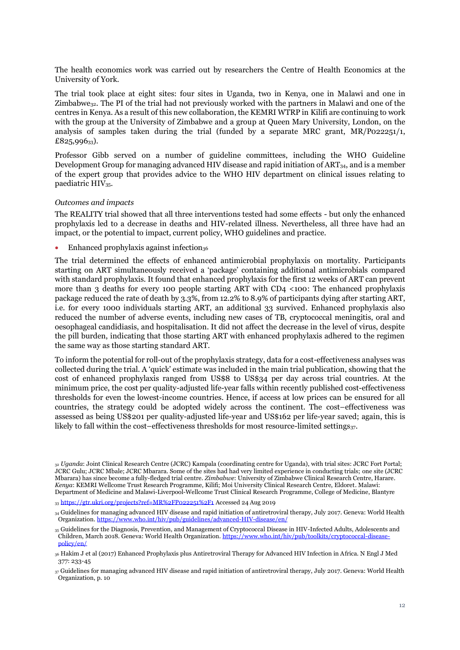The health economics work was carried out by researchers the Centre of Health Economics at the University of York.

The trial took place at eight sites: four sites in Uganda, two in Kenya, one in Malawi and one in  $Zimbabwe_{32}$ . The PI of the trial had not previously worked with the partners in Malawi and one of the centres in Kenya. As a result of this new collaboration, the KEMRI WTRP in Kilifi are continuing to work with the group at the University of Zimbabwe and a group at Queen Mary University, London, on the analysis of samples taken during the trial (funded by a separate MRC grant,  $MR/P_022251/1$ ,  $£825,996_{33}$ ).

Professor Gibb served on a number of guideline committees, including the WHO Guideline Development Group for managing advanced HIV disease and rapid initiation of ART<sub>34</sub>, and is a member of the expert group that provides advice to the WHO HIV department on clinical issues relating to paediatric HIV<sub>35</sub>.

#### *Outcomes and impacts*

The REALITY trial showed that all three interventions tested had some effects - but only the enhanced prophylaxis led to a decrease in deaths and HIV-related illness. Nevertheless, all three have had an impact, or the potential to impact, current policy, WHO guidelines and practice.

Enhanced prophylaxis against infection<sub>36</sub>

The trial determined the effects of enhanced antimicrobial prophylaxis on mortality. Participants starting on ART simultaneously received a 'package' containing additional antimicrobials compared with standard prophylaxis. It found that enhanced prophylaxis for the first 12 weeks of ART can prevent more than 3 deaths for every 100 people starting ART with CD4 <100: The enhanced prophylaxis package reduced the rate of death by 3.3%, from 12.2% to 8.9% of participants dying after starting ART, i.e. for every 1000 individuals starting ART, an additional 33 survived. Enhanced prophylaxis also reduced the number of adverse events, including new cases of TB, cryptococcal meningitis, oral and oesophageal candidiasis, and hospitalisation. It did not affect the decrease in the level of virus, despite the pill burden, indicating that those starting ART with enhanced prophylaxis adhered to the regimen the same way as those starting standard ART.

To inform the potential for roll-out of the prophylaxis strategy, data for a cost-effectiveness analyses was collected during the trial. A 'quick' estimate was included in the main trial publication, showing that the cost of enhanced prophylaxis ranged from US\$8 to US\$34 per day across trial countries. At the minimum price, the cost per quality-adjusted life-year falls within recently published cost-effectiveness thresholds for even the lowest-income countries. Hence, if access at low prices can be ensured for all countries, the strategy could be adopted widely across the continent. The cost–effectiveness was assessed as being US\$201 per quality-adjusted life-year and US\$162 per life-year saved; again, this is likely to fall within the cost–effectiveness thresholds for most resource-limited settings<sub>37</sub>.

<sup>32</sup> *Uganda*: Joint Clinical Research Centre (JCRC) Kampala (coordinating centre for Uganda), with trial sites: JCRC Fort Portal; JCRC Gulu; JCRC Mbale; JCRC Mbarara. Some of the sites had had very limited experience in conducting trials; one site (JCRC Mbarara) has since become a fully-fledged trial centre. *Zimbabwe*: University of Zimbabwe Clinical Research Centre, Harare. *Kenya*: KEMRI Wellcome Trust Research Programme, Kilifi; Moi University Clinical Research Centre, Eldoret. Malawi: Department of Medicine and Malawi-Liverpool-Wellcome Trust Clinical Research Programme, College of Medicine, Blantyre

<sup>//</sup>gtr.ukri.org/projects?ref=MR%2FP022251%2F1 Accessed 24 Aug 2019

<sup>34</sup> Guidelines for managing advanced HIV disease and rapid initiation of antiretroviral therapy, July 2017. Geneva: World Health Organization[. https://www.who.int/hiv/pub/guidelines/advanced-HIV-disease/en/](https://www.who.int/hiv/pub/guidelines/advanced-HIV-disease/en/)

<sup>35</sup> Guidelines for the Diagnosis, Prevention, and Management of Cryptococcal Disease in HIV-Infected Adults, Adolescents and Children, March 2018. Geneva: World Health Organization. https://www.who.int/hiv/pub/toolkits/cryptococcal-dise [policy/en/](https://www.who.int/hiv/pub/toolkits/cryptococcal-disease-policy/en/)

<sup>36</sup> Hakim J et al (2017) Enhanced Prophylaxis plus Antiretroviral Therapy for Advanced HIV Infection in Africa. N Engl J Med 377: 233-45

<sup>37</sup> Guidelines for managing advanced HIV disease and rapid initiation of antiretroviral therapy, July 2017. Geneva: World Health Organization, p. 10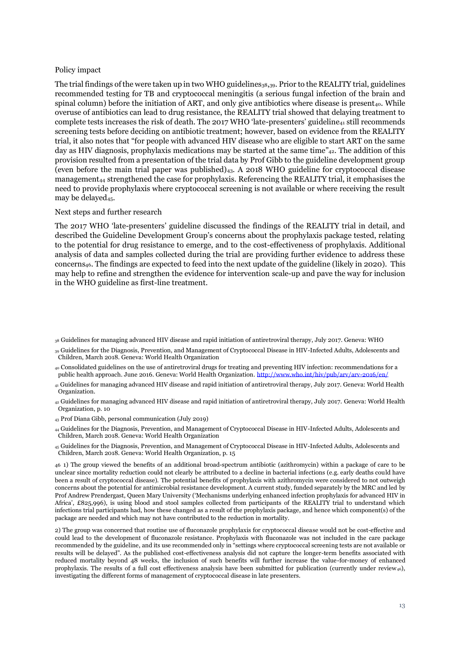#### Policy impact

The trial findings of the were taken up in two WHO guidelines<sub>38,39</sub>. Prior to the REALITY trial, guidelines recommended testing for TB and cryptococcal meningitis (a serious fungal infection of the brain and spinal column) before the initiation of ART, and only give antibiotics where disease is present<sub>40</sub>. While overuse of antibiotics can lead to drug resistance, the REALITY trial showed that delaying treatment to complete tests increases the risk of death. The 2017 WHO 'late-presenters' guideline<sub>41</sub> still recommends screening tests before deciding on antibiotic treatment; however, based on evidence from the REALITY trial, it also notes that "for people with advanced HIV disease who are eligible to start ART on the same day as HIV diagnosis, prophylaxis medications may be started at the same time"<sub>42</sub>. The addition of this provision resulted from a presentation of the trial data by Prof Gibb to the guideline development group (even before the main trial paper was published) $_{43}$ . A 2018 WHO guideline for cryptococcal disease management<sup>44</sup> strengthened the case for prophylaxis. Referencing the REALITY trial, it emphasises the need to provide prophylaxis where cryptococcal screening is not available or where receiving the result may be delayed<sub>45</sub>.

#### Next steps and further research

The 2017 WHO 'late-presenters' guideline discussed the findings of the REALITY trial in detail, and described the Guideline Development Group's concerns about the prophylaxis package tested, relating to the potential for drug resistance to emerge, and to the cost-effectiveness of prophylaxis. Additional analysis of data and samples collected during the trial are providing further evidence to address these concerns46. The findings are expected to feed into the next update of the guideline (likely in 2020). This may help to refine and strengthen the evidence for intervention scale-up and pave the way for inclusion in the WHO guideline as first-line treatment.

- <sup>42</sup> Guidelines for managing advanced HIV disease and rapid initiation of antiretroviral therapy, July 2017. Geneva: World Health Organization, p. 10
- <sup>43</sup> Prof Diana Gibb, personal communication (July 2019)

<sup>38</sup> Guidelines for managing advanced HIV disease and rapid initiation of antiretroviral therapy, July 2017. Geneva: WHO

<sup>39</sup> Guidelines for the Diagnosis, Prevention, and Management of Cryptococcal Disease in HIV-Infected Adults, Adolescents and Children, March 2018. Geneva: World Health Organization

<sup>40</sup> Consolidated guidelines on the use of antiretroviral drugs for treating and preventing HIV infection: recommendations for a public health approach. June 2016. Geneva: World Health Organization. <http://www.who.int/hiv/pub/arv/arv-2016/en/>

<sup>41</sup> Guidelines for managing advanced HIV disease and rapid initiation of antiretroviral therapy, July 2017. Geneva: World Health Organization.

<sup>44</sup> Guidelines for the Diagnosis, Prevention, and Management of Cryptococcal Disease in HIV-Infected Adults, Adolescents and Children, March 2018. Geneva: World Health Organization

<sup>45</sup> Guidelines for the Diagnosis, Prevention, and Management of Cryptococcal Disease in HIV-Infected Adults, Adolescents and Children, March 2018. Geneva: World Health Organization, p. 15

<sup>46</sup> 1) The group viewed the benefits of an additional broad-spectrum antibiotic (azithromycin) within a package of care to be unclear since mortality reduction could not clearly be attributed to a decline in bacterial infections (e.g. early deaths could have been a result of cryptococcal disease). The potential benefits of prophylaxis with azithromycin were considered to not outweigh concerns about the potential for antimicrobial resistance development. A current study, funded separately by the MRC and led by Prof Andrew Prendergast, Queen Mary University ('Mechanisms underlying enhanced infection prophylaxis for advanced HIV in Africa', £825,996), is using blood and stool samples collected from participants of the REALITY trial to understand which infections trial participants had, how these changed as a result of the prophylaxis package, and hence which component(s) of the package are needed and which may not have contributed to the reduction in mortality.

<sup>2)</sup> The group was concerned that routine use of fluconazole prophylaxis for cryptococcal disease would not be cost-effective and could lead to the development of fluconazole resistance. Prophylaxis with fluconazole was not included in the care package recommended by the guideline, and its use recommended only in "settings where cryptococcal screening tests are not available or results will be delayed". As the published cost-effectiveness analysis did not capture the longer-term benefits associated with reduced mortality beyond 48 weeks, the inclusion of such benefits will further increase the value-for-money of enhanced prophylaxis. The results of a full cost effectiveness analysis have been submitted for publication (currently under review $_{46}$ ), investigating the different forms of management of cryptococcal disease in late presenters.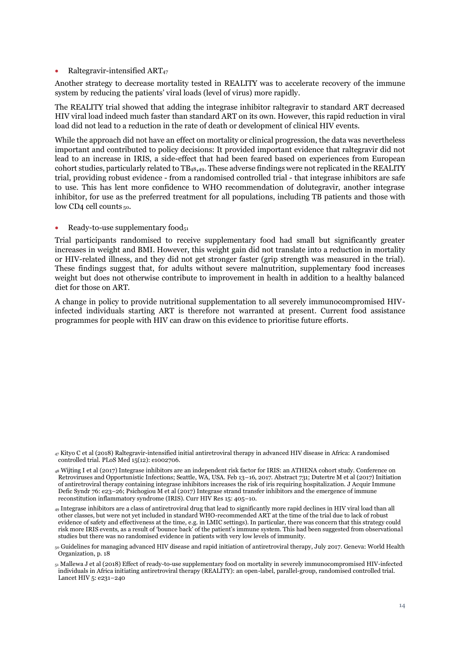#### • Raltegravir-intensified  $ART_{47}$

Another strategy to decrease mortality tested in REALITY was to accelerate recovery of the immune system by reducing the patients' viral loads (level of virus) more rapidly.

The REALITY trial showed that adding the integrase inhibitor raltegravir to standard ART decreased HIV viral load indeed much faster than standard ART on its own. However, this rapid reduction in viral load did not lead to a reduction in the rate of death or development of clinical HIV events.

While the approach did not have an effect on mortality or clinical progression, the data was nevertheless important and contributed to policy decisions: It provided important evidence that raltegravir did not lead to an increase in IRIS, a side-effect that had been feared based on experiences from European cohort studies, particularly related to TB48,49. These adverse findings were not replicated in the REALITY trial, providing robust evidence - from a randomised controlled trial - that integrase inhibitors are safe to use. This has lent more confidence to WHO recommendation of dolutegravir, another integrase inhibitor, for use as the preferred treatment for all populations, including TB patients and those with low CD4 cell counts <sub>50</sub>.

#### Ready-to-use supplementary food $_{51}$

Trial participants randomised to receive supplementary food had small but significantly greater increases in weight and BMI. However, this weight gain did not translate into a reduction in mortality or HIV-related illness, and they did not get stronger faster (grip strength was measured in the trial). These findings suggest that, for adults without severe malnutrition, supplementary food increases weight but does not otherwise contribute to improvement in health in addition to a healthy balanced diet for those on ART.

A change in policy to provide nutritional supplementation to all severely immunocompromised HIVinfected individuals starting ART is therefore not warranted at present. Current food assistance programmes for people with HIV can draw on this evidence to prioritise future efforts.

<sup>47</sup> Kityo C et al (2018) Raltegravir-intensified initial antiretroviral therapy in advanced HIV disease in Africa: A randomised controlled trial. PLoS Med 15(12): e1002706.

<sup>48</sup> Wijting I et al (2017) Integrase inhibitors are an independent risk factor for IRIS: an ATHENA cohort study. Conference on Retroviruses and Opportunistic Infections; Seattle, WA, USA. Feb 13–16, 2017. Abstract 731; Dutertre M et al (2017) Initiation of antiretroviral therapy containing integrase inhibitors increases the risk of iris requiring hospitalization. J Acquir Immune Defic Syndr 76: e23–26; Psichogiou M et al (2017) Integrase strand transfer inhibitors and the emergence of immune reconstitution inflammatory syndrome (IRIS). Curr HIV Res 15: 405–10.

<sup>49</sup> Integrase inhibitors are a class of antiretroviral drug that lead to significantly more rapid declines in HIV viral load than all other classes, but were not yet included in standard WHO-recommended ART at the time of the trial due to lack of robust evidence of safety and effectiveness at the time, e.g. in LMIC settings). In particular, there was concern that this strategy could risk more IRIS events, as a result of 'bounce back' of the patient's immune system. This had been suggested from observational studies but there was no randomised evidence in patients with very low levels of immunity.

<sup>50</sup> Guidelines for managing advanced HIV disease and rapid initiation of antiretroviral therapy, July 2017. Geneva: World Health Organization, p. 18

<sup>51</sup> Mallewa J et al (2018) Effect of ready-to-use supplementary food on mortality in severely immunocompromised HIV-infected individuals in Africa initiating antiretroviral therapy (REALITY): an open-label, parallel-group, randomised controlled trial. Lancet HIV 5: e231–240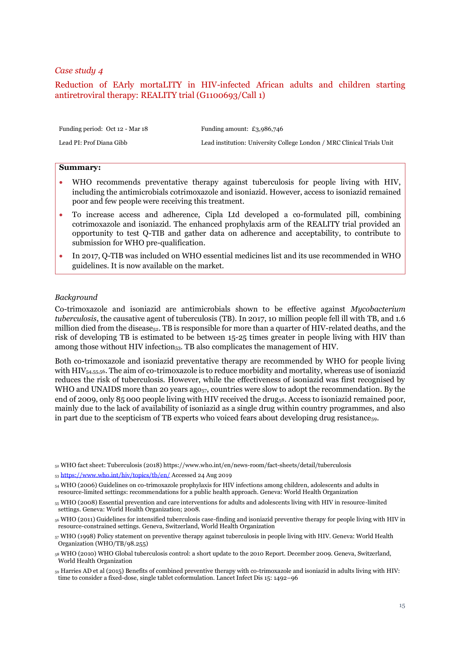# <span id="page-14-0"></span>Reduction of EArly mortaLITY in HIV-infected African adults and children starting antiretroviral therapy: REALITY trial (G1100693/Call 1)

| Funding period: Oct 12 - Mar 18 | Funding amount: $£3,986,746$                                           |
|---------------------------------|------------------------------------------------------------------------|
| Lead PI: Prof Diana Gibb        | Lead institution: University College London / MRC Clinical Trials Unit |

#### **Summary:**

- WHO recommends preventative therapy against tuberculosis for people living with HIV, including the antimicrobials cotrimoxazole and isoniazid. However, access to isoniazid remained poor and few people were receiving this treatment.
- To increase access and adherence, Cipla Ltd developed a co-formulated pill, combining cotrimoxazole and isoniazid. The enhanced prophylaxis arm of the REALITY trial provided an opportunity to test Q-TIB and gather data on adherence and acceptability, to contribute to submission for WHO pre-qualification.
- In 2017, Q-TIB was included on WHO essential medicines list and its use recommended in WHO guidelines. It is now available on the market.

#### *Background*

Co-trimoxazole and isoniazid are antimicrobials shown to be effective against *Mycobacterium tuberculosis*, the causative agent of tuberculosis (TB). In 2017, 10 million people fell ill with TB, and 1.6 million died from the disease<sub>52</sub>. TB is responsible for more than a quarter of HIV-related deaths, and the risk of developing TB is estimated to be between 15-25 times greater in people living with HIV than among those without HIV infection $_{53}$ . TB also complicates the management of HIV.

Both co-trimoxazole and isoniazid preventative therapy are recommended by WHO for people living with HIV<sub>54,55,56</sub>. The aim of co-trimoxazole is to reduce morbidity and mortality, whereas use of isoniazid reduces the risk of tuberculosis. However, while the effectiveness of isoniazid was first recognised by WHO and UNAIDS more than 20 years ago<sub>57</sub>, countries were slow to adopt the recommendation. By the end of 2009, only 85 000 people living with HIV received the drug<sub>58</sub>. Access to isoniazid remained poor, mainly due to the lack of availability of isoniazid as a single drug within country programmes, and also in part due to the scepticism of TB experts who voiced fears about developing drug resistance<sub>59</sub>.

59 Harries AD et al (2015) Benefits of combined preventive therapy with co-trimoxazole and isoniazid in adults living with HIV: time to consider a fixed-dose, single tablet coformulation. Lancet Infect Dis 15: 1492–96

<sup>52</sup> WHO fact sheet: Tuberculosis (2018) https://www.who.int/en/news-room/fact-sheets/detail/tuberculosis

<sup>53</sup> <https://www.who.int/hiv/topics/tb/en/> Accessed 24 Aug 2019

<sup>54</sup> WHO (2006) Guidelines on co-trimoxazole prophylaxis for HIV infections among children, adolescents and adults in resource-limited settings: recommendations for a public health approach. Geneva: World Health Organization

<sup>55</sup> WHO (2008) Essential prevention and care interventions for adults and adolescents living with HIV in resource-limited settings. Geneva: World Health Organization; 2008.

<sup>56</sup> WHO (2011) Guidelines for intensified tuberculosis case-finding and isoniazid preventive therapy for people living with HIV in resource-constrained settings. Geneva, Switzerland, World Health Organization

<sup>57</sup> WHO (1998) Policy statement on preventive therapy against tuberculosis in people living with HIV. Geneva: World Health Organization (WHO/TB/98.255)

<sup>58</sup> WHO (2010) WHO Global tuberculosis control: a short update to the 2010 Report. December 2009. Geneva, Switzerland, World Health Organization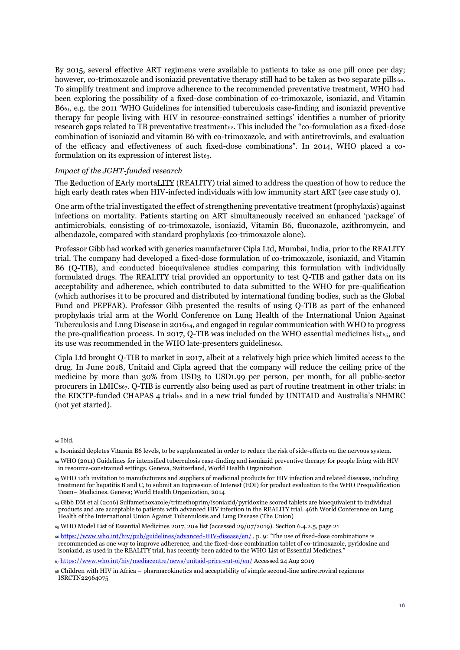By 2015, several effective ART regimens were available to patients to take as one pill once per day; however, co-trimoxazole and isoniazid preventative therapy still had to be taken as two separate pills60. To simplify treatment and improve adherence to the recommended preventative treatment, WHO had been exploring the possibility of a fixed-dose combination of co-trimoxazole, isoniazid, and Vitamin B661, e.g. the 2011 'WHO Guidelines for intensified tuberculosis case-finding and isoniazid preventive therapy for people living with HIV in resource-constrained settings' identifies a number of priority research gaps related to TB preventative treatment<sub>62</sub>. This included the "co-formulation as a fixed-dose" combination of isoniazid and vitamin B6 with co-trimoxazole, and with antiretrovirals, and evaluation of the efficacy and effectiveness of such fixed-dose combinations". In 2014, WHO placed a coformulation on its expression of interest list $_{63}$ .

#### *Impact of the JGHT-funded research*

The Reduction of EArly mortaLITY (REALITY) trial aimed to address the question of how to reduce the high early death rates when HIV-infected individuals with low immunity start ART (see case study [0\)](#page-9-0).

One arm of the trial investigated the effect of strengthening preventative treatment (prophylaxis) against infections on mortality. Patients starting on ART simultaneously received an enhanced 'package' of antimicrobials, consisting of co-trimoxazole, isoniazid, Vitamin B6, fluconazole, azithromycin, and albendazole, compared with standard prophylaxis (co-trimoxazole alone).

Professor Gibb had worked with generics manufacturer Cipla Ltd, Mumbai, India, prior to the REALITY trial. The company had developed a fixed-dose formulation of co-trimoxazole, isoniazid, and Vitamin B6 (Q-TIB), and conducted bioequivalence studies comparing this formulation with individually formulated drugs. The REALITY trial provided an opportunity to test Q-TIB and gather data on its acceptability and adherence, which contributed to data submitted to the WHO for pre-qualification (which authorises it to be procured and distributed by international funding bodies, such as the Global Fund and PEPFAR). Professor Gibb presented the results of using Q-TIB as part of the enhanced prophylaxis trial arm at the World Conference on Lung Health of the International Union Against Tuberculosis and Lung Disease in 201664, and engaged in regular communication with WHO to progress the pre-qualification process. In 2017, Q-TIB was included on the WHO essential medicines list $_{65}$ , and its use was recommended in the WHO late-presenters guidelines66.

Cipla Ltd brought Q-TIB to market in 2017, albeit at a relatively high price which limited access to the drug. In June 2018, Unitaid and Cipla agreed that the company will reduce the ceiling price of the medicine by more than 30% from USD3 to USD1.99 per person, per month, for all public-sector procurers in LMICs67. Q-TIB is currently also being used as part of routine treatment in other trials: in the EDCTP-funded CHAPAS 4 trial<sup>68</sup> and in a new trial funded by UNITAID and Australia's NHMRC (not yet started).

<sup>60</sup> Ibid.

- <sup>63</sup> WHO 12th invitation to manufacturers and suppliers of medicinal products for HIV infection and related diseases, including treatment for hepatitis B and C, to submit an Expression of Interest (EOI) for product evaluation to the WHO Prequalification Team– Medicines. Geneva; World Health Organization, 2014
- <sup>64</sup> Gibb DM et al (2016) Sulfamethoxazole/trimethoprim/isoniazid/pyridoxine scored tablets are bioequivalent to individual products and are acceptable to patients with advanced HIV infection in the REALITY trial. 46th World Conference on Lung Health of the International Union Against Tuberculosis and Lung Disease (The Union)

<sup>61</sup> Isoniazid depletes Vitamin B6 levels, to be supplemented in order to reduce the risk of side-effects on the nervous system.

<sup>62</sup> WHO (2011) Guidelines for intensified tuberculosis case-finding and isoniazid preventive therapy for people living with HIV in resource-constrained settings. Geneva, Switzerland, World Health Organization

 $65$  WHO Model List of Essential Medicines 2017, 20th list (accessed 29/07/2019). Section 6.4.2.5, page 21

<sup>66</sup> <https://www.who.int/hiv/pub/guidelines/advanced-HIV-disease/en/> , p. 9: "The use of fixed-dose combinations is recommended as one way to improve adherence, and the fixed-dose combination tablet of co-trimoxazole, pyridoxine and isoniazid, as used in the REALITY trial, has recently been added to the WHO List of Essential Medicines."

<sup>67</sup> <https://www.who.int/hiv/mediacentre/news/unitaid-price-cut-oi/en/> Accessed 24 Aug 2019

<sup>68</sup> Children with HIV in Africa – pharmacokinetics and acceptability of simple second-line antiretroviral regimens ISRCTN22964075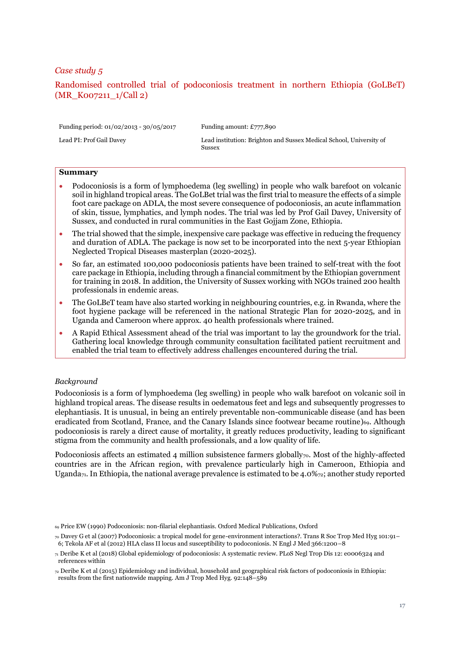# <span id="page-16-0"></span>Randomised controlled trial of podoconiosis treatment in northern Ethiopia (GoLBeT) (MR\_K007211\_1/Call 2)

Funding period: 01/02/2013 - 30/05/2017 Funding amount: £777,890

Lead PI: Prof Gail Davey Lead institution: Brighton and Sussex Medical School, University of Sussex

# **Summary**

- Podoconiosis is a form of lymphoedema (leg swelling) in people who walk barefoot on volcanic soil in highland tropical areas. The GoLBet trial was the first trial to measure the effects of a simple foot care package on ADLA, the most severe consequence of podoconiosis, an acute inflammation of skin, tissue, lymphatics, and lymph nodes. The trial was led by Prof Gail Davey, University of Sussex, and conducted in rural communities in the East Gojjam Zone, Ethiopia.
- The trial showed that the simple, inexpensive care package was effective in reducing the frequency and duration of ADLA. The package is now set to be incorporated into the next 5-year Ethiopian Neglected Tropical Diseases masterplan (2020-2025).
- So far, an estimated 100,000 podoconiosis patients have been trained to self-treat with the foot care package in Ethiopia, including through a financial commitment by the Ethiopian government for training in 2018. In addition, the University of Sussex working with NGOs trained 200 health professionals in endemic areas.
- The GoLBeT team have also started working in neighbouring countries, e.g. in Rwanda, where the foot hygiene package will be referenced in the national Strategic Plan for 2020-2025, and in Uganda and Cameroon where approx. 40 health professionals where trained.
- A Rapid Ethical Assessment ahead of the trial was important to lay the groundwork for the trial. Gathering local knowledge through community consultation facilitated patient recruitment and enabled the trial team to effectively address challenges encountered during the trial.

# *Background*

Podoconiosis is a form of lymphoedema (leg swelling) in people who walk barefoot on volcanic soil in highland tropical areas. The disease results in oedematous feet and legs and subsequently progresses to elephantiasis. It is unusual, in being an entirely preventable non-communicable disease (and has been eradicated from Scotland, France, and the Canary Islands since footwear became routine)<sub>69</sub>. Although podoconiosis is rarely a direct cause of mortality, it greatly reduces productivity, leading to significant stigma from the community and health professionals, and a low quality of life.

Podoconiosis affects an estimated 4 million subsistence farmers globally<sub>70</sub>. Most of the highly-affected countries are in the African region, with prevalence particularly high in Cameroon, Ethiopia and Uganda<sub>71</sub>. In Ethiopia, the national average prevalence is estimated to be 4.0% $z<sub>2</sub>$ ; another study reported

<sup>69</sup> Price EW (1990) Podoconiosis: non-filarial elephantiasis. Oxford Medical Publications, Oxford

<sup>70</sup> Davey G et al (2007) Podoconiosis: a tropical model for gene-environment interactions?. Trans R Soc Trop Med Hyg 101:91– 6; Tekola AF et al (2012) HLA class II locus and susceptibility to podoconiosis. N Engl J Med 366:1200–8

<sup>71</sup> Deribe K et al (2018) Global epidemiology of podoconiosis: A systematic review. PLoS Negl Trop Dis 12: e0006324 and references within

<sup>72</sup> Deribe K et al (2015) Epidemiology and individual, household and geographical risk factors of podoconiosis in Ethiopia: results from the first nationwide mapping. Am J Trop Med Hyg. 92:148–589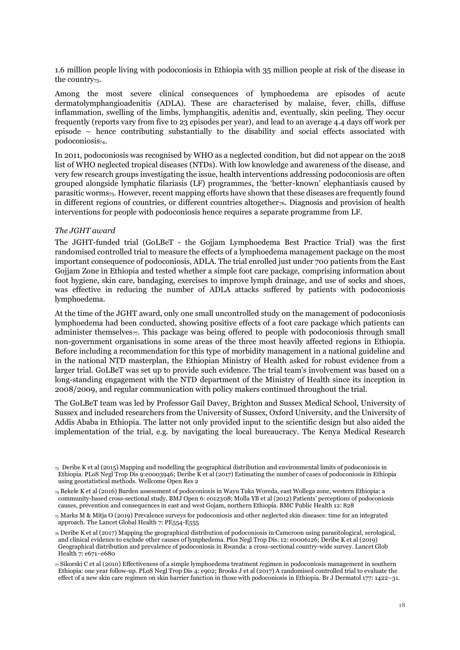1.6 million people living with podoconiosis in Ethiopia with 35 million people at risk of the disease in the country<sub>73</sub>.

Among the most severe clinical consequences of lymphoedema are episodes of acute dermatolymphangioadenitis (ADLA). These are characterised by malaise, fever, chills, diffuse inflammation, swelling of the limbs, lymphangitis, adenitis and, eventually, skin peeling. They occur frequently (reports vary from five to 23 episodes per year), and lead to an average 4.4 days off work per episode – hence contributing substantially to the disability and social effects associated with podoconiosis<sub>74</sub>.

In 2011, podoconiosis was recognised by WHO as a neglected condition, but did not appear on the 2018 list of WHO neglected tropical diseases (NTDs). With low knowledge and awareness of the disease, and very few research groups investigating the issue, health interventions addressing podoconiosis are often grouped alongside lymphatic filariasis (LF) programmes, the 'better-known' elephantiasis caused by parasitic worms75. However, recent mapping efforts have shown that these diseases are frequently found in different regions of countries, or different countries altogether<sub>76</sub>. Diagnosis and provision of health interventions for people with podoconiosis hence requires a separate programme from LF.

## *The JGHT award*

The JGHT-funded trial (GoLBeT - the Gojjam Lymphoedema Best Practice Trial) was the first randomised controlled trial to measure the effects of a lymphoedema management package on the most important consequence of podoconiosis, ADLA. The trial enrolled just under 700 patients from the East Gojjam Zone in Ethiopia and tested whether a simple foot care package, comprising information about foot hygiene, skin care, bandaging, exercises to improve lymph drainage, and use of socks and shoes, was effective in reducing the number of ADLA attacks suffered by patients with podoconiosis lymphoedema.

At the time of the JGHT award, only one small uncontrolled study on the management of podoconiosis lymphoedema had been conducted, showing positive effects of a foot care package which patients can administer themselves<sub>77</sub>. This package was being offered to people with podoconiosis through small non-government organisations in some areas of the three most heavily affected regions in Ethiopia. Before including a recommendation for this type of morbidity management in a national guideline and in the national NTD masterplan, the Ethiopian Ministry of Health asked for robust evidence from a larger trial. GoLBeT was set up to provide such evidence. The trial team's involvement was based on a long-standing engagement with the NTD department of the Ministry of Health since its inception in 2008/2009, and regular communication with policy makers continued throughout the trial.

The GoLBeT team was led by Professor Gail Davey, Brighton and Sussex Medical School, University of Sussex and included researchers from the University of Sussex, Oxford University, and the University of Addis Ababa in Ethiopia. The latter not only provided input to the scientific design but also aided the implementation of the trial, e.g. by navigating the local bureaucracy. The Kenya Medical Research

 $73$  Deribe K et al (2015) Mapping and modelling the geographical distribution and environmental limits of podoconiosis in Ethiopia. PLoS Negl Trop Dis 9:e0003946; Deribe K et al (2017) Estimating the number of cases of podoconiosis in Ethiopia using geostatistical methods. Wellcome Open Res 2

<sup>74</sup> Bekele K et al (2016) Burden assessment of podoconiosis in Wayu Tuka Woreda, east Wollega zone, western Ethiopia: a community-based cross-sectional study. BMJ Open 6: e012308; Molla YB et al (2012) Patients' perceptions of podoconiosis causes, prevention and consequences in east and west Gojam, northern Ethiopia. BMC Public Health 12: 828

 $75$  Marks M & Mitja O (2019) Prevalence surveys for podoconiosis and other neglected skin diseases: time for an integrated approach. The Lancet Global Health 7: PE554-E555

<sup>76</sup> Deribe K et al (2017) Mapping the geographical distribution of podoconiosis in Cameroon using parasitological, serological, and clinical evidence to exclude other causes of lymphedema. Plos Negl Trop Dis. 12: e0006126; Deribe K et al (2019) Geographical distribution and prevalence of podoconiosis in Rwanda: a cross-sectional country-wide survey. Lancet Glob Health 7: e671–e680

 $\tau$  Sikorski C et al (2010) Effectiveness of a simple lymphoedema treatment regimen in podoconiosis management in southern Ethiopia: one year follow-up. PLoS Negl Trop Dis 4: e902; Brooks J et al (2017) A randomised controlled trial to evaluate the effect of a new skin care regimen on skin barrier function in those with podoconiosis in Ethiopia. Br J Dermatol 177: 1422–31.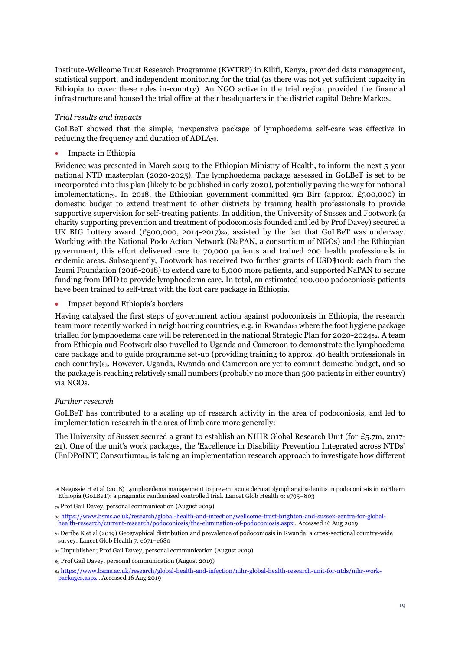Institute-Wellcome Trust Research Programme (KWTRP) in Kilifi, Kenya, provided data management, statistical support, and independent monitoring for the trial (as there was not yet sufficient capacity in Ethiopia to cover these roles in-country). An NGO active in the trial region provided the financial infrastructure and housed the trial office at their headquarters in the district capital Debre Markos.

# *Trial results and impacts*

GoLBeT showed that the simple, inexpensive package of lymphoedema self-care was effective in reducing the frequency and duration of ADLA78.

• Impacts in Ethiopia

Evidence was presented in March 2019 to the Ethiopian Ministry of Health, to inform the next 5-year national NTD masterplan (2020-2025). The lymphoedema package assessed in GoLBeT is set to be incorporated into this plan (likely to be published in early 2020), potentially paving the way for national implementation<sub>79</sub>. In 2018, the Ethiopian government committed 9m Birr (approx. £300,000) in domestic budget to extend treatment to other districts by training health professionals to provide supportive supervision for self-treating patients. In addition, the University of Sussex and Footwork (a charity supporting prevention and treatment of podoconiosis founded and led by Prof Davey) secured a UK BIG Lottery award (£500,000, 2014-2017)80, assisted by the fact that GoLBeT was underway. Working with the National Podo Action Network (NaPAN, a consortium of NGOs) and the Ethiopian government, this effort delivered care to 70,000 patients and trained 200 health professionals in endemic areas. Subsequently, Footwork has received two further grants of USD\$100k each from the Izumi Foundation (2016-2018) to extend care to 8,000 more patients, and supported NaPAN to secure funding from DfID to provide lymphoedema care. In total, an estimated 100,000 podoconiosis patients have been trained to self-treat with the foot care package in Ethiopia.

• Impact beyond Ethiopia's borders

Having catalysed the first steps of government action against podoconiosis in Ethiopia, the research team more recently worked in neighbouring countries, e.g. in Rwanda<sub>81</sub> where the foot hygiene package trialled for lymphoedema care will be referenced in the national Strategic Plan for 2020-202482. A team from Ethiopia and Footwork also travelled to Uganda and Cameroon to demonstrate the lymphoedema care package and to guide programme set-up (providing training to approx. 40 health professionals in each country)83. However, Uganda, Rwanda and Cameroon are yet to commit domestic budget, and so the package is reaching relatively small numbers (probably no more than 500 patients in either country) via NGOs.

# *Further research*

GoLBeT has contributed to a scaling up of research activity in the area of podoconiosis, and led to implementation research in the area of limb care more generally:

The University of Sussex secured a grant to establish an NIHR Global Research Unit (for £5.7m, 2017- 21). One of the unit's work packages, the 'Excellence in Disability Prevention Integrated across NTDs' (EnDPoINT) Consortium84, is taking an implementation research approach to investigate how different

<sup>78</sup> Negussie H et al (2018) Lymphoedema management to prevent acute dermatolymphangioadenitis in podoconiosis in northern Ethiopia (GoLBeT): a pragmatic randomised controlled trial. Lancet Glob Health 6: e795–803

<sup>79</sup> Prof Gail Davey, personal communication (August 2019)

<sup>80</sup> [https://www.bsms.ac.uk/research/global-health-and-infection/wellcome-trust-brighton-and-sussex-centre-for-global](https://www.bsms.ac.uk/research/global-health-and-infection/wellcome-trust-brighton-and-sussex-centre-for-global-health-research/current-research/podoconiosis/the-elimination-of-podoconiosis.aspx)[health-research/current-research/podoconiosis/the-elimination-of-podoconiosis.aspx](https://www.bsms.ac.uk/research/global-health-and-infection/wellcome-trust-brighton-and-sussex-centre-for-global-health-research/current-research/podoconiosis/the-elimination-of-podoconiosis.aspx) . Accessed 16 Aug 2019

<sup>81</sup> Deribe K et al (2019) Geographical distribution and prevalence of podoconiosis in Rwanda: a cross-sectional country-wide survey. Lancet Glob Health 7: e671–e680

<sup>82</sup> Unpublished; Prof Gail Davey, personal communication (August 2019)

<sup>83</sup> Prof Gail Davey, personal communication (August 2019)

<sup>84</sup> [https://www.bsms.ac.uk/research/global-health-and-infection/nihr-global-health-research-unit-for-ntds/nihr-work](https://www.bsms.ac.uk/research/global-health-and-infection/nihr-global-health-research-unit-for-ntds/nihr-work-packages.aspx)[packages.aspx](https://www.bsms.ac.uk/research/global-health-and-infection/nihr-global-health-research-unit-for-ntds/nihr-work-packages.aspx) . Accessed 16 Aug 2019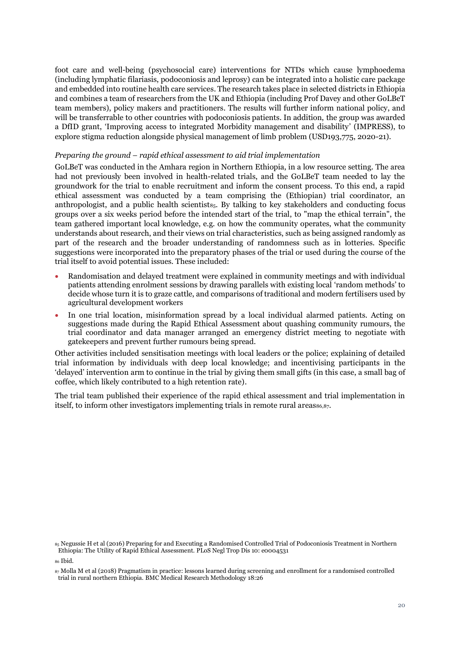foot care and well-being (psychosocial care) interventions for NTDs which cause lymphoedema (including lymphatic filariasis, podoconiosis and leprosy) can be integrated into a holistic care package and embedded into routine health care services. The research takes place in selected districts in Ethiopia and combines a team of researchers from the UK and Ethiopia (including Prof Davey and other GoLBeT team members), policy makers and practitioners. The results will further inform national policy, and will be transferrable to other countries with podoconiosis patients. In addition, the group was awarded a DfID grant, 'Improving access to integrated Morbidity management and disability' (IMPRESS), to explore stigma reduction alongside physical management of limb problem (USD193,775, 2020-21).

#### *Preparing the ground – rapid ethical assessment to aid trial implementation*

GoLBeT was conducted in the Amhara region in Northern Ethiopia, in a low resource setting. The area had not previously been involved in health-related trials, and the GoLBeT team needed to lay the groundwork for the trial to enable recruitment and inform the consent process. To this end, a rapid ethical assessment was conducted by a team comprising the (Ethiopian) trial coordinator, an anthropologist, and a public health scientist<sub>85</sub>. By talking to key stakeholders and conducting focus groups over a six weeks period before the intended start of the trial, to "map the ethical terrain", the team gathered important local knowledge, e.g. on how the community operates, what the community understands about research, and their views on trial characteristics, such as being assigned randomly as part of the research and the broader understanding of randomness such as in lotteries. Specific suggestions were incorporated into the preparatory phases of the trial or used during the course of the trial itself to avoid potential issues. These included:

- Randomisation and delayed treatment were explained in community meetings and with individual patients attending enrolment sessions by drawing parallels with existing local 'random methods' to decide whose turn it is to graze cattle, and comparisons of traditional and modern fertilisers used by agricultural development workers
- In one trial location, misinformation spread by a local individual alarmed patients. Acting on suggestions made during the Rapid Ethical Assessment about quashing community rumours, the trial coordinator and data manager arranged an emergency district meeting to negotiate with gatekeepers and prevent further rumours being spread.

Other activities included sensitisation meetings with local leaders or the police; explaining of detailed trial information by individuals with deep local knowledge; and incentivising participants in the 'delayed' intervention arm to continue in the trial by giving them small gifts (in this case, a small bag of coffee, which likely contributed to a high retention rate).

The trial team published their experience of the rapid ethical assessment and trial implementation in itself, to inform other investigators implementing trials in remote rural areas $86.87$ .

<sup>85</sup> Negussie H et al (2016) Preparing for and Executing a Randomised Controlled Trial of Podoconiosis Treatment in Northern Ethiopia: The Utility of Rapid Ethical Assessment. PLoS Negl Trop Dis 10: e0004531

<sup>86</sup> Ibid.

<sup>87</sup> Molla M et al (2018) Pragmatism in practice: lessons learned during screening and enrollment for a randomised controlled trial in rural northern Ethiopia. BMC Medical Research Methodology 18:26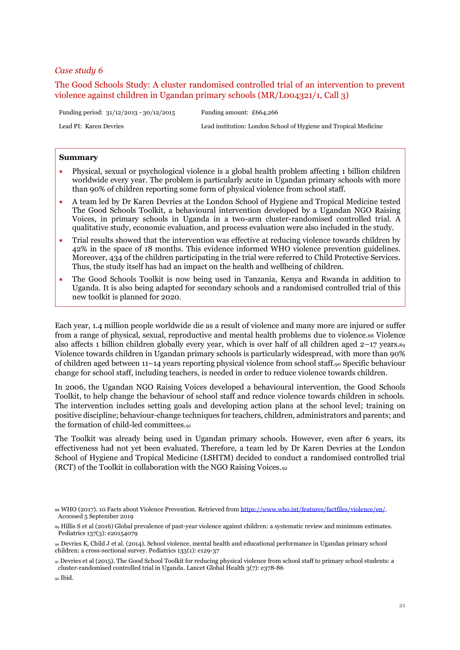<span id="page-20-0"></span>The Good Schools Study: A cluster randomised controlled trial of an intervention to prevent violence against children in Ugandan primary schools (MR/L004321/1, Call 3)

Funding period: 31/12/2013 - 30/12/2015 Funding amount: £664,266

Lead PI: Karen Devries Lead institution: London School of Hygiene and Tropical Medicine

#### **Summary**

- Physical, sexual or psychological violence is a global health problem affecting 1 billion children worldwide every year. The problem is particularly acute in Ugandan primary schools with more than 90% of children reporting some form of physical violence from school staff.
- A team led by Dr Karen Devries at the London School of Hygiene and Tropical Medicine tested The Good Schools Toolkit, a behavioural intervention developed by a Ugandan NGO Raising Voices, in primary schools in Uganda in a two-arm cluster-randomised controlled trial. A qualitative study, economic evaluation, and process evaluation were also included in the study.
- Trial results showed that the intervention was effective at reducing violence towards children by 42% in the space of 18 months. This evidence informed WHO violence prevention guidelines. Moreover, 434 of the children participating in the trial were referred to Child Protective Services. Thus, the study itself has had an impact on the health and wellbeing of children.
- The Good Schools Toolkit is now being used in Tanzania, Kenya and Rwanda in addition to Uganda. It is also being adapted for secondary schools and a randomised controlled trial of this new toolkit is planned for 2020.

Each year, 1.4 million people worldwide die as a result of violence and many more are injured or suffer from a range of physical, sexual, reproductive and mental health problems due to violence.88 Violence also affects 1 billion children globally every year, which is over half of all children aged  $2-17$  years. $89$ Violence towards children in Ugandan primary schools is particularly widespread, with more than 90% of children aged between 11–14 years reporting physical violence from school staff.<sup>90</sup> Specific behaviour change for school staff, including teachers, is needed in order to reduce violence towards children.

In 2006, the Ugandan NGO Raising Voices developed a behavioural intervention, the Good Schools Toolkit, to help change the behaviour of school staff and reduce violence towards children in schools. The intervention includes setting goals and developing action plans at the school level; training on positive discipline; behaviour-change techniques for teachers, children, administrators and parents; and the formation of child-led committees.<sup>91</sup>

The Toolkit was already being used in Ugandan primary schools. However, even after 6 years, its effectiveness had not yet been evaluated. Therefore, a team led by Dr Karen Devries at the London School of Hygiene and Tropical Medicine (LSHTM) decided to conduct a randomised controlled trial (RCT) of the Toolkit in collaboration with the NGO Raising Voices.<sup>92</sup>

<sup>88</sup> WHO (2017). 10 Facts about Violence Prevention. Retrieved fro[m https://www.who.int/features/factfiles/violence/en/.](https://www.who.int/features/factfiles/violence/en/) Accessed 5 September 2019

<sup>89</sup> Hillis S et al (2016) Global prevalence of past-year violence against children: a systematic review and minimum estimates. Pediatrics 137(3): e20154079

<sup>90</sup> Devries K, Child J et al. (2014). School violence, mental health and educational performance in Ugandan primary school children: a cross-sectional survey. Pediatrics 133(1): e129-37

<sup>91</sup> Devries et al (2015). The Good School Toolkit for reducing physical violence from school staff to primary school students: a cluster-randomised controlled trial in Uganda. Lancet Global Health 3(7): e378-86

<sup>92</sup> Ibid.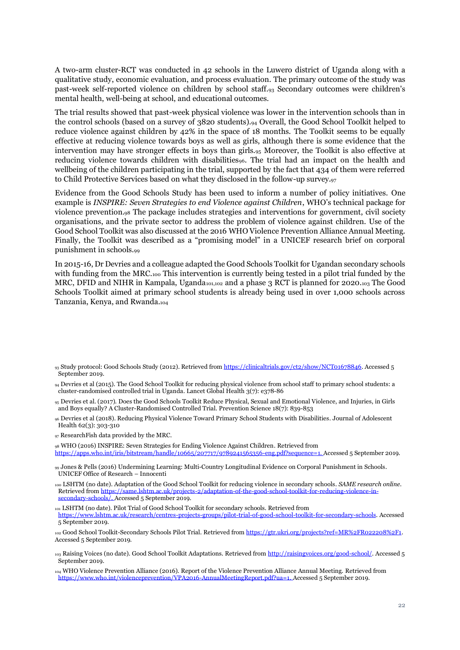A two-arm cluster-RCT was conducted in 42 schools in the Luwero district of Uganda along with a qualitative study, economic evaluation, and process evaluation. The primary outcome of the study was past-week self-reported violence on children by school staff.<sup>93</sup> Secondary outcomes were children's mental health, well-being at school, and educational outcomes.

The trial results showed that past-week physical violence was lower in the intervention schools than in the control schools (based on a survey of 3820 students).<sup>94</sup> Overall, the Good School Toolkit helped to reduce violence against children by 42% in the space of 18 months. The Toolkit seems to be equally effective at reducing violence towards boys as well as girls, although there is some evidence that the intervention may have stronger effects in boys than girls.<sup>95</sup> Moreover, the Toolkit is also effective at reducing violence towards children with disabilities<sub>96</sub>. The trial had an impact on the health and wellbeing of the children participating in the trial, supported by the fact that 434 of them were referred to Child Protective Services based on what they disclosed in the follow-up survey.<sup>97</sup>

Evidence from the Good Schools Study has been used to inform a number of policy initiatives. One example is *INSPIRE: Seven Strategies to end Violence against Children*, WHO's technical package for violence prevention*.*<sup>98</sup> The package includes strategies and interventions for government, civil society organisations, and the private sector to address the problem of violence against children. Use of the Good School Toolkit was also discussed at the 2016 WHO Violence Prevention Alliance Annual Meeting. Finally, the Toolkit was described as a "promising model" in a UNICEF research brief on corporal punishment in schools.<sup>99</sup>

In 2015-16, Dr Devries and a colleague adapted the Good Schools Toolkit for Ugandan secondary schools with funding from the MRC.<sub>100</sub> This intervention is currently being tested in a pilot trial funded by the MRC, DFID and NIHR in Kampala, Uganda<sub>101,102</sub> and a phase 3 RCT is planned for 2020.103 The Good Schools Toolkit aimed at primary school students is already being used in over 1,000 schools across Tanzania, Kenya, and Rwanda.<sup>104</sup>

<sup>98</sup> WHO (2016) INSPIRE: Seven Strategies for Ending Violence Against Children*.* Retrieved from

[https://apps.who.int/iris/bitstream/handle/10665/207717/9789241565356-eng.pdf?sequence=1.](https://apps.who.int/iris/bitstream/handle/10665/207717/9789241565356-eng.pdf?sequence=1) Accessed 5 September 2019.

<sup>99</sup> Jones & Pells (2016) Undermining Learning: Multi-Country Longitudinal Evidence on Corporal Punishment in Schools. UNICEF Office of Research – Innocenti

<sup>100</sup> LSHTM (no date). Adaptation of the Good School Toolkit for reducing violence in secondary schools. *SAME research online*. Retrieved fro[m https://same.lshtm.ac.uk/projects-2/adaptation-of-the-good-school-toolkit-for-reducing-violence-in](https://same.lshtm.ac.uk/projects-2/adaptation-of-the-good-school-toolkit-for-reducing-violence-in-secondary-schools/)[secondary-schools/.](https://same.lshtm.ac.uk/projects-2/adaptation-of-the-good-school-toolkit-for-reducing-violence-in-secondary-schools/) Accessed 5 September 2019.

<sup>101</sup> LSHTM (no date). Pilot Trial of Good School Toolkit for secondary schools. Retrieved from

[https://www.lshtm.ac.uk/research/centres-projects-groups/pilot-trial-of-good-school-toolkit-for-secondary-schools.](https://www.lshtm.ac.uk/research/centres-projects-groups/pilot-trial-of-good-school-toolkit-for-secondary-schools) Accessed 5 September 2019.

<sup>102</sup> Good School Toolkit-Secondary Schools Pilot Trial. Retrieved from [https://gtr.ukri.org/projects?ref=MR%2FR022208%2F1.](https://gtr.ukri.org/projects?ref=MR%2FR022208%2F1) Accessed 5 September 2019.

103 Raising Voices (no date). Good School Toolkit Adaptations. Retrieved fro[m http://raisingvoices.org/good-school/.](http://raisingvoices.org/good-school/) Accessed 5 September 2019.

<sup>104</sup> WHO Violence Prevention Alliance (2016). Report of the Violence Prevention Alliance Annual Meeting. Retrieved from [https://www.who.int/violenceprevention/VPA2016-AnnualMeetingReport.pdf?ua=1.](https://www.who.int/violenceprevention/VPA2016-AnnualMeetingReport.pdf?ua=1) Accessed 5 September 2019.

<sup>93</sup> Study protocol: Good Schools Study (2012). Retrieved fro[m https://clinicaltrials.gov/ct2/show/NCT01678846.](https://clinicaltrials.gov/ct2/show/NCT01678846) Accessed 5 September 2019.

<sup>94</sup> Devries et al (2015). The Good School Toolkit for reducing physical violence from school staff to primary school students: a cluster-randomised controlled trial in Uganda. Lancet Global Health 3(7): e378-86

<sup>95</sup> Devries et al. (2017). Does the Good Schools Toolkit Reduce Physical, Sexual and Emotional Violence, and Injuries, in Girls and Boys equally? A Cluster-Randomised Controlled Trial. Prevention Science 18(7): 839-853

<sup>96</sup> Devries et al (2018). Reducing Physical Violence Toward Primary School Students with Disabilities. Journal of Adolescent Health 62(3): 303-310

<sup>97</sup> ResearchFish data provided by the MRC.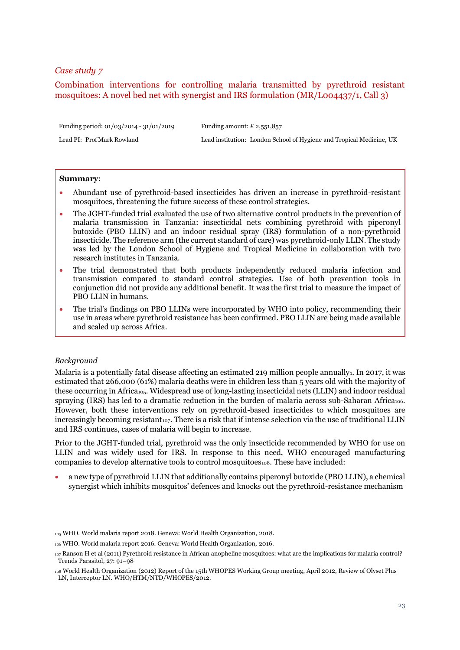# <span id="page-22-0"></span>Combination interventions for controlling malaria transmitted by pyrethroid resistant mosquitoes: A novel bed net with synergist and IRS formulation (MR/L004437/1, Call 3)

Funding period: 01/03/2014 - 31/01/2019 Funding amount: £ 2,551,857

Lead PI: Prof Mark Rowland Lead institution: London School of Hygiene and Tropical Medicine, UK

#### **Summary**:

- Abundant use of pyrethroid-based insecticides has driven an increase in pyrethroid-resistant mosquitoes, threatening the future success of these control strategies.
- The JGHT-funded trial evaluated the use of two alternative control products in the prevention of malaria transmission in Tanzania: insecticidal nets combining pyrethroid with piperonyl butoxide (PBO LLIN) and an indoor residual spray (IRS) formulation of a non-pyrethroid insecticide. The reference arm (the current standard of care) was pyrethroid-only LLIN. The study was led by the London School of Hygiene and Tropical Medicine in collaboration with two research institutes in Tanzania.
- The trial demonstrated that both products independently reduced malaria infection and transmission compared to standard control strategies. Use of both prevention tools in conjunction did not provide any additional benefit. It was the first trial to measure the impact of PBO LLIN in humans.
- The trial's findings on PBO LLINs were incorporated by WHO into policy, recommending their use in areas where pyrethroid resistance has been confirmed. PBO LLIN are being made available and scaled up across Africa.

## *Background*

Malaria is a potentially fatal disease affecting an estimated 219 million people annually1. In 2017, it was estimated that 266,000 (61%) malaria deaths were in children less than 5 years old with the majority of these occurring in Africa<sub>105</sub>. Widespread use of long-lasting insecticidal nets (LLIN) and indoor residual spraying (IRS) has led to a dramatic reduction in the burden of malaria across sub-Saharan Africa<sub>106</sub>. However, both these interventions rely on pyrethroid-based insecticides to which mosquitoes are increasingly becoming resistant<sub>107</sub>. There is a risk that if intense selection via the use of traditional LLIN and IRS continues, cases of malaria will begin to increase.

Prior to the JGHT-funded trial, pyrethroid was the only insecticide recommended by WHO for use on LLIN and was widely used for IRS*.* In response to this need, WHO encouraged manufacturing companies to develop alternative tools to control mosquitoes<sub>108</sub>. These have included:

• a new type of pyrethroid LLIN that additionally contains piperonyl butoxide (PBO LLIN), a chemical synergist which inhibits mosquitos' defences and knocks out the pyrethroid-resistance mechanism

<sup>105</sup> WHO. World malaria report 2018. Geneva: World Health Organization, 2018.

<sup>106</sup> WHO. World malaria report 2016. Geneva: World Health Organization, 2016.

<sup>107</sup> Ranson H et al (2011) Pyrethroid resistance in African anopheline mosquitoes: what are the implications for malaria control? Trends Parasitol, 27: 91–98

<sup>108</sup> World Health Organization (2012) Report of the 15th WHOPES Working Group meeting, April 2012, Review of Olyset Plus LN, Interceptor LN. WHO/HTM/NTD/WHOPES/2012.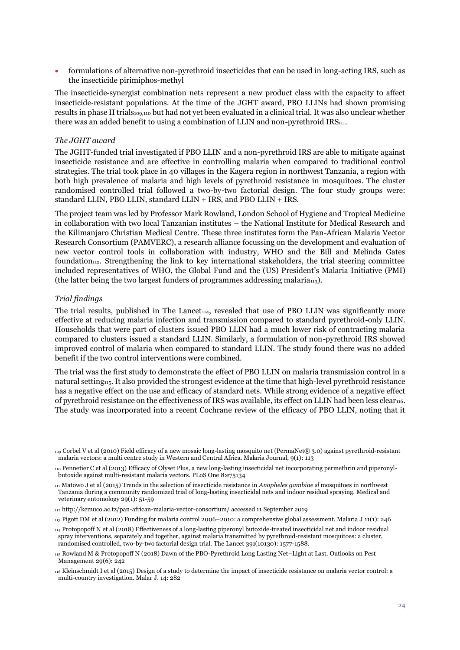• formulations of alternative non-pyrethroid insecticides that can be used in long-acting IRS, such as the insecticide pirimiphos-methyl

The insecticide‐synergist combination nets represent a new product class with the capacity to affect insecticide‐resistant populations. At the time of the JGHT award, PBO LLINs had shown promising results in phase II trials109,110 but had not yet been evaluated in a clinical trial. It was also unclear whether there was an added benefit to using a combination of LLIN and non-pyrethroid IRS111.

## *The JGHT award*

The JGHT-funded trial investigated if PBO LLIN and a non-pyrethroid IRS are able to mitigate against insecticide resistance and are effective in controlling malaria when compared to traditional control strategies. The trial took place in 40 villages in the Kagera region in northwest Tanzania, a region with both high prevalence of malaria and high levels of pyrethroid resistance in mosquitoes. The cluster randomised controlled trial followed a two-by-two factorial design. The four study groups were: standard LLIN, PBO LLIN, standard LLIN + IRS, and PBO LLIN + IRS.

The project team was led by Professor Mark Rowland, London School of Hygiene and Tropical Medicine in collaboration with two local Tanzanian institutes – the National Institute for Medical Research and the Kilimanjaro Christian Medical Centre. These three institutes form the Pan-African Malaria Vector Research Consortium (PAMVERC), a research alliance focussing on the development and evaluation of new vector control tools in collaboration with industry, WHO and the Bill and Melinda Gates foundation<sub>112</sub>. Strengthening the link to key international stakeholders, the trial steering committee included representatives of WHO, the Global Fund and the (US) President's Malaria Initiative (PMI) (the latter being the two largest funders of programmes addressing malaria<sub>113</sub>).

## *Trial findings*

The trial results, published in The Lancet<sub>114</sub>, revealed that use of PBO LLIN was significantly more effective at reducing malaria infection and transmission compared to standard pyrethroid-only LLIN. Households that were part of clusters issued PBO LLIN had a much lower risk of contracting malaria compared to clusters issued a standard LLIN. Similarly, a formulation of non-pyrethroid IRS showed improved control of malaria when compared to standard LLIN. The study found there was no added benefit if the two control interventions were combined.

The trial was the first study to demonstrate the effect of PBO LLIN on malaria transmission control in a natural setting<sub>115</sub>. It also provided the strongest evidence at the time that high-level pyrethroid resistance has a negative effect on the use and efficacy of standard nets. While strong evidence of a negative effect of pyrethroid resistance on the effectiveness of IRS was available, its effect on LLIN had been less clear116. The study was incorporated into a recent Cochrane review of the efficacy of PBO LLIN, noting that it

<sup>109</sup> Corbel V et al (2010) Field efficacy of a new mosaic long-lasting mosquito net (PermaNet® 3.0) against pyrethroid-resistant malaria vectors: a multi centre study in Western and Central Africa. Malaria Journal, 9(1): 113

<sup>110</sup> Pennetier C et al (2013) Efficacy of Olyset Plus, a new long-lasting insecticidal net incorporating permethrin and piperonylbutoxide against multi-resistant malaria vectors. PLoS One 8:e75134

<sup>111</sup> Matowo J et al (2015) Trends in the selection of insecticide resistance in *Anopheles gambiae sl* mosquitoes in northwest Tanzania during a community randomized trial of long-lasting insecticidal nets and indoor residual spraying. Medical and veterinary entomology 29(1): 51-59

<sup>112</sup> http://kcmuco.ac.tz/pan-african-malaria-vector-consortium/ accessed 11 September 2019

<sup>113</sup> Pigott DM et al (2012) Funding for malaria control 2006–2010: a comprehensive global assessment. Malaria J 11(1): 246

<sup>114</sup> Protopopoff N et al (2018) Effectiveness of a long-lasting piperonyl butoxide-treated insecticidal net and indoor residual spray interventions, separately and together, against malaria transmitted by pyrethroid-resistant mosquitoes: a cluster, randomised controlled, two-by-two factorial design trial. The Lancet 391(10130): 1577-1588.

<sup>115</sup> Rowland M & Protopopoff N (2018) Dawn of the PBO-Pyrethroid Long Lasting Net–Light at Last. Outlooks on Pest Management 29(6): 242

<sup>116</sup> Kleinschmidt I et al (2015) Design of a study to determine the impact of insecticide resistance on malaria vector control: a multi-country investigation. Malar J. 14: 282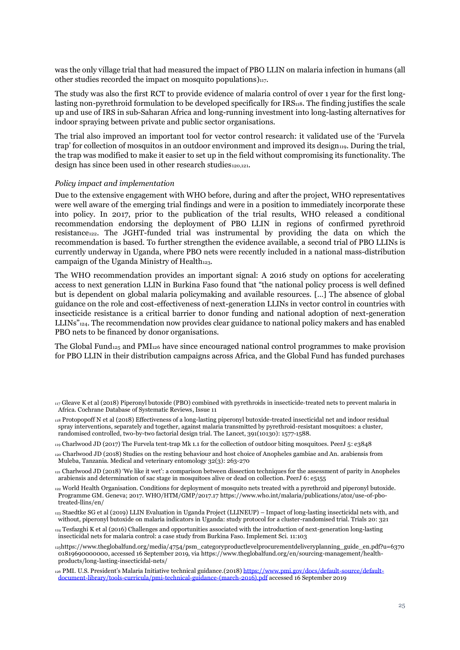was the only village trial that had measured the impact of PBO LLIN on malaria infection in humans (all other studies recorded the impact on mosquito populations) $_{117}$ .

The study was also the first RCT to provide evidence of malaria control of over 1 year for the first longlasting non-pyrethroid formulation to be developed specifically for IRS<sub>118</sub>. The finding justifies the scale up and use of IRS in sub-Saharan Africa and long-running investment into long-lasting alternatives for indoor spraying between private and public sector organisations.

The trial also improved an important tool for vector control research: it validated use of the 'Furvela trap' for collection of mosquitos in an outdoor environment and improved its design<sub>119</sub>. During the trial, the trap was modified to make it easier to set up in the field without compromising its functionality. The design has since been used in other research studies<sup>120,121</sup>.

#### *Policy impact and implementation*

Due to the extensive engagement with WHO before, during and after the project, WHO representatives were well aware of the emerging trial findings and were in a position to immediately incorporate these into policy. In 2017, prior to the publication of the trial results, WHO released a conditional recommendation endorsing the deployment of PBO LLIN in regions of confirmed pyrethroid resistance<sub>122</sub>. The JGHT-funded trial was instrumental by providing the data on which the recommendation is based. To further strengthen the evidence available, a second trial of PBO LLINs is currently underway in Uganda, where PBO nets were recently included in a national mass-distribution campaign of the Uganda Ministry of Health $_{123}$ .

The WHO recommendation provides an important signal: A 2016 study on options for accelerating access to next generation LLIN in Burkina Faso found that "the national policy process is well defined but is dependent on global malaria policymaking and available resources. […] The absence of global guidance on the role and cost-effectiveness of next-generation LLINs in vector control in countries with insecticide resistance is a critical barrier to donor funding and national adoption of next-generation LLINs"<sub>124</sub>. The recommendation now provides clear guidance to national policy makers and has enabled PBO nets to be financed by donor organisations.

The Global Fund<sub>125</sub> and PMI<sub>126</sub> have since encouraged national control programmes to make provision for PBO LLIN in their distribution campaigns across Africa, and the Global Fund has funded purchases

 $_{117}$  Gleave K et al (2018) Piperonyl butoxide (PBO) combined with pyrethroids in insecticide-treated nets to prevent malaria in Africa. Cochrane Database of Systematic Reviews, Issue 11

<sup>118</sup> Protopopoff N et al (2018) Effectiveness of a long-lasting piperonyl butoxide-treated insecticidal net and indoor residual spray interventions, separately and together, against malaria transmitted by pyrethroid-resistant mosquitoes: a cluster, randomised controlled, two-by-two factorial design trial. The Lancet, 391(10130): 1577-1588.

<sup>119</sup> Charlwood JD (2017) The Furvela tent-trap Mk 1.1 for the collection of outdoor biting mosquitoes. PeerJ 5: e3848

<sup>120</sup> Charlwood JD (2018) Studies on the resting behaviour and host choice of Anopheles gambiae and An. arabiensis from Muleba, Tanzania. Medical and veterinary entomology 32(3): 263-270

<sup>121</sup> Charlwood JD (2018) 'We like it wet': a comparison between dissection techniques for the assessment of parity in Anopheles arabiensis and determination of sac stage in mosquitoes alive or dead on collection. PeerJ 6: e5155

<sup>122</sup> World Health Organisation. Conditions for deployment of mosquito nets treated with a pyrethroid and piperonyl butoxide. Programme GM. Geneva; 2017. WHO/HTM/GMP/2017.17 https://www.who.int/malaria/publications/atoz/use-of-pbotreated-llins/en/

<sup>123</sup> Staedtke SG et al (2019) LLIN Evaluation in Uganda Project (LLINEUP) – Impact of long-lasting insecticidal nets with, and without, piperonyl butoxide on malaria indicators in Uganda: study protocol for a cluster-randomised trial. Trials 20: 321

<sup>124</sup> Tesfazghi K et al (2016) Challenges and opportunities associated with the introduction of next-generation long-lasting insecticidal nets for malaria control: a case study from Burkina Faso. Implement Sci. 11:103

 $125$ https://www.theglobalfund.org/media/4754/psm\_categoryproductlevelprocurementdeliveryplanning\_guide\_en.pdf?u=6370 01819690000000, accessed 16 September 2019, via https://www.theglobalfund.org/en/sourcing-management/healthproducts/long-lasting-insecticidal-nets/

<sup>126</sup> PMI. U.S. President's Malaria Initiative technical guidance.(2018) [https://www.pmi.gov/docs/default-source/default](https://www.pmi.gov/docs/default-source/default-document-library/tools-curricula/pmi-technical-guidance-(march-2016).pdf)[document-library/tools-curricula/pmi-technical-guidance-\(march-2016\).pdf](https://www.pmi.gov/docs/default-source/default-document-library/tools-curricula/pmi-technical-guidance-(march-2016).pdf) accessed 16 September 2019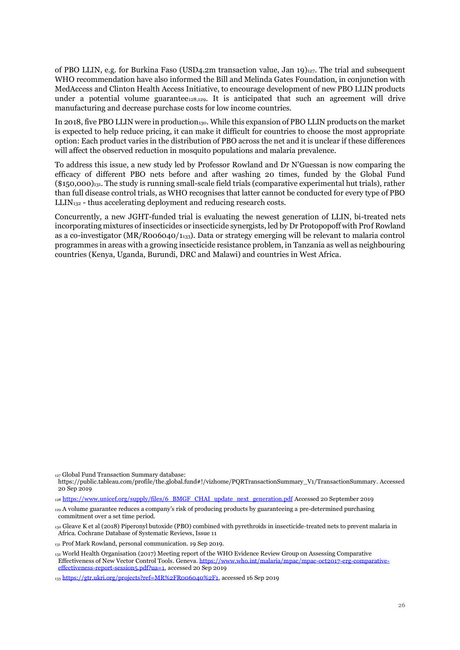of PBO LLIN, e.g. for Burkina Faso (USD4.2m transaction value, Jan 19)127. The trial and subsequent WHO recommendation have also informed the Bill and Melinda Gates Foundation, in conjunction with MedAccess and Clinton Health Access Initiative, to encourage development of new PBO LLIN products under a potential volume guarantee<sub>128,129</sub>. It is anticipated that such an agreement will drive manufacturing and decrease purchase costs for low income countries.

In 2018, five PBO LLIN were in production<sub>130</sub>. While this expansion of PBO LLIN products on the market is expected to help reduce pricing, it can make it difficult for countries to choose the most appropriate option: Each product varies in the distribution of PBO across the net and it is unclear if these differences will affect the observed reduction in mosquito populations and malaria prevalence.

To address this issue, a new study led by Professor Rowland and Dr N'Guessan is now comparing the efficacy of different PBO nets before and after washing 20 times, funded by the Global Fund (\$150,000)131. The study is running small-scale field trials (comparative experimental hut trials), rather than full disease control trials, as WHO recognises that latter cannot be conducted for every type of PBO  $LLIN<sub>132</sub>$  - thus accelerating deployment and reducing research costs.

Concurrently, a new JGHT-funded trial is evaluating the newest generation of LLIN, bi-treated nets incorporating mixtures of insecticides or insecticide synergists, led by Dr Protopopoff with Prof Rowland as a co-investigator (MR/R006040/1133). Data or strategy emerging will be relevant to malaria control programmes in areas with a growing insecticide resistance problem, in Tanzania as well as neighbouring countries (Kenya, Uganda, Burundi, DRC and Malawi) and countries in West Africa.

<sup>127</sup> Global Fund Transaction Summary database:

https://public.tableau.com/profile/the.global.fund#!/vizhome/PQRTransactionSummary\_V1/TransactionSummary. Accessed 20 Sep 2019

<sup>128</sup> [https://www.unicef.org/supply/files/6\\_BMGF\\_CHAI\\_update\\_next\\_generation.pdf](https://www.unicef.org/supply/files/6_BMGF_CHAI_update_next_generation.pdf) Accessed 20 September 2019

<sup>129</sup> A volume guarantee reduces a company's risk of producing products by guaranteeing a pre-determined purchasing commitment over a set time period.

<sup>130</sup> Gleave K et al (2018) Piperonyl butoxide (PBO) combined with pyrethroids in insecticide‐treated nets to prevent malaria in Africa. Cochrane Database of Systematic Reviews, Issue 11

<sup>131</sup> Prof Mark Rowland, personal communication. 19 Sep 2019.

<sup>132</sup> World Health Organisation (2017) Meeting report of the WHO Evidence Review Group on Assessing Comparative Effectiveness of New Vector Control Tools. Geneva[. https://www.who.int/malaria/mpac/mpac-oct2017-erg-comparative](https://www.who.int/malaria/mpac/mpac-oct2017-erg-comparative-effectiveness-report-session5.pdf?ua=1)sion5.pdf?ua=1, accessed 20 Sep 2019

<sup>133</sup> [https://gtr.ukri.org/projects?ref=MR%2FR006040%2F1,](https://gtr.ukri.org/projects?ref=MR%2FR006040%2F1) accessed 16 Sep 2019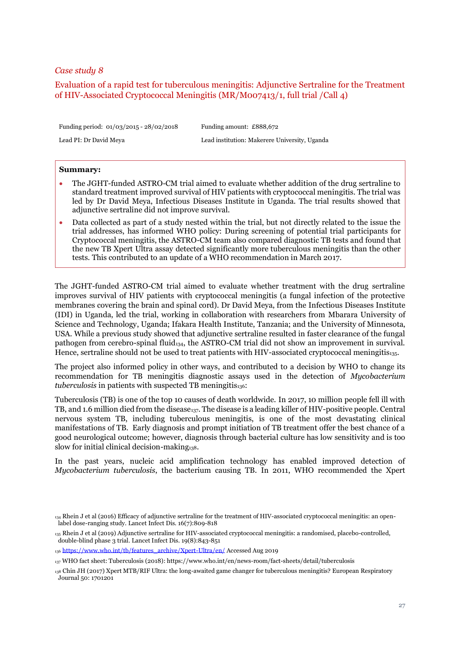# <span id="page-26-0"></span>Evaluation of a rapid test for tuberculous meningitis: Adjunctive Sertraline for the Treatment of HIV-Associated Cryptococcal Meningitis (MR/M007413/1, full trial /Call 4)

Funding period: 01/03/2015 - 28/02/2018 Funding amount: £888,672

Lead PI: Dr David Meya Lead institution: Makerere University, Uganda

#### **Summary:**

- The JGHT-funded ASTRO-CM trial aimed to evaluate whether addition of the drug sertraline to standard treatment improved survival of HIV patients with cryptococcal meningitis. The trial was led by Dr David Meya, Infectious Diseases Institute in Uganda. The trial results showed that adjunctive sertraline did not improve survival.
- Data collected as part of a study nested within the trial, but not directly related to the issue the trial addresses, has informed WHO policy: During screening of potential trial participants for Cryptococcal meningitis, the ASTRO-CM team also compared diagnostic TB tests and found that the new TB Xpert Ultra assay detected significantly more tuberculous meningitis than the other tests. This contributed to an update of a WHO recommendation in March 2017.

The JGHT-funded ASTRO-CM trial aimed to evaluate whether treatment with the drug sertraline improves survival of HIV patients with cryptococcal meningitis (a fungal infection of the protective membranes covering the brain and spinal cord). Dr David Meya, from the Infectious Diseases Institute (IDI) in Uganda, led the trial, working in collaboration with researchers from Mbarara University of Science and Technology, Uganda; Ifakara Health Institute, Tanzania; and the University of Minnesota, USA. While a previous study showed that adjunctive sertraline resulted in faster clearance of the fungal pathogen from cerebro-spinal fluid<sub>134</sub>, the ASTRO-CM trial did not show an improvement in survival. Hence, sertraline should not be used to treat patients with HIV-associated cryptococcal meningitis135.

The project also informed policy in other ways, and contributed to a decision by WHO to change its recommendation for TB meningitis diagnostic assays used in the detection of *Mycobacterium tuberculosis* in patients with suspected TB meningitis136:

Tuberculosis (TB) is one of the top 10 causes of death worldwide. In 2017, 10 million people fell ill with TB, and 1.6 million died from the disease<sub>137</sub>. The disease is a leading killer of HIV-positive people. Central nervous system TB, including tuberculous meningitis, is one of the most devastating clinical manifestations of TB. Early diagnosis and prompt initiation of TB treatment offer the best chance of a good neurological outcome; however, diagnosis through bacterial culture has low sensitivity and is too slow for initial clinical decision-making $_{138}$ .

In the past years, nucleic acid amplification technology has enabled improved detection of *Mycobacterium tuberculosis*, the bacterium causing TB. In 2011, WHO recommended the Xpert

<sup>134</sup> Rhein J et al (2016) Efficacy of adjunctive sertraline for the treatment of HIV-associated cryptococcal meningitis: an openlabel dose-ranging study. Lancet Infect Dis. 16(7):809-818

<sup>135</sup> Rhein J et al (2019) Adjunctive sertraline for HIV-associated cryptococcal meningitis: a randomised, placebo-controlled, double-blind phase 3 trial. Lancet Infect Dis. 19(8):843-851

<sup>136</sup> [https://www.who.int/tb/features\\_archive/Xpert-Ultra/en/](https://www.who.int/tb/features_archive/Xpert-Ultra/en/) Accessed Aug 2019

<sup>137</sup> WHO fact sheet: Tuberculosis (2018): https://www.who.int/en/news-room/fact-sheets/detail/tuberculosis

<sup>138</sup> Chin JH (2017) Xpert MTB/RIF Ultra: the long-awaited game changer for tuberculous meningitis? European Respiratory Journal 50: 1701201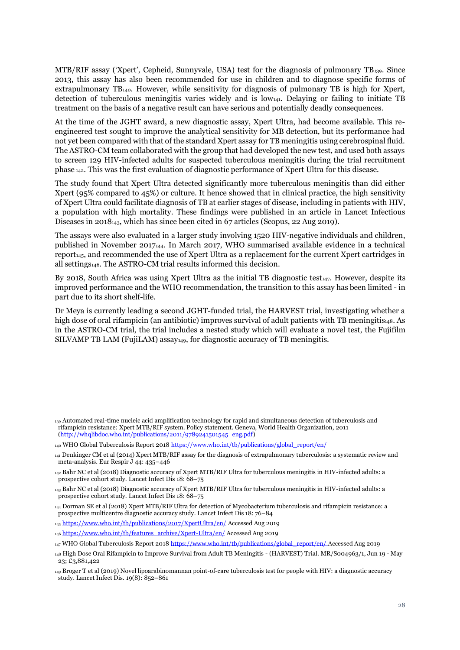MTB/RIF assay ('Xpert', Cepheid, Sunnyvale, USA) test for the diagnosis of pulmonary TB139. Since 2013, this assay has also been recommended for use in children and to diagnose specific forms of extrapulmonary TB140. However, while sensitivity for diagnosis of pulmonary TB is high for Xpert, detection of tuberculous meningitis varies widely and is  $low_{141}$ . Delaying or failing to initiate TB treatment on the basis of a negative result can have serious and potentially deadly consequences.

At the time of the JGHT award, a new diagnostic assay, Xpert Ultra, had become available. This reengineered test sought to improve the analytical sensitivity for MB detection, but its performance had not yet been compared with that of the standard Xpert assay for TB meningitis using cerebrospinal fluid. The ASTRO-CM team collaborated with the group that had developed the new test, and used both assays to screen 129 HIV-infected adults for suspected tuberculous meningitis during the trial recruitment phase <sup>142</sup>. This was the first evaluation of diagnostic performance of Xpert Ultra for this disease.

The study found that Xpert Ultra detected significantly more tuberculous meningitis than did either Xpert (95% compared to 45%) or culture. It hence showed that in clinical practice, the high sensitivity of Xpert Ultra could facilitate diagnosis of TB at earlier stages of disease, including in patients with HIV, a population with high mortality. These findings were published in an article in Lancet Infectious Diseases in 2018<sub>143</sub>, which has since been cited in 67 articles (Scopus, 22 Aug 2019).

The assays were also evaluated in a larger study involving 1520 HIV-negative individuals and children, published in November 2017144. In March 2017, WHO summarised available evidence in a technical report<sub>145</sub>, and recommended the use of Xpert Ultra as a replacement for the current Xpert cartridges in all settings146. The ASTRO-CM trial results informed this decision.

By 2018, South Africa was using Xpert Ultra as the initial TB diagnostic test<sub>147</sub>. However, despite its improved performance and the WHO recommendation, the transition to this assay has been limited - in part due to its short shelf-life.

Dr Meya is currently leading a second JGHT-funded trial, the HARVEST trial, investigating whether a high dose of oral rifampicin (an antibiotic) improves survival of adult patients with TB meningitis<sub>148</sub>. As in the ASTRO-CM trial, the trial includes a nested study which will evaluate a novel test, the Fujifilm SILVAMP TB LAM (FujiLAM) assay<sub>149</sub>, for diagnostic accuracy of TB meningitis.

<sup>145</sup> <https://www.who.int/tb/publications/2017/XpertUltra/en/> Accessed Aug 2019

<sup>146</sup> [https://www.who.int/tb/features\\_archive/Xpert-Ultra/en/](https://www.who.int/tb/features_archive/Xpert-Ultra/en/) Accessed Aug 2019

<sup>139</sup> Automated real-time nucleic acid amplification technology for rapid and simultaneous detection of tuberculosis and rifampicin resistance: Xpert MTB/RIF system. Policy statement. Geneva, World Health Organization, 2011  $(\text{http://whqlibdoc.who.int/publications/2011/9789241501545-eng.pdf})$ 

<sup>140</sup> WHO Global Tuberculosis Report 201[8 https://www.who.int/tb/publications/global\\_report/en/](https://www.who.int/tb/publications/global_report/en/)

<sup>141</sup> Denkinger CM et al (2014) Xpert MTB/RIF assay for the diagnosis of extrapulmonary tuberculosis: a systematic review and meta-analysis. Eur Respir J 44: 435–446

<sup>142</sup> Bahr NC et al (2018) Diagnostic accuracy of Xpert MTB/RIF Ultra for tuberculous meningitis in HIV-infected adults: a prospective cohort study. Lancet Infect Dis 18: 68–75

<sup>143</sup> Bahr NC et al (2018) Diagnostic accuracy of Xpert MTB/RIF Ultra for tuberculous meningitis in HIV-infected adults: a prospective cohort study. Lancet Infect Dis 18: 68–75

<sup>144</sup> Dorman SE et al (2018) Xpert MTB/RIF Ultra for detection of Mycobacterium tuberculosis and rifampicin resistance: a prospective multicentre diagnostic accuracy study. Lancet Infect Dis 18: 76–84

<sup>147</sup> WHO Global Tuberculosis Report 201[8 https://www.who.int/tb/publications/global\\_report/en/](https://www.who.int/tb/publications/global_report/en/) Accessed Aug 2019

<sup>148</sup> High Dose Oral Rifampicin to Improve Survival from Adult TB Meningitis - (HARVEST) Trial. MR/S004963/1, Jun 19 - May 23; £3,881,422

<sup>149</sup> Broger T et al (2019) Novel lipoarabinomannan point-of-care tuberculosis test for people with HIV: a diagnostic accuracy study. Lancet Infect Dis. 19(8): 852–861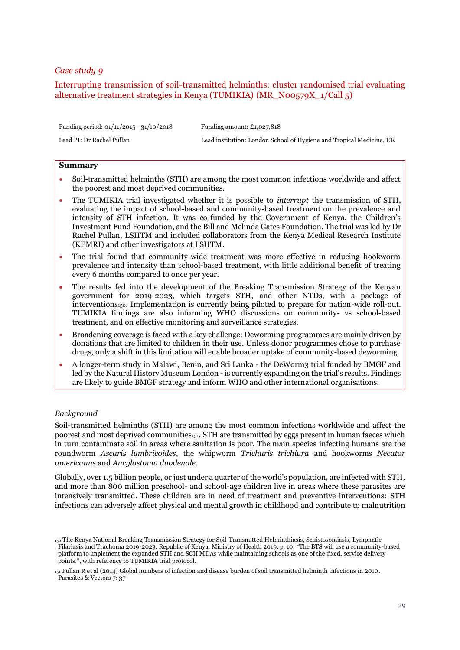# <span id="page-28-0"></span>Interrupting transmission of soil-transmitted helminths: cluster randomised trial evaluating alternative treatment strategies in Kenya (TUMIKIA) (MR\_N00579X\_1/Call 5)

| Funding period: $01/11/2015 - 31/10/2018$ | Funding amount: $£1,027,818$                                         |
|-------------------------------------------|----------------------------------------------------------------------|
| Lead PI: Dr Rachel Pullan                 | Lead institution: London School of Hygiene and Tropical Medicine, UK |

#### **Summary**

- Soil-transmitted helminths (STH) are among the most common infections worldwide and affect the poorest and most deprived communities.
- The TUMIKIA trial investigated whether it is possible to *interrupt* the transmission of STH, evaluating the impact of school-based and community-based treatment on the prevalence and intensity of STH infection. It was co-funded by the Government of Kenya, the Children's Investment Fund Foundation, and the Bill and Melinda Gates Foundation. The trial was led by Dr Rachel Pullan, LSHTM and included collaborators from the Kenya Medical Research Institute (KEMRI) and other investigators at LSHTM.
- The trial found that community-wide treatment was more effective in reducing hookworm prevalence and intensity than school-based treatment, with little additional benefit of treating every 6 months compared to once per year.
- The results fed into the development of the Breaking Transmission Strategy of the Kenyan government for 2019-2023, which targets STH, and other NTDs, with a package of interventions<sub>150</sub>. Implementation is currently being piloted to prepare for nation-wide roll-out. TUMIKIA findings are also informing WHO discussions on community- vs school-based treatment, and on effective monitoring and surveillance strategies.
- Broadening coverage is faced with a key challenge: Deworming programmes are mainly driven by donations that are limited to children in their use. Unless donor programmes chose to purchase drugs, only a shift in this limitation will enable broader uptake of community-based deworming.
- A longer-term study in Malawi, Benin, and Sri Lanka the DeWorm3 trial funded by BMGF and led by the Natural History Museum London - is currently expanding on the trial's results. Findings are likely to guide BMGF strategy and inform WHO and other international organisations.

#### *Background*

Soil-transmitted helminths (STH) are among the most common infections worldwide and affect the poorest and most deprived communities<sub>151</sub>. STH are transmitted by eggs present in human faeces which in turn contaminate soil in areas where sanitation is poor. The main species infecting humans are the roundworm *Ascaris lumbricoides*, the whipworm *Trichuris trichiura* and hookworms *Necator americanus* and *Ancylostoma duodenale*.

Globally, over 1.5 billion people, or just under a quarter of the world's population, are infected with STH, and more than 800 million preschool- and school-age children live in areas where these parasites are intensively transmitted. These children are in need of treatment and preventive interventions: STH infections can adversely affect physical and mental growth in childhood and contribute to malnutrition

<sup>150</sup> The Kenya National Breaking Transmission Strategy for Soil-Transmitted Helminthiasis, Schistosomiasis, Lymphatic Filariasis and Trachoma 2019-2023. Republic of Kenya, Ministry of Health 2019, p. 10: "The BTS will use a community-based platform to implement the expanded STH and SCH MDAs while maintaining schools as one of the fixed, service delivery points.", with reference to TUMIKIA trial protocol.

<sup>151</sup> Pullan R et al (2014) Global numbers of infection and disease burden of soil transmitted helminth infections in 2010. Parasites & Vectors 7: 37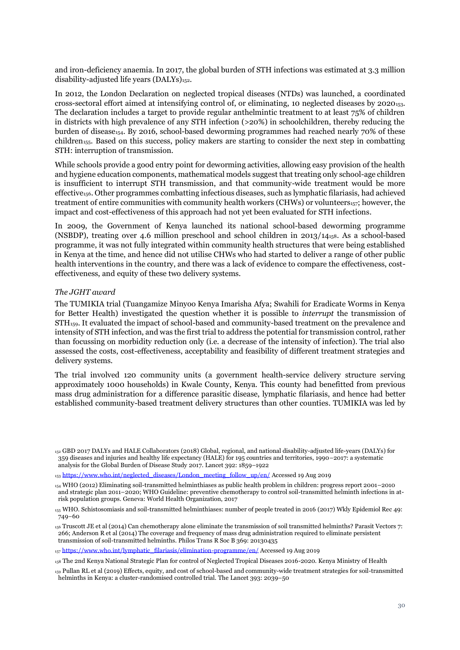and iron-deficiency anaemia. In 2017, the global burden of STH infections was estimated at 3.3 million disability-adjusted life years (DALYs)<sup>152</sup>.

In 2012, the London Declaration on neglected tropical diseases (NTDs) was launched, a coordinated cross-sectoral effort aimed at intensifying control of, or eliminating, 10 neglected diseases by 2020153. The declaration includes a target to provide regular anthelmintic treatment to at least 75% of children in districts with high prevalence of any STH infection (>20%) in schoolchildren, thereby reducing the burden of disease<sub>154</sub>. By 2016, school-based deworming programmes had reached nearly 70% of these children155. Based on this success, policy makers are starting to consider the next step in combatting STH: interruption of transmission.

While schools provide a good entry point for deworming activities, allowing easy provision of the health and hygiene education components, mathematical models suggest that treating only school-age children is insufficient to interrupt STH transmission, and that community-wide treatment would be more effective156. Other programmes combatting infectious diseases, such as lymphatic filariasis, had achieved treatment of entire communities with community health workers (CHWs) or volunteers<sub>157</sub>; however, the impact and cost-effectiveness of this approach had not yet been evaluated for STH infections.

In 2009, the Government of Kenya launched its national school-based deworming programme (NSBDP), treating over 4.6 million preschool and school children in 2013/14158. As a school-based programme, it was not fully integrated within community health structures that were being established in Kenya at the time, and hence did not utilise CHWs who had started to deliver a range of other public health interventions in the country, and there was a lack of evidence to compare the effectiveness, costeffectiveness, and equity of these two delivery systems.

## *The JGHT award*

The TUMIKIA trial (Tuangamize Minyoo Kenya Imarisha Afya; Swahili for Eradicate Worms in Kenya for Better Health) investigated the question whether it is possible to *interrupt* the transmission of STH159. It evaluated the impact of school-based and community-based treatment on the prevalence and intensity of STH infection, and was the first trial to address the potential for transmission control, rather than focussing on morbidity reduction only (i.e. a decrease of the intensity of infection). The trial also assessed the costs, cost-effectiveness, acceptability and feasibility of different treatment strategies and delivery systems.

The trial involved 120 community units (a government health-service delivery structure serving approximately 1000 households) in Kwale County, Kenya. This county had benefitted from previous mass drug administration for a difference parasitic disease, lymphatic filariasis, and hence had better established community-based treatment delivery structures than other counties. TUMIKIA was led by

<sup>157</sup> [https://www.who.int/lymphatic\\_filariasis/elimination-programme/en/](https://www.who.int/lymphatic_filariasis/elimination-programme/en/) Accessed 19 Aug 2019

<sup>152</sup> GBD 2017 DALYs and HALE Collaborators (2018) Global, regional, and national disability-adjusted life-years (DALYs) for 359 diseases and injuries and healthy life expectancy (HALE) for 195 countries and territories, 1990–2017: a systematic analysis for the Global Burden of Disease Study 2017. Lancet 392: 1859–1922

<sup>153</sup> [https://www.who.int/neglected\\_diseases/London\\_meeting\\_follow\\_up/en/](https://www.who.int/neglected_diseases/London_meeting_follow_up/en/) Accessed 19 Aug 2019

<sup>154</sup> WHO (2012) Eliminating soil-transmitted helminthiases as public health problem in children: progress report 2001–2010 and strategic plan 2011–2020; WHO Guideline: preventive chemotherapy to control soil-transmitted helminth infections in atrisk population groups. Geneva: World Health Organization, 2017

<sup>155</sup> WHO. Schistosomiasis and soil-transmitted helminthiases: number of people treated in 2016 (2017) Wkly Epidemiol Rec 49: 749–60

<sup>156</sup> Truscott JE et al (2014) Can chemotherapy alone eliminate the transmission of soil transmitted helminths? Parasit Vectors 7: 266; Anderson R et al (2014) The coverage and frequency of mass drug administration required to eliminate persistent transmission of soil-transmitted helminths. Philos Trans R Soc B 369: 20130435

<sup>158</sup> The 2nd Kenya National Strategic Plan for control of Neglected Tropical Diseases 2016-2020. Kenya Ministry of Health

<sup>159</sup> Pullan RL et al (2019) Effects, equity, and cost of school-based and community-wide treatment strategies for soil-transmitted helminths in Kenya: a cluster-randomised controlled trial. The Lancet 393: 2039–50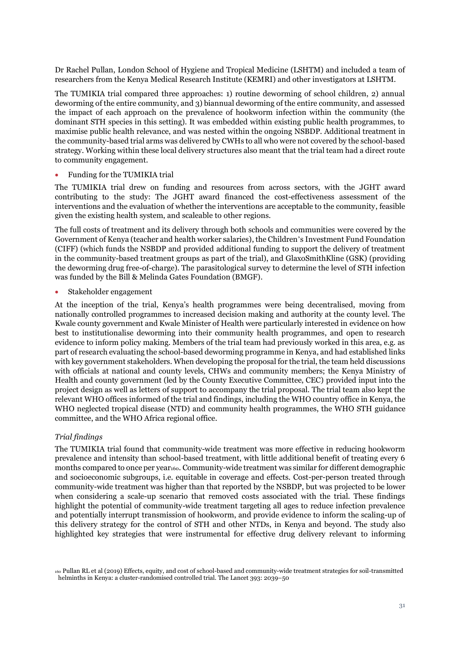Dr Rachel Pullan, London School of Hygiene and Tropical Medicine (LSHTM) and included a team of researchers from the Kenya Medical Research Institute (KEMRI) and other investigators at LSHTM.

The TUMIKIA trial compared three approaches: 1) routine deworming of school children, 2) annual deworming of the entire community, and 3) biannual deworming of the entire community, and assessed the impact of each approach on the prevalence of hookworm infection within the community (the dominant STH species in this setting). It was embedded within existing public health programmes, to maximise public health relevance, and was nested within the ongoing NSBDP. Additional treatment in the community-based trial arms was delivered by CWHs to all who were not covered by the school-based strategy. Working within these local delivery structures also meant that the trial team had a direct route to community engagement.

#### • Funding for the TUMIKIA trial

The TUMIKIA trial drew on funding and resources from across sectors, with the JGHT award contributing to the study: The JGHT award financed the cost-effectiveness assessment of the interventions and the evaluation of whether the interventions are acceptable to the community, feasible given the existing health system, and scaleable to other regions.

The full costs of treatment and its delivery through both schools and communities were covered by the Government of Kenya (teacher and health worker salaries), the Children's Investment Fund Foundation (CIFF) (which funds the NSBDP and provided additional funding to support the delivery of treatment in the community-based treatment groups as part of the trial), and GlaxoSmithKline (GSK) (providing the deworming drug free-of-charge). The parasitological survey to determine the level of STH infection was funded by the Bill & Melinda Gates Foundation (BMGF).

• Stakeholder engagement

At the inception of the trial, Kenya's health programmes were being decentralised, moving from nationally controlled programmes to increased decision making and authority at the county level. The Kwale county government and Kwale Minister of Health were particularly interested in evidence on how best to institutionalise deworming into their community health programmes, and open to research evidence to inform policy making. Members of the trial team had previously worked in this area, e.g. as part of research evaluating the school-based deworming programme in Kenya, and had established links with key government stakeholders. When developing the proposal for the trial, the team held discussions with officials at national and county levels, CHWs and community members; the Kenya Ministry of Health and county government (led by the County Executive Committee, CEC) provided input into the project design as well as letters of support to accompany the trial proposal. The trial team also kept the relevant WHO offices informed of the trial and findings, including the WHO country office in Kenya, the WHO neglected tropical disease (NTD) and community health programmes, the WHO STH guidance committee, and the WHO Africa regional office.

# *Trial findings*

The TUMIKIA trial found that community-wide treatment was more effective in reducing hookworm prevalence and intensity than school-based treatment, with little additional benefit of treating every 6 months compared to once per year<sub>160</sub>. Community-wide treatment was similar for different demographic and socioeconomic subgroups, i.e. equitable in coverage and effects. Cost-per-person treated through community-wide treatment was higher than that reported by the NSBDP, but was projected to be lower when considering a scale-up scenario that removed costs associated with the trial. These findings highlight the potential of community-wide treatment targeting all ages to reduce infection prevalence and potentially interrupt transmission of hookworm, and provide evidence to inform the scaling-up of this delivery strategy for the control of STH and other NTDs, in Kenya and beyond. The study also highlighted key strategies that were instrumental for effective drug delivery relevant to informing

<sup>160</sup> Pullan RL et al (2019) Effects, equity, and cost of school-based and community-wide treatment strategies for soil-transmitted helminths in Kenya: a cluster-randomised controlled trial. The Lancet 393: 2039–50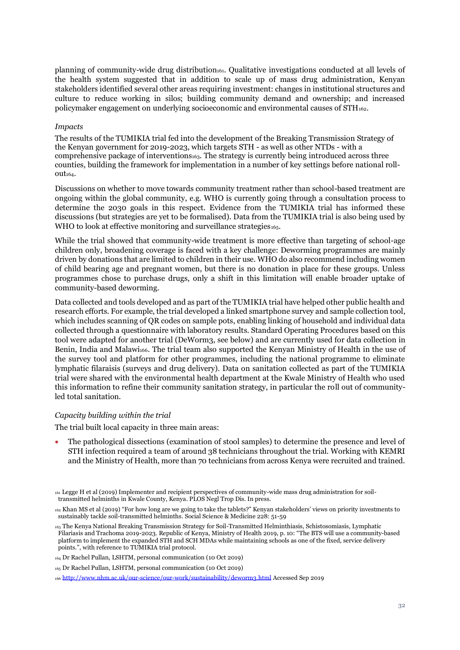planning of community-wide drug distribution<sub>161</sub>. Qualitative investigations conducted at all levels of the health system suggested that in addition to scale up of mass drug administration, Kenyan stakeholders identified several other areas requiring investment: changes in institutional structures and culture to reduce working in silos; building community demand and ownership; and increased policymaker engagement on underlying socioeconomic and environmental causes of STH162.

#### *Impacts*

The results of the TUMIKIA trial fed into the development of the Breaking Transmission Strategy of the Kenyan government for 2019-2023, which targets STH - as well as other NTDs - with a comprehensive package of interventions<sub>163</sub>. The strategy is currently being introduced across three counties, building the framework for implementation in a number of key settings before national rollout<sub>164</sub>.

Discussions on whether to move towards community treatment rather than school-based treatment are ongoing within the global community, e.g. WHO is currently going through a consultation process to determine the 2030 goals in this respect. Evidence from the TUMIKIA trial has informed these discussions (but strategies are yet to be formalised). Data from the TUMIKIA trial is also being used by WHO to look at effective monitoring and surveillance strategies $_{165}$ .

While the trial showed that community-wide treatment is more effective than targeting of school-age children only, broadening coverage is faced with a key challenge: Deworming programmes are mainly driven by donations that are limited to children in their use. WHO do also recommend including women of child bearing age and pregnant women, but there is no donation in place for these groups. Unless programmes chose to purchase drugs, only a shift in this limitation will enable broader uptake of community-based deworming.

Data collected and tools developed and as part of the TUMIKIA trial have helped other public health and research efforts. For example, the trial developed a linked smartphone survey and sample collection tool, which includes scanning of QR codes on sample pots, enabling linking of household and individual data collected through a questionnaire with laboratory results. Standard Operating Procedures based on this tool were adapted for another trial (DeWorm3, see below) and are currently used for data collection in Benin, India and Malawi<sub>166</sub>. The trial team also supported the Kenyan Ministry of Health in the use of the survey tool and platform for other programmes, including the national programme to eliminate lymphatic filaraisis (surveys and drug delivery). Data on sanitation collected as part of the TUMIKIA trial were shared with the environmental health department at the Kwale Ministry of Health who used this information to refine their community sanitation strategy, in particular the roll out of communityled total sanitation.

#### *Capacity building within the trial*

The trial built local capacity in three main areas:

• The pathological dissections (examination of stool samples) to determine the presence and level of STH infection required a team of around 38 technicians throughout the trial. Working with KEMRI and the Ministry of Health, more than 70 technicians from across Kenya were recruited and trained.

<sup>161</sup> Legge H et al (2019) Implementer and recipient perspectives of community-wide mass drug administration for soiltransmitted helminths in Kwale County, Kenya. PLOS Negl Trop Dis. In press.

<sup>162</sup> Khan MS et al (2019) "For how long are we going to take the tablets?" Kenyan stakeholders' views on priority investments to sustainably tackle soil-transmitted helminths. Social Science & Medicine 228: 51-59

<sup>163</sup> The Kenya National Breaking Transmission Strategy for Soil-Transmitted Helminthiasis, Schistosomiasis, Lymphatic Filariasis and Trachoma 2019-2023. Republic of Kenya, Ministry of Health 2019, p. 10: "The BTS will use a community-based platform to implement the expanded STH and SCH MDAs while maintaining schools as one of the fixed, service delivery points.", with reference to TUMIKIA trial protocol.

<sup>164</sup> Dr Rachel Pullan, LSHTM, personal communication (10 Oct 2019)

<sup>165</sup> Dr Rachel Pullan, LSHTM, personal communication (10 Oct 2019)

<sup>166</sup> <http://www.nhm.ac.uk/our-science/our-work/sustainability/deworm3.html> Accessed Sep 2019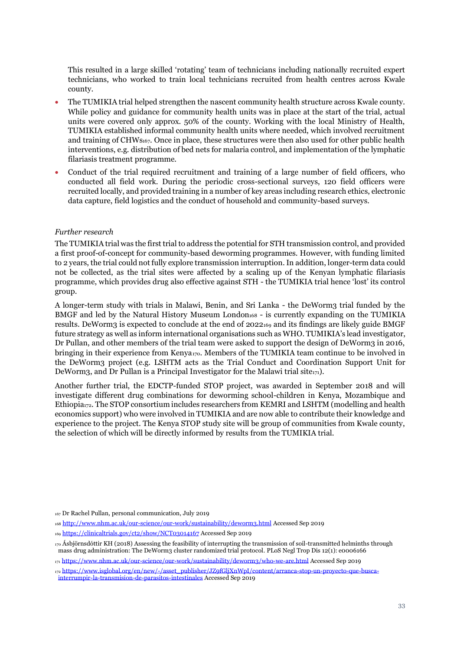This resulted in a large skilled 'rotating' team of technicians including nationally recruited expert technicians, who worked to train local technicians recruited from health centres across Kwale county.

- The TUMIKIA trial helped strengthen the nascent community health structure across Kwale county. While policy and guidance for community health units was in place at the start of the trial, actual units were covered only approx. 50% of the county. Working with the local Ministry of Health, TUMIKIA established informal community health units where needed, which involved recruitment and training of CHWs<sub>167</sub>. Once in place, these structures were then also used for other public health interventions, e.g. distribution of bed nets for malaria control, and implementation of the lymphatic filariasis treatment programme.
- Conduct of the trial required recruitment and training of a large number of field officers, who conducted all field work. During the periodic cross-sectional surveys, 120 field officers were recruited locally, and provided training in a number of key areas including research ethics, electronic data capture, field logistics and the conduct of household and community-based surveys.

# *Further research*

The TUMIKIA trial was the first trial to address the potential for STH transmission control, and provided a first proof-of-concept for community-based deworming programmes. However, with funding limited to 2 years, the trial could not fully explore transmission interruption. In addition, longer-term data could not be collected, as the trial sites were affected by a scaling up of the Kenyan lymphatic filariasis programme, which provides drug also effective against STH - the TUMIKIA trial hence 'lost' its control group.

A longer-term study with trials in Malawi, Benin, and Sri Lanka - the DeWorm3 trial funded by the BMGF and led by the Natural History Museum London<sub>168</sub> - is currently expanding on the TUMIKIA results. DeWorm3 is expected to conclude at the end of 2022<sub>169</sub> and its findings are likely guide BMGF future strategy as well as inform international organisations such as WHO. TUMIKIA's lead investigator, Dr Pullan, and other members of the trial team were asked to support the design of DeWorm3 in 2016, bringing in their experience from Kenya<sub>170</sub>. Members of the TUMIKIA team continue to be involved in the DeWorm3 project (e.g. LSHTM acts as the Trial Conduct and Coordination Support Unit for DeWorm3, and Dr Pullan is a Principal Investigator for the Malawi trial site $_{171}$ ).

Another further trial, the EDCTP-funded STOP project, was awarded in September 2018 and will investigate different drug combinations for deworming school-children in Kenya, Mozambique and Ethiopia<sub>172</sub>. The STOP consortium includes researchers from KEMRI and LSHTM (modelling and health economics support) who were involved in TUMIKIA and are now able to contribute their knowledge and experience to the project. The Kenya STOP study site will be group of communities from Kwale county, the selection of which will be directly informed by results from the TUMIKIA trial.

<sup>169</sup> <https://clinicaltrials.gov/ct2/show/NCT03014167> Accessed Sep 2019

<sup>167</sup> Dr Rachel Pullan, personal communication, July 2019

<sup>168</sup> <http://www.nhm.ac.uk/our-science/our-work/sustainability/deworm3.html> Accessed Sep 2019

<sup>170</sup> Ásbjörnsdóttir KH (2018) Assessing the feasibility of interrupting the transmission of soil-transmitted helminths through mass drug administration: The DeWorm3 cluster randomized trial protocol. PLoS Negl Trop Dis 12(1): e0006166

<sup>171</sup> <https://www.nhm.ac.uk/our-science/our-work/sustainability/deworm3/who-we-are.html> Accessed Sep 2019

<sup>172</sup> [https://www.isglobal.org/en/new/-/asset\\_publisher/JZ9fGljXnWpI/content/arranca-stop-un-proyecto-que-busca](https://www.isglobal.org/en/new/-/asset_publisher/JZ9fGljXnWpI/content/arranca-stop-un-proyecto-que-busca-interrumpir-la-transmision-de-parasitos-intestinales)[interrumpir-la-transmision-de-parasitos-intestinales](https://www.isglobal.org/en/new/-/asset_publisher/JZ9fGljXnWpI/content/arranca-stop-un-proyecto-que-busca-interrumpir-la-transmision-de-parasitos-intestinales) Accessed Sep 2019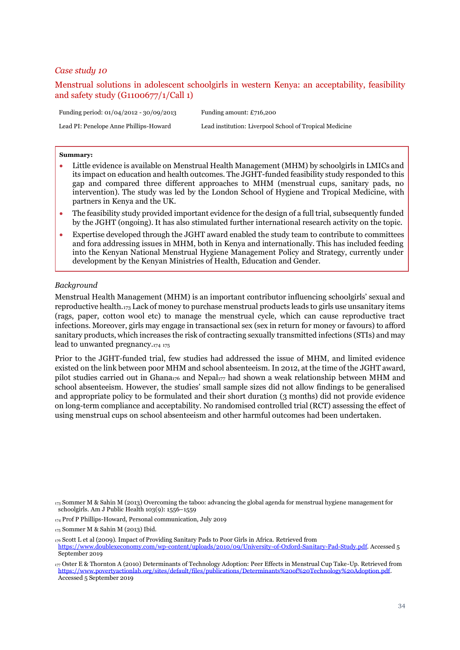# <span id="page-33-0"></span>Menstrual solutions in adolescent schoolgirls in western Kenya: an acceptability, feasibility and safety study (G1100677/1/Call 1)

Funding period: 01/04/2012 - 30/09/2013 Funding amount: £716,200 Lead PI: Penelope Anne Phillips-Howard Lead institution: Liverpool School of Tropical Medicine

#### **Summary:**

- Little evidence is available on Menstrual Health Management (MHM) by schoolgirls in LMICs and its impact on education and health outcomes. The JGHT-funded feasibility study responded to this gap and compared three different approaches to MHM (menstrual cups, sanitary pads, no intervention). The study was led by the London School of Hygiene and Tropical Medicine, with partners in Kenya and the UK.
- The feasibility study provided important evidence for the design of a full trial, subsequently funded by the JGHT (ongoing). It has also stimulated further international research activity on the topic.
- Expertise developed through the JGHT award enabled the study team to contribute to committees and fora addressing issues in MHM, both in Kenya and internationally. This has included feeding into the Kenyan National Menstrual Hygiene Management Policy and Strategy, currently under development by the Kenyan Ministries of Health, Education and Gender.

#### *Background*

Menstrual Health Management (MHM) is an important contributor influencing schoolgirls' sexual and reproductive health.<sup>173</sup> Lack of money to purchase menstrual products leads to girls use unsanitary items (rags, paper, cotton wool etc) to manage the menstrual cycle, which can cause reproductive tract infections. Moreover, girls may engage in transactional sex (sex in return for money or favours) to afford sanitary products, which increases the risk of contracting sexually transmitted infections (STIs) and may lead to unwanted pregnancy.<sup>174</sup> <sup>175</sup>

Prior to the JGHT-funded trial, few studies had addressed the issue of MHM, and limited evidence existed on the link between poor MHM and school absenteeism. In 2012, at the time of the JGHT award, pilot studies carried out in Ghana<sup>176</sup> and Nepal<sup>177</sup> had shown a weak relationship between MHM and school absenteeism. However, the studies' small sample sizes did not allow findings to be generalised and appropriate policy to be formulated and their short duration (3 months) did not provide evidence on long-term compliance and acceptability. No randomised controlled trial (RCT) assessing the effect of using menstrual cups on school absenteeism and other harmful outcomes had been undertaken.

<sup>173</sup> Sommer M & Sahin M (2013) Overcoming the taboo: advancing the global agenda for menstrual hygiene management for schoolgirls. Am J Public Health 103(9): 1556–1559

<sup>174</sup> Prof P Phillips-Howard, Personal communication, July 2019

<sup>175</sup> Sommer M & Sahin M (2013) Ibid.

<sup>176</sup> Scott L et al (2009). Impact of Providing Sanitary Pads to Poor Girls in Africa. Retrieved from [https://www.doublexeconomy.com/wp-content/uploads/2010/09/University-of-Oxford-Sanitary-Pad-Study.pdf.](https://www.doublexeconomy.com/wp-content/uploads/2010/09/University-of-Oxford-Sanitary-Pad-Study.pdf) Accessed 5 September 2019

<sup>177</sup> Oster E & Thornton A (2010) Determinants of Technology Adoption: Peer Effects in Menstrual Cup Take-Up. Retrieved from [https://www.povertyactionlab.org/sites/default/files/publications/Determinants%20of%20Technology%20Adoption.pdf.](https://www.povertyactionlab.org/sites/default/files/publications/Determinants%20of%20Technology%20Adoption.pdf) Accessed 5 September 2019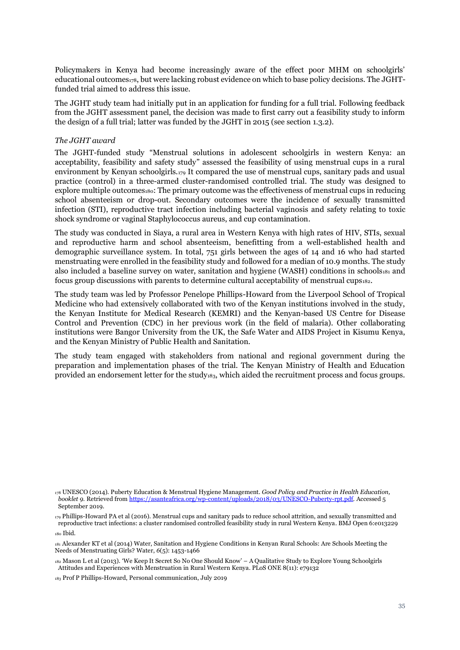Policymakers in Kenya had become increasingly aware of the effect poor MHM on schoolgirls' educational outcomes<sub>178</sub>, but were lacking robust evidence on which to base policy decisions. The JGHTfunded trial aimed to address this issue.

The JGHT study team had initially put in an application for funding for a full trial. Following feedback from the JGHT assessment panel, the decision was made to first carry out a feasibility study to inform the design of a full trial; latter was funded by the JGHT in 2015 (see section 1.3.2).

## *The JGHT award*

The JGHT-funded study "Menstrual solutions in adolescent schoolgirls in western Kenya: an acceptability, feasibility and safety study" assessed the feasibility of using menstrual cups in a rural environment by Kenyan schoolgirls.<sup>179</sup> It compared the use of menstrual cups, sanitary pads and usual practice (control) in a three-armed cluster-randomised controlled trial. The study was designed to explore multiple outcomes<sub>180</sub>: The primary outcome was the effectiveness of menstrual cups in reducing school absenteeism or drop-out. Secondary outcomes were the incidence of sexually transmitted infection (STI), reproductive tract infection including bacterial vaginosis and safety relating to toxic shock syndrome or vaginal Staphylococcus aureus, and cup contamination.

The study was conducted in Siaya, a rural area in Western Kenya with high rates of HIV, STIs, sexual and reproductive harm and school absenteeism, benefitting from a well-established health and demographic surveillance system. In total, 751 girls between the ages of 14 and 16 who had started menstruating were enrolled in the feasibility study and followed for a median of 10.9 months. The study also included a baseline survey on water, sanitation and hygiene (WASH) conditions in schools $a_1$  and focus group discussions with parents to determine cultural acceptability of menstrual cups182.

The study team was led by Professor Penelope Phillips-Howard from the Liverpool School of Tropical Medicine who had extensively collaborated with two of the Kenyan institutions involved in the study, the Kenyan Institute for Medical Research (KEMRI) and the Kenyan-based US Centre for Disease Control and Prevention (CDC) in her previous work (in the field of malaria). Other collaborating institutions were Bangor University from the UK, the Safe Water and AIDS Project in Kisumu Kenya, and the Kenyan Ministry of Public Health and Sanitation.

The study team engaged with stakeholders from national and regional government during the preparation and implementation phases of the trial. The Kenyan Ministry of Health and Education provided an endorsement letter for the study<sub>183</sub>, which aided the recruitment process and focus groups.

<sup>180</sup> Ibid.

<sup>181</sup> Alexander KT et al (2014) Water, Sanitation and Hygiene Conditions in Kenyan Rural Schools: Are Schools Meeting the Needs of Menstruating Girls? Water, *6*(5): 1453-1466

<sup>182</sup> Mason L et al (2013). 'We Keep It Secret So No One Should Know' – A Qualitative Study to Explore Young Schoolgirls Attitudes and Experiences with Menstruation in Rural Western Kenya. PLoS ONE 8(11): e79132

<sup>178</sup> UNESCO (2014). Puberty Education & Menstrual Hygiene Management. *Good Policy and Practice in Health Education, booklet 9.* Retrieved fro[m https://asanteafrica.org/wp-content/uploads/2018/03/UNESCO-Puberty-rpt.pdf.](https://asanteafrica.org/wp-content/uploads/2018/03/UNESCO-Puberty-rpt.pdf) Accessed 5 September 2019.

<sup>179</sup> Phillips-Howard PA et al (2016). Menstrual cups and sanitary pads to reduce school attrition, and sexually transmitted and reproductive tract infections: a cluster randomised controlled feasibility study in rural Western Kenya. BMJ Open 6:e013229

<sup>183</sup> Prof P Phillips-Howard, Personal communication, July 2019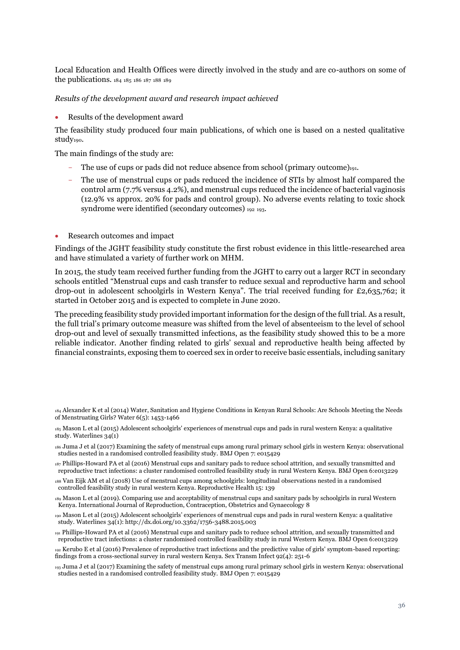Local Education and Health Offices were directly involved in the study and are co-authors on some of the publications. <sup>184</sup> <sup>185</sup> <sup>186</sup> <sup>187</sup> <sup>188</sup> <sup>189</sup>

*Results of the development award and research impact achieved*

• Results of the development award

The feasibility study produced four main publications, of which one is based on a nested qualitative study190.

The main findings of the study are:

- The use of cups or pads did not reduce absence from school (primary outcome)<sub>191</sub>.
- The use of menstrual cups or pads reduced the incidence of STIs by almost half compared the control arm (7.7% versus 4.2%), and menstrual cups reduced the incidence of bacterial vaginosis (12.9% vs approx. 20% for pads and control group). No adverse events relating to toxic shock syndrome were identified (secondary outcomes) <sup>192</sup> <sup>193</sup>.
- Research outcomes and impact

Findings of the JGHT feasibility study constitute the first robust evidence in this little-researched area and have stimulated a variety of further work on MHM.

In 2015, the study team received further funding from the JGHT to carry out a larger RCT in secondary schools entitled "Menstrual cups and cash transfer to reduce sexual and reproductive harm and school drop-out in adolescent schoolgirls in Western Kenya". The trial received funding for £2,635,762; it started in October 2015 and is expected to complete in June 2020.

The preceding feasibility study provided important information for the design of the full trial. As a result, the full trial's primary outcome measure was shifted from the level of absenteeism to the level of school drop-out and level of sexually transmitted infections, as the feasibility study showed this to be a more reliable indicator. Another finding related to girls' sexual and reproductive health being affected by financial constraints, exposing them to coerced sex in order to receive basic essentials, including sanitary

<sup>184</sup> Alexander K et al (2014) Water, Sanitation and Hygiene Conditions in Kenyan Rural Schools: Are Schools Meeting the Needs of Menstruating Girls? Water 6(5): 1453-1466

<sup>185</sup> Mason L et al (2015) Adolescent schoolgirls' experiences of menstrual cups and pads in rural western Kenya: a qualitative study. Waterlines 34(1)

<sup>186</sup> Juma J et al (2017) Examining the safety of menstrual cups among rural primary school girls in western Kenya: observational studies nested in a randomised controlled feasibility study. BMJ Open 7: e015429

<sup>187</sup> Phillips-Howard PA et al (2016) Menstrual cups and sanitary pads to reduce school attrition, and sexually transmitted and reproductive tract infections: a cluster randomised controlled feasibility study in rural Western Kenya. BMJ Open 6:e013229

<sup>188</sup> Van Eijk AM et al (2018) Use of menstrual cups among schoolgirls: longitudinal observations nested in a randomised controlled feasibility study in rural western Kenya. Reproductive Health 15: 139

<sup>189</sup> Mason L et al (2019). Comparing use and acceptability of menstrual cups and sanitary pads by schoolgirls in rural Western Kenya. International Journal of Reproduction, Contraception, Obstetrics and Gynaecology 8

<sup>190</sup> Mason L et al (2015) Adolescent schoolgirls' experiences of menstrual cups and pads in rural western Kenya: a qualitative study. Waterlines 34(1): http://dx.doi.org/10.3362/1756-3488.2015.003

<sup>191</sup> Phillips-Howard PA et al (2016) Menstrual cups and sanitary pads to reduce school attrition, and sexually transmitted and reproductive tract infections: a cluster randomised controlled feasibility study in rural Western Kenya. BMJ Open 6:e013229

<sup>192</sup> Kerubo E et al (2016) Prevalence of reproductive tract infections and the predictive value of girls' symptom-based reporting: findings from a cross-sectional survey in rural western Kenya. Sex Transm Infect 92(4): 251-6

<sup>193</sup> Juma J et al (2017) Examining the safety of menstrual cups among rural primary school girls in western Kenya: observational studies nested in a randomised controlled feasibility study. BMJ Open 7: e015429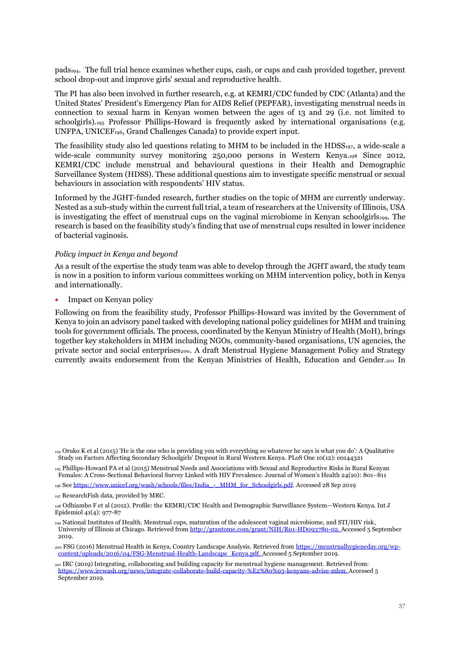pads194. The full trial hence examines whether cups, cash, or cups and cash provided together, prevent school drop-out and improve girls' sexual and reproductive health.

The PI has also been involved in further research, e.g. at KEMRI/CDC funded by CDC (Atlanta) and the United States' President's Emergency Plan for AIDS Relief (PEPFAR), investigating menstrual needs in connection to sexual harm in Kenyan women between the ages of 13 and 29 (i.e. not limited to schoolgirls).<sup>195</sup> Professor Phillips-Howard is frequently asked by international organisations (e.g. UNFPA, UNICEF196, Grand Challenges Canada) to provide expert input.

The feasibility study also led questions relating to MHM to be included in the  $HDSS_{197}$ , a wide-scale a wide-scale community survey monitoring 250,000 persons in Western Kenya.<sup>198</sup> Since 2012, KEMRI/CDC include menstrual and behavioural questions in their Health and Demographic Surveillance System (HDSS). These additional questions aim to investigate specific menstrual or sexual behaviours in association with respondents' HIV status.

Informed by the JGHT-funded research, further studies on the topic of MHM are currently underway. Nested as a sub-study within the current full trial, a team of researchers at the University of Illinois, USA is investigating the effect of menstrual cups on the vaginal microbiome in Kenyan schoolgirls199. The research is based on the feasibility study's finding that use of menstrual cups resulted in lower incidence of bacterial vaginosis.

## *Policy impact in Kenya and beyond*

As a result of the expertise the study team was able to develop through the JGHT award, the study team is now in a position to inform various committees working on MHM intervention policy, both in Kenya and internationally.

• Impact on Kenyan policy

Following on from the feasibility study, Professor Phillips-Howard was invited by the Government of Kenya to join an advisory panel tasked with developing national policy guidelines for MHM and training tools for government officials. The process, coordinated by the Kenyan Ministry of Health (MoH), brings together key stakeholders in MHM including NGOs, community-based organisations, UN agencies, the private sector and social enterprises<sub>200</sub>. A draft Menstrual Hygiene Management Policy and Strategy currently awaits endorsement from the Kenyan Ministries of Health, Education and Gender.<sup>201</sup> In

<sup>199</sup> National Institutes of Health. Menstrual cups, maturation of the adolescent vaginal microbiome, and STI/HIV risk, University of Illinois at Chicago. Retrieved fro[m http://grantome.com/grant/NIH/R01-HD093780-02.](http://grantome.com/grant/NIH/R01-HD093780-02) Accessed 5 September 2019.

200 FSG (2016) Menstrual Health in Kenya, Country Landscape Analysis. Retrieved from [https://menstrualhygieneday.org/wp](https://menstrualhygieneday.org/wp-content/uploads/2016/04/FSG-Menstrual-Health-Landscape_Kenya.pdf)[content/uploads/2016/04/FSG-Menstrual-Health-Landscape\\_Kenya.pdf.](https://menstrualhygieneday.org/wp-content/uploads/2016/04/FSG-Menstrual-Health-Landscape_Kenya.pdf) Accessed 5 September 2019.

<sup>194</sup> Oruko K et al (2015) 'He is the one who is providing you with everything so whatever he says is what you do': A Qualitative Study on Factors Affecting Secondary Schoolgirls' Dropout in Rural Western Kenya. PLoS One 10(12): e0144321

<sup>195</sup> Phillips-Howard PA et al (2015) Menstrual Needs and Associations with Sexual and Reproductive Risks in Rural Kenyan Females: A Cross-Sectional Behavioral Survey Linked with HIV Prevalence. Journal of Women's Health 24(10): 801–811

<sup>196</sup> Se[e https://www.unicef.org/wash/schools/files/India\\_-\\_MHM\\_for\\_Schoolgirls.pdf.](https://www.unicef.org/wash/schools/files/India_-_MHM_for_Schoolgirls.pdf) Accessed 28 Sep 2019

<sup>197</sup> ResearchFish data, provided by MRC.

<sup>198</sup> Odhiambo F et al (2012). Profile: the KEMRI/CDC Health and Demographic Surveillance System—Western Kenya. Int J Epidemiol 41(4): 977-87

<sup>201</sup> IRC (2019) Integrating, collaborating and building capacity for menstrual hygiene management. Retrieved from: [https://www.ircwash.org/news/integrate-collaborate-build-capacity-%E2%80%93-kenyans-advise-mhm.](https://www.ircwash.org/news/integrate-collaborate-build-capacity-%E2%80%93-kenyans-advise-mhm) Accessed 5 September 2019.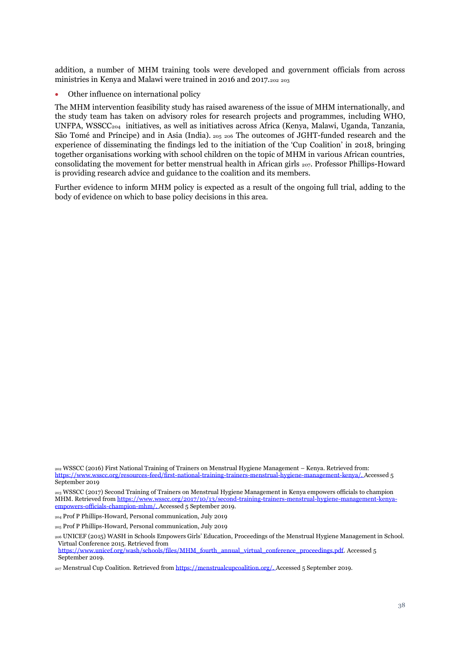addition, a number of MHM training tools were developed and government officials from across ministries in Kenya and Malawi were trained in 2016 and 2017.<sup>202</sup> <sup>203</sup>

• Other influence on international policy

The MHM intervention feasibility study has raised awareness of the issue of MHM internationally, and the study team has taken on advisory roles for research projects and programmes, including WHO, UNFPA, WSSCC204 initiatives, as well as initiatives across Africa (Kenya, Malawi, Uganda, Tanzania, São Tomé and Príncipe) and in Asia (India). <sup>205</sup> <sup>206</sup> The outcomes of JGHT-funded research and the experience of disseminating the findings led to the initiation of the 'Cup Coalition' in 2018, bringing together organisations working with school children on the topic of MHM in various African countries, consolidating the movement for better menstrual health in African girls <sup>207</sup>. Professor Phillips-Howard is providing research advice and guidance to the coalition and its members.

Further evidence to inform MHM policy is expected as a result of the ongoing full trial, adding to the body of evidence on which to base policy decisions in this area.

<sup>203</sup> WSSCC (2017) Second Training of Trainers on Menstrual Hygiene Management in Kenya empowers officials to champion MHM. Retrieved fro[m https://www.wsscc.org/2017/10/13/second-training-trainers-menstrual-hygiene-management-kenya](https://www.wsscc.org/2017/10/13/second-training-trainers-menstrual-hygiene-management-kenya-empowers-officials-champion-mhm/)[empowers-officials-champion-mhm/.](https://www.wsscc.org/2017/10/13/second-training-trainers-menstrual-hygiene-management-kenya-empowers-officials-champion-mhm/) Accessed 5 September 2019.

<sup>202</sup> WSSCC (2016) First National Training of Trainers on Menstrual Hygiene Management – Kenya. Retrieved from: [https://www.wsscc.org/resources-feed/first-national-training-trainers-menstrual-hygiene-management-kenya/.](https://www.wsscc.org/resources-feed/first-national-training-trainers-menstrual-hygiene-management-kenya/) Accessed 5 September 2010

<sup>204</sup> Prof P Phillips-Howard, Personal communication, July 2019

<sup>205</sup> Prof P Phillips-Howard, Personal communication, July 2019

<sup>206</sup> UNICEF (2015) WASH in Schools Empowers Girls' Education, Proceedings of the Menstrual Hygiene Management in School. Virtual Conference 2015. Retrieved from

[https://www.unicef.org/wash/schools/files/MHM\\_fourth\\_annual\\_virtual\\_conference\\_proceedings.pdf.](https://www.unicef.org/wash/schools/files/MHM_fourth_annual_virtual_conference_proceedings.pdf) Accessed 5 September 2019.

<sup>207</sup> Menstrual Cup Coalition. Retrieved fro[m https://menstrualcupcoalition.org/.](https://menstrualcupcoalition.org/) Accessed 5 September 2019.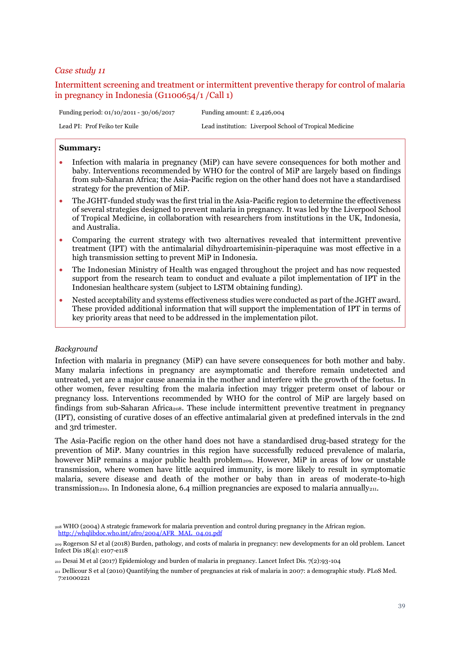# <span id="page-38-0"></span>Intermittent screening and treatment or intermittent preventive therapy for control of malaria in pregnancy in Indonesia (G1100654/1 /Call 1)

Funding period: 01/10/2011 - 30/06/2017 Funding amount: £ 2,426,004 Lead PI: Prof Feiko ter Kuile Lead institution: Liverpool School of Tropical Medicine

## **Summary:**

- Infection with malaria in pregnancy (MiP) can have severe consequences for both mother and baby. Interventions recommended by WHO for the control of MiP are largely based on findings from sub-Saharan Africa; the Asia-Pacific region on the other hand does not have a standardised strategy for the prevention of MiP.
- The JGHT-funded study was the first trial in the Asia-Pacific region to determine the effectiveness of several strategies designed to prevent malaria in pregnancy. It was led by the Liverpool School of Tropical Medicine, in collaboration with researchers from institutions in the UK, Indonesia, and Australia.
- Comparing the current strategy with two alternatives revealed that intermittent preventive treatment (IPT) with the antimalarial dihydroartemisinin-piperaquine was most effective in a high transmission setting to prevent MiP in Indonesia.
- The Indonesian Ministry of Health was engaged throughout the project and has now requested support from the research team to conduct and evaluate a pilot implementation of IPT in the Indonesian healthcare system (subject to LSTM obtaining funding).
- Nested acceptability and systems effectiveness studies were conducted as part of the JGHT award. These provided additional information that will support the implementation of IPT in terms of key priority areas that need to be addressed in the implementation pilot.

# *Background*

Infection with malaria in pregnancy (MiP) can have severe consequences for both mother and baby. Many malaria infections in pregnancy are asymptomatic and therefore remain undetected and untreated, yet are a major cause anaemia in the mother and interfere with the growth of the foetus. In other women, fever resulting from the malaria infection may trigger preterm onset of labour or pregnancy loss. Interventions recommended by WHO for the control of MiP are largely based on findings from sub-Saharan Africa<sub>208</sub>. These include intermittent preventive treatment in pregnancy (IPT), consisting of curative doses of an effective antimalarial given at predefined intervals in the 2nd and 3rd trimester.

The Asia-Pacific region on the other hand does not have a standardised drug-based strategy for the prevention of MiP. Many countries in this region have successfully reduced prevalence of malaria, however MiP remains a major public health problem<sub>209</sub>. However, MiP in areas of low or unstable transmission, where women have little acquired immunity, is more likely to result in symptomatic malaria, severe disease and death of the mother or baby than in areas of moderate-to-high transmission<sub>210</sub>. In Indonesia alone, 6.4 million pregnancies are exposed to malaria annually<sub>211</sub>.

<sup>208</sup> WHO (2004) A strategic framework for malaria prevention and control during pregnancy in the African region. [http://whqlibdoc.who.int/afro/2004/AFR\\_MAL\\_04.01.pdf](http://whqlibdoc.who.int/afro/2004/AFR_MAL_04.01.pdf)

<sup>209</sup> Rogerson SJ et al (2018) Burden, pathology, and costs of malaria in pregnancy: new developments for an old problem. Lancet Infect Dis 18(4): e107-e118

<sup>210</sup> Desai M et al (2017) Epidemiology and burden of malaria in pregnancy. Lancet Infect Dis. 7(2):93-104

<sup>211</sup> Dellicour S et al (2010) Quantifying the number of pregnancies at risk of malaria in 2007: a demographic study. PLoS Med. 7:e1000221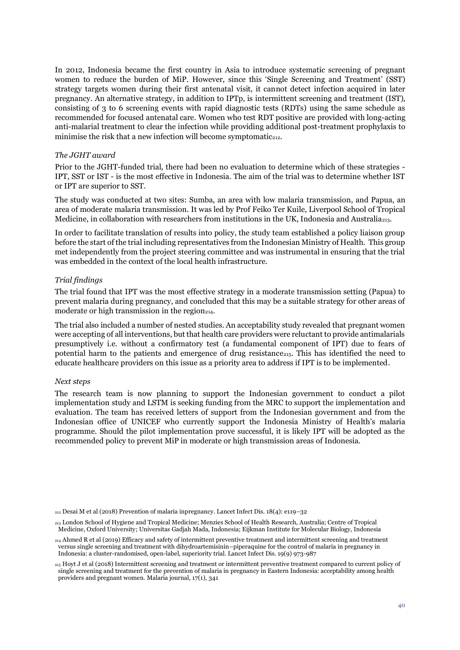In 2012, Indonesia became the first country in Asia to introduce systematic screening of pregnant women to reduce the burden of MiP. However, since this 'Single Screening and Treatment' (SST) strategy targets women during their first antenatal visit, it cannot detect infection acquired in later pregnancy. An alternative strategy, in addition to IPTp, is intermittent screening and treatment (IST), consisting of 3 to 6 screening events with rapid diagnostic tests (RDTs) using the same schedule as recommended for focused antenatal care. Women who test RDT positive are provided with long-acting anti-malarial treatment to clear the infection while providing additional post-treatment prophylaxis to minimise the risk that a new infection will become symptomatic $_{212}$ .

## *The JGHT award*

Prior to the JGHT-funded trial, there had been no evaluation to determine which of these strategies - IPT, SST or IST - is the most effective in Indonesia. The aim of the trial was to determine whether IST or IPT are superior to SST.

The study was conducted at two sites: Sumba, an area with low malaria transmission, and Papua, an area of moderate malaria transmission. It was led by Prof Feiko Ter Kuile, Liverpool School of Tropical Medicine, in collaboration with researchers from institutions in the UK, Indonesia and Australia213.

In order to facilitate translation of results into policy, the study team established a policy liaison group before the start of the trial including representatives from the Indonesian Ministry of Health. This group met independently from the project steering committee and was instrumental in ensuring that the trial was embedded in the context of the local health infrastructure.

# *Trial findings*

The trial found that IPT was the most effective strategy in a moderate transmission setting (Papua) to prevent malaria during pregnancy, and concluded that this may be a suitable strategy for other areas of moderate or high transmission in the region<sub>214</sub>.

The trial also included a number of nested studies. An acceptability study revealed that pregnant women were accepting of all interventions, but that health care providers were reluctant to provide antimalarials presumptively i.e. without a confirmatory test (a fundamental component of IPT) due to fears of potential harm to the patients and emergence of drug resistance<sub>215</sub>. This has identified the need to educate healthcare providers on this issue as a priority area to address if IPT is to be implemented.

#### *Next steps*

The research team is now planning to support the Indonesian government to conduct a pilot implementation study and LSTM is seeking funding from the MRC to support the implementation and evaluation. The team has received letters of support from the Indonesian government and from the Indonesian office of UNICEF who currently support the Indonesia Ministry of Health's malaria programme. Should the pilot implementation prove successful, it is likely IPT will be adopted as the recommended policy to prevent MiP in moderate or high transmission areas of Indonesia.

 $_{212}$  Desai M et al (2018) Prevention of malaria inpregnancy. Lancet Infect Dis. 18(4): e119–32

<sup>213</sup> London School of Hygiene and Tropical Medicine; Menzies School of Health Research, Australia; Centre of Tropical Medicine, Oxford University; Universitas Gadjah Mada, Indonesia; Eijkman Institute for Molecular Biology, Indonesia

<sup>214</sup> Ahmed R et al (2019) Efficacy and safety of intermittent preventive treatment and intermittent screening and treatment versus single screening and treatment with dihydroartemisinin–piperaquine for the control of malaria in pregnancy in Indonesia: a cluster-randomised, open-label, superiority trial. Lancet Infect Dis. 19(9) 973-987

<sup>215</sup> Hoyt J et al (2018) Intermittent screening and treatment or intermittent preventive treatment compared to current policy of single screening and treatment for the prevention of malaria in pregnancy in Eastern Indonesia: acceptability among health providers and pregnant women. Malaria journal, 17(1), 341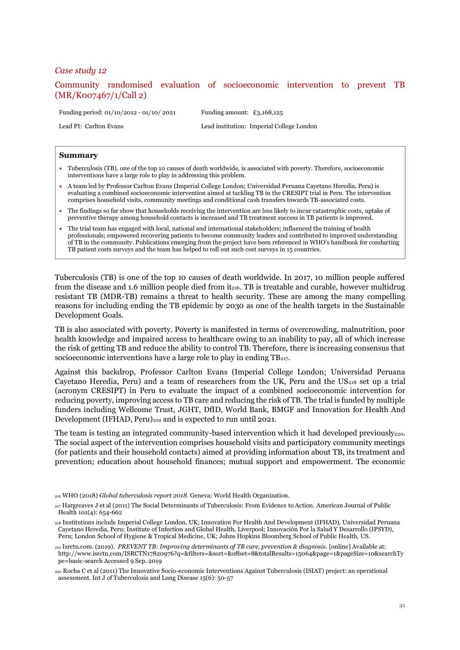<span id="page-40-0"></span>Community randomised evaluation of socioeconomic intervention to prevent TB (MR/K007467/1/Call 2)

Funding period: 01/10/2012 - 01/10/ 2021 Funding amount: £3,168,125

Lead PI: Carlton Evans Lead institution: Imperial College London

#### **Summary**

- Tuberculosis (TB), one of the top 10 causes of death worldwide, is associated with poverty. Therefore, socioeconomic interventions have a large role to play in addressing this problem.
- A team led by Professor Carlton Evans (Imperial College London; Universidad Peruana Cayetano Heredia, Peru) is evaluating a combined socioeconomic intervention aimed at tackling TB in the CRESIPT trial in Peru. The intervention comprises household visits, community meetings and conditional cash transfers towards TB-associated costs.
- The findings so far show that households receiving the intervention are less likely to incur catastrophic costs, uptake of preventive therapy among household contacts is increased and TB treatment success in TB patients is improved.
- The trial team has engaged with local, national and international stakeholders; influenced the training of health professionals; empowered recovering patients to become community leaders and contributed to improved understanding of TB in the community. Publications emerging from the project have been referenced in WHO's handbook for conducting TB patient costs surveys and the team has helped to roll out such cost surveys in 15 countries.

Tuberculosis (TB) is one of the top 10 causes of death worldwide. In 2017, 10 million people suffered from the disease and 1.6 million people died from it<sub>216</sub>. TB is treatable and curable, however multidrug resistant TB (MDR-TB) remains a threat to health security. These are among the many compelling reasons for including ending the TB epidemic by 2030 as one of the health targets in the Sustainable Development Goals.

TB is also associated with poverty. Poverty is manifested in terms of overcrowding, malnutrition, poor health knowledge and impaired access to healthcare owing to an inability to pay, all of which increase the risk of getting TB and reduce the ability to control TB. Therefore, there is increasing consensus that socioeconomic interventions have a large role to play in ending TB217.

Against this backdrop, Professor Carlton Evans (Imperial College London; Universidad Peruana Cayetano Heredia, Peru) and a team of researchers from the UK, Peru and the US $_{218}$  set up a trial (acronym CRESIPT) in Peru to evaluate the impact of a combined socioeconomic intervention for reducing poverty, improving access to TB care and reducing the risk of TB. The trial is funded by multiple funders including Wellcome Trust, JGHT, DfID, World Bank, BMGF and Innovation for Health And Development (IFHAD, Peru)<sub>219</sub> and is expected to run until 2021.

The team is testing an integrated community-based intervention which it had developed previously $_{220}$ . The social aspect of the intervention comprises household visits and participatory community meetings (for patients and their household contacts) aimed at providing information about TB, its treatment and prevention; education about household finances; mutual support and empowerment. The economic

<sup>216</sup> WHO (2018) *Global tuberculosis report 2018*. Geneva: World Health Organization.

<sup>217</sup> Hargreaves J et al (2011) The Social Determinants of Tuberculosis: From Evidence to Action. American Journal of Public Health 101(4): 654-662

<sup>218</sup> Institutions include Imperial College London, UK; Innovation For Health And Development (IFHAD), Universidad Peruana Cayetano Heredia, Peru; Institute of Infection and Global Health, Liverpool; Innovación Por la Salud Y Desarrollo (IPSYD), Peru; London School of Hygiene & Tropical Medicine, UK; Johns Hopkins Bloomberg School of Public Health, US.

<sup>219</sup> Isrctn.com. (2019). *PREVENT TB: Improving determinants of TB cure, prevention & diagnosis*. [online] Available at: http://www.isrctn.com/ISRCTN17820976?q=&filters=&sort=&offset=8&totalResults=15064&page=1&pageSize=10&searchTy pe=basic-search Accessed 9 Sep. 2019

<sup>220</sup> Rocha C et al (2011) The Innovative Socio-economic Interventions Against Tuberculosis (ISIAT) project: an operational assessment. Int J of Tuberculosis and Lung Disease 15(6): 50-57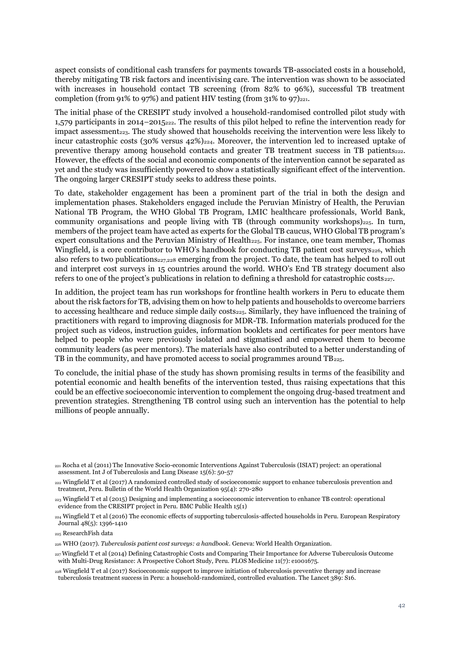aspect consists of conditional cash transfers for payments towards TB-associated costs in a household, thereby mitigating TB risk factors and incentivising care. The intervention was shown to be associated with increases in household contact TB screening (from 82% to 96%), successful TB treatment completion (from 91% to 97%) and patient HIV testing (from  $31\%$  to 97) $_{221}$ .

<span id="page-41-0"></span>The initial phase of the CRESIPT study involved a household-randomised controlled pilot study with 1,579 participants in 2014–2015222. The results of this pilot helped to refine the intervention ready for impact assessment<sub>223</sub>. The study showed that households receiving the intervention were less likely to incur catastrophic costs (30% versus  $42\%$ )<sub>224</sub>. Moreover, the intervention led to increased uptake of preventive therapy among household contacts and greater TB treatment success in TB patients<sub>[222](#page-41-0)</sub>. However, the effects of the social and economic components of the intervention cannot be separated as yet and the study was insufficiently powered to show a statistically significant effect of the intervention. The ongoing larger CRESIPT study seeks to address these points.

<span id="page-41-1"></span>To date, stakeholder engagement has been a prominent part of the trial in both the design and implementation phases. Stakeholders engaged include the Peruvian Ministry of Health, the Peruvian National TB Program, the WHO Global TB Program, LMIC healthcare professionals, World Bank, community organisations and people living with TB (through community workshops) $_{225}$ . In turn, members of the project team have acted as experts for the Global TB caucus, WHO Global TB program's expert consultations and the Peruvian Ministry of Health $_{225}$  $_{225}$  $_{225}$ . For instance, one team member, Thomas Wingfield, is a core contributor to WHO's handbook for conducting TB patient cost surveys $_{226}$ , which also refers to two publications<sub>227,228</sub> emerging from the project. To date, the team has helped to roll out and interpret cost surveys in 15 countries around the world. WHO's End TB strategy document also refers to one of the project's publications in relation to defining a threshold for catastrophic costs $_{227}$  $_{227}$  $_{227}$ .

<span id="page-41-2"></span>In addition, the project team has run workshops for frontline health workers in Peru to educate them about the risk factors for TB, advising them on how to help patients and households to overcome barriers to accessing healthcare and reduce simple daily costs $_{225}$  $_{225}$  $_{225}$ . Similarly, they have influenced the training of practitioners with regard to improving diagnosis for MDR-TB. Information materials produced for the project such as videos, instruction guides, information booklets and certificates for peer mentors have helped to people who were previously isolated and stigmatised and empowered them to become community leaders (as peer mentors). The materials have also contributed to a better understanding of TB in the community, and have promoted access to social programmes around TB<sub>[225](#page-41-1)</sub>.

To conclude, the initial phase of the study has shown promising results in terms of the feasibility and potential economic and health benefits of the intervention tested, thus raising expectations that this could be an effective socioeconomic intervention to complement the ongoing drug-based treatment and prevention strategies. Strengthening TB control using such an intervention has the potential to help millions of people annually.

<sup>221</sup> Rocha et al (2011) The Innovative Socio-economic Interventions Against Tuberculosis (ISIAT) project: an operational assessment. Int J of Tuberculosis and Lung Disease 15(6): 50-57

<sup>222</sup> Wingfield T et al (2017) A randomized controlled study of socioeconomic support to enhance tuberculosis prevention and treatment, Peru. Bulletin of the World Health Organization 95(4): 270-280

<sup>&</sup>lt;sup>223</sup> Wingfield T et al (2015) Designing and implementing a socioeconomic intervention to enhance TB control: operational evidence from the CRESIPT project in Peru. BMC Public Health 15(1)

<sup>&</sup>lt;sup>224</sup> Wingfield T et al (2016) The economic effects of supporting tuberculosis-affected households in Peru. European Respiratory Journal 48(5): 1396-1410

<sup>225</sup> ResearchFish data

<sup>226</sup> WHO (2017). *Tuberculosis patient cost surveys: a handbook*. Geneva: World Health Organization.

<sup>227</sup>Wingfield T et al (2014) Defining Catastrophic Costs and Comparing Their Importance for Adverse Tuberculosis Outcome with Multi-Drug Resistance: A Prospective Cohort Study, Peru. PLOS Medicine 11(7): e1001675.

<sup>228</sup> Wingfield T et al (2017) Socioeconomic support to improve initiation of tuberculosis preventive therapy and increase tuberculosis treatment success in Peru: a household-randomized, controlled evaluation. The Lancet 389: S16.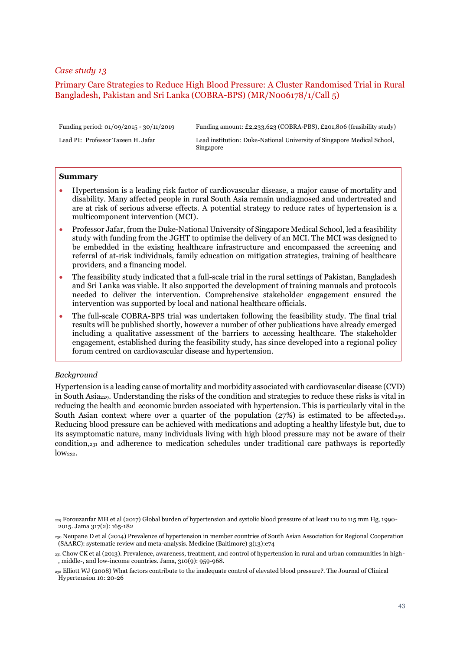# <span id="page-42-0"></span>Primary Care Strategies to Reduce High Blood Pressure: A Cluster Randomised Trial in Rural Bangladesh, Pakistan and Sri Lanka (COBRA-BPS) (MR/N006178/1/Call 5)

Funding period: 01/09/2015 - 30/11/2019 Funding amount: £2,233,623 (COBRA-PBS), £201,806 (feasibility study)

Lead PI: Professor Tazeen H. Jafar Lead institution: Duke-National University of Singapore Medical School, Singapore

#### **Summary**

- Hypertension is a leading risk factor of cardiovascular disease, a major cause of mortality and disability. Many affected people in rural South Asia remain undiagnosed and undertreated and are at risk of serious adverse effects. A potential strategy to reduce rates of hypertension is a multicomponent intervention (MCI).
- Professor Jafar, from the Duke-National University of Singapore Medical School, led a feasibility study with funding from the JGHT to optimise the delivery of an MCI. The MCI was designed to be embedded in the existing healthcare infrastructure and encompassed the screening and referral of at-risk individuals, family education on mitigation strategies, training of healthcare providers, and a financing model.
- The feasibility study indicated that a full-scale trial in the rural settings of Pakistan, Bangladesh and Sri Lanka was viable. It also supported the development of training manuals and protocols needed to deliver the intervention. Comprehensive stakeholder engagement ensured the intervention was supported by local and national healthcare officials.
- The full-scale COBRA-BPS trial was undertaken following the feasibility study. The final trial results will be published shortly, however a number of other publications have already emerged including a qualitative assessment of the barriers to accessing healthcare. The stakeholder engagement, established during the feasibility study, has since developed into a regional policy forum centred on cardiovascular disease and hypertension.

#### *Background*

Hypertension is a leading cause of mortality and morbidity associated with cardiovascular disease (CVD) in South Asia229. Understanding the risks of the condition and strategies to reduce these risks is vital in reducing the health and economic burden associated with hypertension. This is particularly vital in the South Asian context where over a quarter of the population ( $27\%$ ) is estimated to be affected<sub>230</sub>. Reducing blood pressure can be achieved with medications and adopting a healthy lifestyle but, due to its asymptomatic nature, many individuals living with high blood pressure may not be aware of their condition,<sup>231</sup> and adherence to medication schedules under traditional care pathways is reportedly  $low<sub>232</sub>$ .

<sup>229</sup> Forouzanfar MH et al (2017) Global burden of hypertension and systolic blood pressure of at least 110 to 115 mm Hg, 1990- 2015. Jama 317(2): 165-182

<sup>230</sup> Neupane D et al (2014) Prevalence of hypertension in member countries of South Asian Association for Regional Cooperation (SAARC): systematic review and meta-analysis. Medicine (Baltimore) 3(13):e74

<sup>231</sup> Chow CK et al (2013). Prevalence, awareness, treatment, and control of hypertension in rural and urban communities in high- , middle-, and low-income countries. Jama, 310(9): 959-968.

<sup>232</sup> Elliott WJ (2008) What factors contribute to the inadequate control of elevated blood pressure?. The Journal of Clinical Hypertension 10: 20-26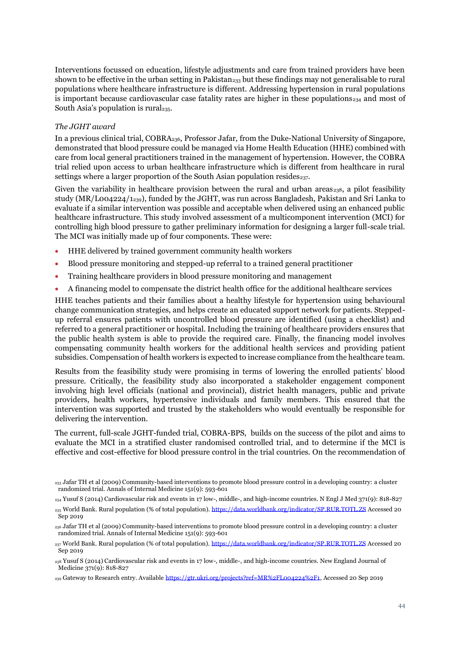Interventions focussed on education, lifestyle adjustments and care from trained providers have been shown to be effective in the urban setting in Pakistan<sub>233</sub> but these findings may not generalisable to rural populations where healthcare infrastructure is different. Addressing hypertension in rural populations is important because cardiovascular case fatality rates are higher in these populations $_{234}$  and most of South Asia's population is rural<sub>235</sub>.

# *The JGHT award*

In a previous clinical trial, COBRA236, Professor Jafar, from the Duke-National University of Singapore, demonstrated that blood pressure could be managed via Home Health Education (HHE) combined with care from local general practitioners trained in the management of hypertension. However, the COBRA trial relied upon access to urban healthcare infrastructure which is different from healthcare in rural settings where a larger proportion of the South Asian population resides $_{237}$ .

Given the variability in healthcare provision between the rural and urban areas $_{238}$ , a pilot feasibility study (MR/L004224/1239), funded by the JGHT, was run across Bangladesh, Pakistan and Sri Lanka to evaluate if a similar intervention was possible and acceptable when delivered using an enhanced public healthcare infrastructure. This study involved assessment of a multicomponent intervention (MCI) for controlling high blood pressure to gather preliminary information for designing a larger full-scale trial. The MCI was initially made up of four components. These were:

- HHE delivered by trained government community health workers
- Blood pressure monitoring and stepped-up referral to a trained general practitioner
- Training healthcare providers in blood pressure monitoring and management
- A financing model to compensate the district health office for the additional healthcare services

HHE teaches patients and their families about a healthy lifestyle for hypertension using behavioural change communication strategies, and helps create an educated support network for patients. Steppedup referral ensures patients with uncontrolled blood pressure are identified (using a checklist) and referred to a general practitioner or hospital. Including the training of healthcare providers ensures that the public health system is able to provide the required care. Finally, the financing model involves compensating community health workers for the additional health services and providing patient subsidies. Compensation of health workers is expected to increase compliance from the healthcare team.

Results from the feasibility study were promising in terms of lowering the enrolled patients' blood pressure. Critically, the feasibility study also incorporated a stakeholder engagement component involving high level officials (national and provincial), district health managers, public and private providers, health workers, hypertensive individuals and family members. This ensured that the intervention was supported and trusted by the stakeholders who would eventually be responsible for delivering the intervention.

The current, full-scale JGHT-funded trial, COBRA-BPS, builds on the success of the pilot and aims to evaluate the MCI in a stratified cluster randomised controlled trial, and to determine if the MCI is effective and cost-effective for blood pressure control in the trial countries. On the recommendation of

<sup>233</sup> Jafar TH et al (2009) Community-based interventions to promote blood pressure control in a developing country: a cluster randomized trial. Annals of Internal Medicine 151(9): 593-601

<sup>234</sup> Yusuf S (2014) Cardiovascular risk and events in 17 low-, middle-, and high-income countries. N Engl J Med 371(9): 818-827

<sup>235</sup> World Bank. Rural population (% of total population). <https://data.worldbank.org/indicator/SP.RUR.TOTL.ZS> Accessed 20 Sep 2019

<sup>236</sup> Jafar TH et al (2009) Community-based interventions to promote blood pressure control in a developing country: a cluster randomized trial. Annals of Internal Medicine 151(9): 593-601

<sup>&</sup>lt;sup>237</sup> World Bank. Rural population (% of total population). <https://data.worldbank.org/indicator/SP.RUR.TOTL.ZS> Accessed 20 Sep 2019

<sup>238</sup> Yusuf S (2014) Cardiovascular risk and events in 17 low-, middle-, and high-income countries. New England Journal of Medicine 371(9): 818-827

<sup>239</sup> Gateway to Research entry. Availabl[e https://gtr.ukri.org/projects?ref=MR%2FL004224%2F1,](https://gtr.ukri.org/projects?ref=MR%2FL004224%2F1) Accessed 20 Sep 2019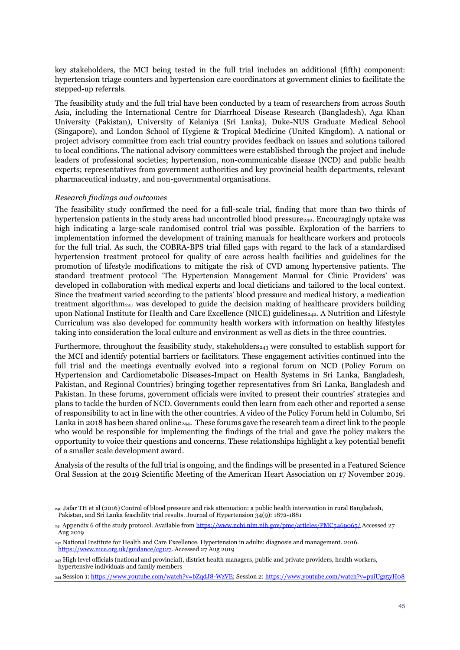key stakeholders, the MCI being tested in the full trial includes an additional (fifth) component: hypertension triage counters and hypertension care coordinators at government clinics to facilitate the stepped-up referrals.

The feasibility study and the full trial have been conducted by a team of researchers from across South Asia, including the International Centre for Diarrhoeal Disease Research (Bangladesh), Aga Khan University (Pakistan), University of Kelaniya (Sri Lanka), Duke-NUS Graduate Medical School (Singapore), and London School of Hygiene & Tropical Medicine (United Kingdom). A national or project advisory committee from each trial country provides feedback on issues and solutions tailored to local conditions. The national advisory committees were established through the project and include leaders of professional societies; hypertension, non-communicable disease (NCD) and public health experts; representatives from government authorities and key provincial health departments, relevant pharmaceutical industry, and non-governmental organisations.

#### *Research findings and outcomes*

The feasibility study confirmed the need for a full-scale trial, finding that more than two thirds of hypertension patients in the study areas had uncontrolled blood pressure<sub>240</sub>. Encouragingly uptake was high indicating a large-scale randomised control trial was possible. Exploration of the barriers to implementation informed the development of training manuals for healthcare workers and protocols for the full trial. As such, the COBRA-BPS trial filled gaps with regard to the lack of a standardised hypertension treatment protocol for quality of care across health facilities and guidelines for the promotion of lifestyle modifications to mitigate the risk of CVD among hypertensive patients. The standard treatment protocol 'The Hypertension Management Manual for Clinic Providers' was developed in collaboration with medical experts and local dieticians and tailored to the local context. Since the treatment varied according to the patients' blood pressure and medical history, a medication treatment algorithm<sub>241</sub> was developed to guide the decision making of healthcare providers building upon National Institute for Health and Care Excellence (NICE) guidelines<sub>242</sub>. A Nutrition and Lifestyle Curriculum was also developed for community health workers with information on healthy lifestyles taking into consideration the local culture and environment as well as diets in the three countries.

Furthermore, throughout the feasibility study, stakeholders $_{243}$  were consulted to establish support for the MCI and identify potential barriers or facilitators. These engagement activities continued into the full trial and the meetings eventually evolved into a regional forum on NCD (Policy Forum on Hypertension and Cardiometabolic Diseases-Impact on Health Systems in Sri Lanka, Bangladesh, Pakistan, and Regional Countries) bringing together representatives from Sri Lanka, Bangladesh and Pakistan. In these forums, government officials were invited to present their countries' strategies and plans to tackle the burden of NCD. Governments could then learn from each other and reported a sense of responsibility to act in line with the other countries. A video of the Policy Forum held in Columbo, Sri Lanka in 2018 has been shared online244. These forums gave the research team a direct link to the people who would be responsible for implementing the findings of the trial and gave the policy makers the opportunity to voice their questions and concerns. These relationships highlight a key potential benefit of a smaller scale development award.

Analysis of the results of the full trial is ongoing, and the findings will be presented in a Featured Science Oral Session at the 2019 Scientific Meeting of the American Heart Association on 17 November 2019.

<sup>240</sup> Jafar TH et al (2016) Control of blood pressure and risk attenuation: a public health intervention in rural Bangladesh, Pakistan, and Sri Lanka feasibility trial results. Journal of Hypertension 34(9): 1872-1881

<sup>&</sup>lt;sub>241</sub> Appendix 6 of the study protocol. Available fro[m https://www.ncbi.nlm.nih.gov/pmc/articles/PMC5469065/](https://www.ncbi.nlm.nih.gov/pmc/articles/PMC5469065/) Accessed 27 Aug 2019

<sup>242</sup> National Institute for Health and Care Excellence. Hypertension in adults: diagnosis and management. 2016. [https://www.nice.org.uk/guidance/cg127.](https://www.nice.org.uk/guidance/cg127) Accessed 27 Aug 2019

<sup>&</sup>lt;sup>243</sup> High level officials (national and provincial), district health managers, public and private providers, health workers, hypertensive individuals and family members

<sup>244</sup> Session 1[: https://www.youtube.com/watch?v=bZqdJ8-WzVE;](https://www.youtube.com/watch?v=bZqdJ8-WzVE) Session 2[: https://www.youtube.com/watch?v=puiUgz5yH08](https://www.youtube.com/watch?v=puiUgz5yH08)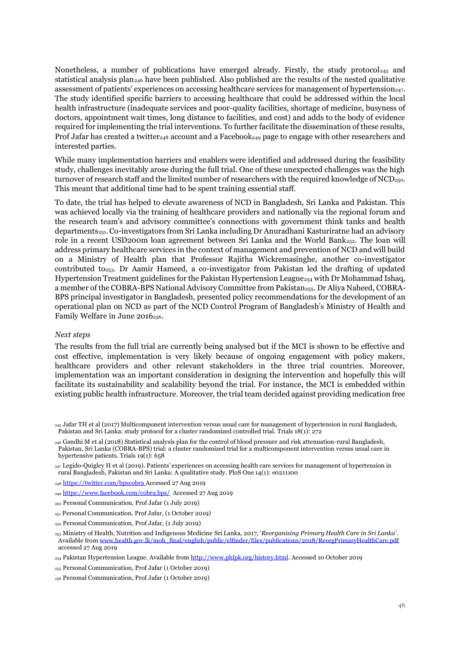Nonetheless, a number of publications have emerged already. Firstly, the study protocol<sub>245</sub> and statistical analysis plan<sup>246</sup> have been published. Also published are the results of the nested qualitative assessment of patients' experiences on accessing healthcare services for management of hypertension<sub>247</sub>. The study identified specific barriers to accessing healthcare that could be addressed within the local health infrastructure (inadequate services and poor-quality facilities, shortage of medicine, busyness of doctors, appointment wait times, long distance to facilities, and cost) and adds to the body of evidence required for implementing the trial interventions. To further facilitate the dissemination of these results, Prof Jafar has created a twitter<sub>248</sub> account and a Facebook<sub>249</sub> page to engage with other researchers and interested parties.

While many implementation barriers and enablers were identified and addressed during the feasibility study, challenges inevitably arose during the full trial. One of these unexpected challenges was the high turnover of research staff and the limited number of researchers with the required knowledge of  $NCD<sub>250</sub>$ . This meant that additional time had to be spent training essential staff.

To date, the trial has helped to elevate awareness of NCD in Bangladesh, Sri Lanka and Pakistan. This was achieved locally via the training of healthcare providers and nationally via the regional forum and the research team's and advisory committee's connections with government think tanks and health departments251.Co-investigators from Sri Lanka including Dr Anuradhani Kasturiratne had an advisory role in a recent USD200m loan agreement between Sri Lanka and the World Bank $_{252}$ . The loan will address primary healthcare services in the context of management and prevention of NCD and will build on a Ministry of Health plan that Professor Rajitha Wickremasinghe, another co-investigator contributed to<sub>253</sub>. Dr Aamir Hameed, a co-investigator from Pakistan led the drafting of updated Hypertension Treatment guidelines for the Pakistan Hypertension League $_{254}$  with Dr Mohammad Ishaq, a member of the COBRA-BPS National Advisory Committee from Pakistan<sub>255</sub>. Dr Aliya Naheed, COBRA-BPS principal investigator in Bangladesh, presented policy recommendations for the development of an operational plan on NCD as part of the NCD Control Program of Bangladesh's Ministry of Health and Family Welfare in June 2016<sub>256</sub>.

#### *Next steps*

The results from the full trial are currently being analysed but if the MCI is shown to be effective and cost effective, implementation is very likely because of ongoing engagement with policy makers, healthcare providers and other relevant stakeholders in the three trial countries. Moreover, implementation was an important consideration in designing the intervention and hopefully this will facilitate its sustainability and scalability beyond the trial. For instance, the MCI is embedded within existing public health infrastructure. Moreover, the trial team decided against providing medication free

 $_{247}$  Legido-Quigley H et al (2019). Patients' experiences on accessing health care services for management of hypertension in rural Bangladesh, Pakistan and Sri Lanka: A qualitative study. PloS One 14(1): e0211100

<sup>248</sup> <https://twitter.com/bpscobra> Accessed 27 Aug 2019

- <sup>249</sup> <https://www.facebook.com/cobra.bps/> Accessed 27 Aug 2019
- <sup>250</sup> Personal Communication, Prof Jafar (1 July 2019)
- <sup>251</sup> Personal Communication, Prof Jafar, (1 October 2019)
- <sup>252</sup> Personal Communication, Prof Jafar, (1 July 2019)
- <sup>253</sup> Ministry of Health, Nutrition and Indigenous Medicine Sri Lanka, 2017, '*Reorganising Primary Health Care in Sri Lanka'*. Available fro[m www.health.gov.lk/moh\\_final/english/public/elfinder/files/publications/2018/ReorgPrimaryHealthCare.pdf](http://www.health.gov.lk/moh_final/english/public/elfinder/files/publications/2018/ReorgPrimaryHealthCare.pdf) accessed 27 Aug 2019

- <sup>255</sup> Personal Communication, Prof Jafar (1 October 2019)
- <sup>256</sup> Personal Communication, Prof Jafar (1 October 2019)

<sup>245</sup> Jafar TH et al (2017) Multicomponent intervention versus usual care for management of hypertension in rural Bangladesh, Pakistan and Sri Lanka: study protocol for a cluster randomized controlled trial. Trials 18(1): 272

<sup>246</sup> Gandhi M et al (2018) Statistical analysis plan for the control of blood pressure and risk attenuation-rural Bangladesh, Pakistan, Sri Lanka (COBRA-BPS) trial: a cluster randomized trial for a multicomponent intervention versus usual care in hypertensive patients. Trials 19(1): 658

<sup>&</sup>lt;sup>254</sup> Pakistan Hypertension League. Available from [http://www.phlpk.org/history.html.](http://www.phlpk.org/history.html) Accessed 10 October 2019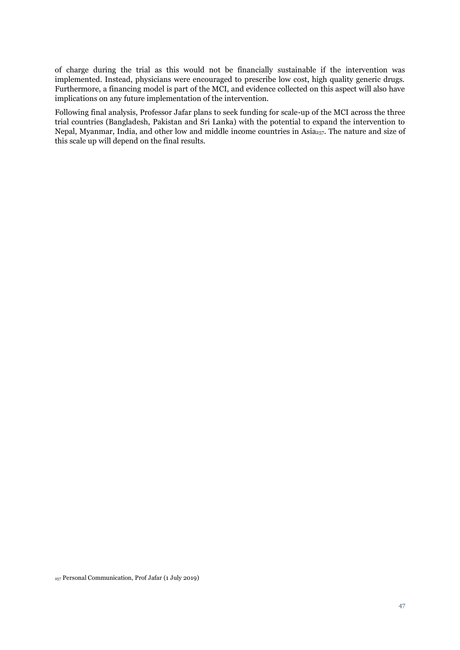of charge during the trial as this would not be financially sustainable if the intervention was implemented. Instead, physicians were encouraged to prescribe low cost, high quality generic drugs. Furthermore, a financing model is part of the MCI, and evidence collected on this aspect will also have implications on any future implementation of the intervention.

Following final analysis, Professor Jafar plans to seek funding for scale-up of the MCI across the three trial countries (Bangladesh, Pakistan and Sri Lanka) with the potential to expand the intervention to Nepal, Myanmar, India, and other low and middle income countries in Asia<sub>257</sub>. The nature and size of this scale up will depend on the final results.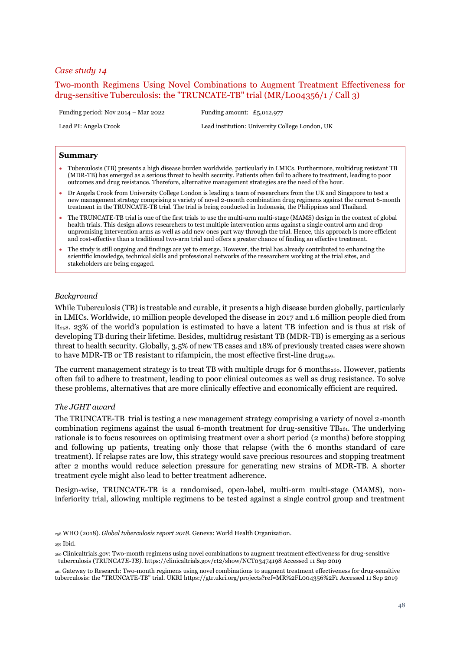# <span id="page-47-0"></span>Two-month Regimens Using Novel Combinations to Augment Treatment Effectiveness for drug-sensitive Tuberculosis: the "TRUNCATE-TB" trial (MR/L004356/1 / Call 3)

Funding period: Nov 2014 – Mar 2022 Funding amount: £5,012,977

Lead PI: Angela Crook Lead institution: University College London, UK

#### **Summary**

- Tuberculosis (TB) presents a high disease burden worldwide, particularly in LMICs. Furthermore, multidrug resistant TB (MDR-TB) has emerged as a serious threat to health security. Patients often fail to adhere to treatment, leading to poor outcomes and drug resistance. Therefore, alternative management strategies are the need of the hour.
- Dr Angela Crook from University College London is leading a team of researchers from the UK and Singapore to test a new management strategy comprising a variety of novel 2-month combination drug regimens against the current 6-month treatment in the TRUNCATE-TB trial. The trial is being conducted in Indonesia, the Philippines and Thailand.
- The TRUNCATE-TB trial is one of the first trials to use the multi-arm multi-stage (MAMS) design in the context of global health trials. This design allows researchers to test multiple intervention arms against a single control arm and drop unpromising intervention arms as well as add new ones part way through the trial. Hence, this approach is more efficient and cost-effective than a traditional two-arm trial and offers a greater chance of finding an effective treatment.
- The study is still ongoing and findings are yet to emerge. However, the trial has already contributed to enhancing the scientific knowledge, technical skills and professional networks of the researchers working at the trial sites, and stakeholders are being engaged.

## *Background*

While Tuberculosis (TB) is treatable and curable, it presents a high disease burden globally, particularly in LMICs. Worldwide, 10 million people developed the disease in 2017 and 1.6 million people died from it258. 23% of the world's population is estimated to have a latent TB infection and is thus at risk of developing TB during their lifetime. Besides, multidrug resistant TB (MDR-TB) is emerging as a serious threat to health security. Globally, 3.5% of new TB cases and 18% of previously treated cases were shown to have MDR-TB or TB resistant to rifampicin, the most effective first-line drug<sub>259</sub>.

<span id="page-47-1"></span>The current management strategy is to treat TB with multiple drugs for 6 months $_{260}$ . However, patients often fail to adhere to treatment, leading to poor clinical outcomes as well as drug resistance. To solve these problems, alternatives that are more clinically effective and economically efficient are required.

#### *The JGHT award*

The TRUNCATE-TB trial is testing a new management strategy comprising a variety of novel 2-month combination regimens against the usual 6-month treatment for drug-sensitive  $TB<sub>261</sub>$ . The underlying rationale is to focus resources on optimising treatment over a short period (2 months) before stopping and following up patients, treating only those that relapse (with the 6 months standard of care treatment). If relapse rates are low, this strategy would save precious resources and stopping treatment after 2 months would reduce selection pressure for generating new strains of MDR-TB. A shorter treatment cycle might also lead to better treatment adherence.

Design-wise, TRUNCATE-TB is a randomised, open-label, multi-arm multi-stage (MAMS), noninferiority trial, allowing multiple regimens to be tested against a single control group and treatment

<sup>258</sup> WHO (2018). *Global tuberculosis report 2018*. Geneva: World Health Organization.

<sup>259</sup> Ibid.

<sup>261</sup> Gateway to Research: Two-month regimens using novel combinations to augment treatment effectiveness for drug-sensitive tuberculosis: the "TRUNCATE-TB" trial. UKRI https://gtr.ukri.org/projects?ref=MR%2FL004356%2F1 Accessed 11 Sep 2019

<sup>260</sup> Clinicaltrials.gov: Two-month regimens using novel combinations to augment treatment effectiveness for drug-sensitive tuberculosis (TRUNC*ATE-TB)*. https://clinicaltrials.gov/ct2/show/NCT03474198 Accessed 11 Sep 2019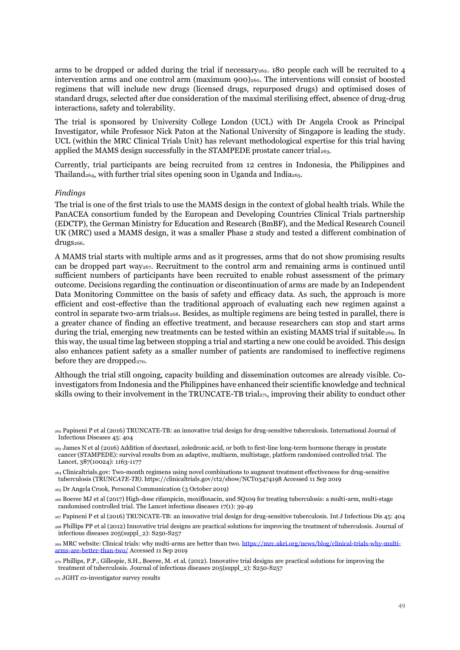arms to be dropped or added during the trial if necessary $_{262}$ . 180 people each will be recruited to 4 intervention arms and one control arm (maximum 900)<sub>[260](#page-47-1)</sub>. The interventions will consist of boosted regimens that will include new drugs (licensed drugs, repurposed drugs) and optimised doses of standard drugs, selected after due consideration of the maximal sterilising effect, absence of drug-drug interactions, safety and tolerability.

The trial is sponsored by University College London (UCL) with Dr Angela Crook as Principal Investigator, while Professor Nick Paton at the National University of Singapore is leading the study. UCL (within the MRC Clinical Trials Unit) has relevant methodological expertise for this trial having applied the MAMS design successfully in the STAMPEDE prostate cancer trial<sub>263</sub>.

Currently, trial participants are being recruited from 12 centres in Indonesia, the Philippines and Thailand<sub>264</sub>, with further trial sites opening soon in Uganda and India<sub>265</sub>.

#### *Findings*

The trial is one of the first trials to use the MAMS design in the context of global health trials. While the PanACEA consortium funded by the European and Developing Countries Clinical Trials partnership (EDCTP), the German Ministry for Education and Research (BmBF), and the Medical Research Council UK (MRC) used a MAMS design, it was a smaller Phase 2 study and tested a different combination of drugs<sub>266</sub>.

A MAMS trial starts with multiple arms and as it progresses, arms that do not show promising results can be dropped part way267. Recruitment to the control arm and remaining arms is continued until sufficient numbers of participants have been recruited to enable robust assessment of the primary outcome. Decisions regarding the continuation or discontinuation of arms are made by an Independent Data Monitoring Committee on the basis of safety and efficacy data. As such, the approach is more efficient and cost-effective than the traditional approach of evaluating each new regimen against a control in separate two-arm trials<sub>268</sub>. Besides, as multiple regimens are being tested in parallel, there is a greater chance of finding an effective treatment, and because researchers can stop and start arms during the trial, emerging new treatments can be tested within an existing MAMS trial if suitable<sub>269</sub>. In this way, the usual time lag between stopping a trial and starting a new one could be avoided. This design also enhances patient safety as a smaller number of patients are randomised to ineffective regimens before they are dropped $_{270}$ .

Although the trial still ongoing, capacity building and dissemination outcomes are already visible. Coinvestigators from Indonesia and the Philippines have enhanced their scientific knowledge and technical skills owing to their involvement in the TRUNCATE-TB trial271, improving their ability to conduct other

<sup>262</sup> Papineni P et al (2016) TRUNCATE-TB: an innovative trial design for drug-sensitive tuberculosis. International Journal of Infectious Diseases 45: 404

<sup>263</sup> James N et al (2016) Addition of docetaxel, zoledronic acid, or both to first-line long-term hormone therapy in prostate cancer (STAMPEDE): survival results from an adaptive, multiarm, multistage, platform randomised controlled trial. The Lancet, 387(10024): 1163-1177

<sup>264</sup> Clinicaltrials.gov: Two-month regimens using novel combinations to augment treatment effectiveness for drug-sensitive tuberculosis (TRUNC*ATE-TB)*. https://clinicaltrials.gov/ct2/show/NCT03474198 Accessed 11 Sep 2019

<sup>265</sup> Dr Angela Crook, Personal Communication (3 October 2019)

<sup>266</sup> Boeree MJ et al (2017) High-dose rifampicin, moxifloxacin, and SQ109 for treating tuberculosis: a multi-arm, multi-stage randomised controlled trial. The Lancet infectious diseases 17(1): 39-49

<sup>267</sup> Papineni P et al (2016) TRUNCATE-TB: an innovative trial design for drug-sensitive tuberculosis. Int J Infectious Dis 45: 404

<sup>268</sup> Phillips PP et al (2012) Innovative trial designs are practical solutions for improving the treatment of tuberculosis. Journal of infectious diseases 205(suppl\_2): S250-S257

<sup>269</sup> MRC website: Clinical trials: why multi-arms are better than two[. https://mrc.ukri.org/news/blog/clinical-trials-why-multi](https://mrc.ukri.org/news/blog/clinical-trials-why-multi-arms-are-better-than-two/)[arms-are-better-than-two/](https://mrc.ukri.org/news/blog/clinical-trials-why-multi-arms-are-better-than-two/) Accessed 11 Sep 2019

<sup>270</sup> Phillips, P.P., Gillespie, S.H., Boeree, M. et al. (2012). Innovative trial designs are practical solutions for improving the treatment of tuberculosis. Journal of infectious diseases 205(suppl\_2): S250-S257

<sup>271</sup> JGHT co-investigator survey results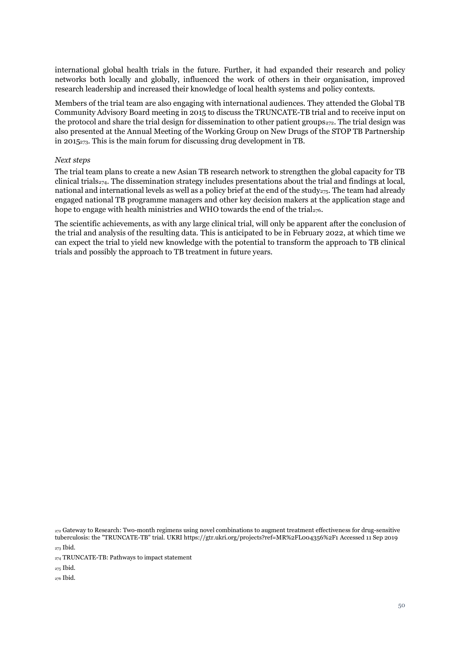international global health trials in the future. Further, it had expanded their research and policy networks both locally and globally, influenced the work of others in their organisation, improved research leadership and increased their knowledge of local health systems and policy contexts.

Members of the trial team are also engaging with international audiences. They attended the Global TB Community Advisory Board meeting in 2015 to discuss the TRUNCATE-TB trial and to receive input on the protocol and share the trial design for dissemination to other patient groups<sub>272</sub>. The trial design was also presented at the Annual Meeting of the Working Group on New Drugs of the STOP TB Partnership in 2015273. This is the main forum for discussing drug development in TB.

#### *Next steps*

The trial team plans to create a new Asian TB research network to strengthen the global capacity for TB clinical trials<sub>274</sub>. The dissemination strategy includes presentations about the trial and findings at local, national and international levels as well as a policy brief at the end of the study<sub>275</sub>. The team had already engaged national TB programme managers and other key decision makers at the application stage and hope to engage with health ministries and WHO towards the end of the trial<sub>276</sub>.

The scientific achievements, as with any large clinical trial, will only be apparent after the conclusion of the trial and analysis of the resulting data. This is anticipated to be in February 2022, at which time we can expect the trial to yield new knowledge with the potential to transform the approach to TB clinical trials and possibly the approach to TB treatment in future years.

<sup>272</sup> Gateway to Research: Two-month regimens using novel combinations to augment treatment effectiveness for drug-sensitive tuberculosis: the "TRUNCATE-TB" trial. UKRI https://gtr.ukri.org/projects?ref=MR%2FL004356%2F1 Accessed 11 Sep 2019

<sup>273</sup> Ibid.

<sup>275</sup> Ibid.

<sup>276</sup> Ibid.

<sup>274</sup> TRUNCATE-TB: Pathways to impact statement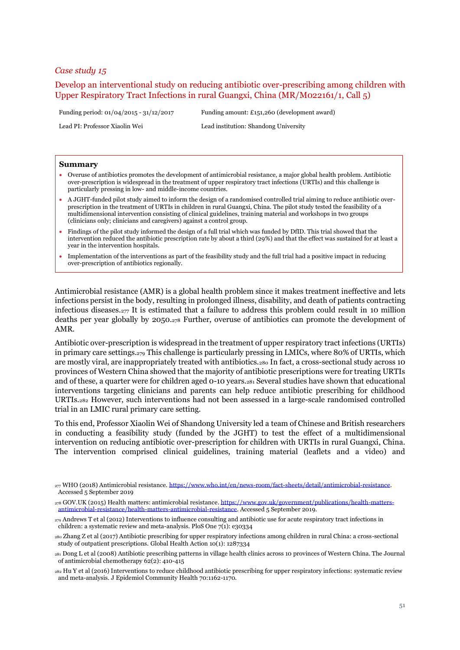# <span id="page-50-0"></span>Develop an interventional study on reducing antibiotic over-prescribing among children with Upper Respiratory Tract Infections in rural Guangxi, China (MR/M022161/1, Call 5)

Funding period: 01/04/2015 - 31/12/2017 Funding amount: £151,260 (development award)

Lead PI: Professor Xiaolin Wei Lead institution: Shandong University

#### **Summary**

- Overuse of antibiotics promotes the development of antimicrobial resistance, a major global health problem. Antibiotic over-prescription is widespread in the treatment of upper respiratory tract infections (URTIs) and this challenge is particularly pressing in low- and middle-income countries.
- A JGHT-funded pilot study aimed to inform the design of a randomised controlled trial aiming to reduce antibiotic overprescription in the treatment of URTIs in children in rural Guangxi, China. The pilot study tested the feasibility of a multidimensional intervention consisting of clinical guidelines, training material and workshops in two groups (clinicians only; clinicians and caregivers) against a control group.
- Findings of the pilot study informed the design of a full trial which was funded by DfID. This trial showed that the intervention reduced the antibiotic prescription rate by about a third (29%) and that the effect was sustained for at least a year in the intervention hospitals.
- Implementation of the interventions as part of the feasibility study and the full trial had a positive impact in reducing over-prescription of antibiotics regionally.

Antimicrobial resistance (AMR) is a global health problem since it makes treatment ineffective and lets infections persist in the body, resulting in prolonged illness, disability, and death of patients contracting infectious diseases.<sub>277</sub> It is estimated that a failure to address this problem could result in 10 million deaths per year globally by 2050.<sup>278</sup> Further, overuse of antibiotics can promote the development of AMR.

Antibiotic over-prescription is widespread in the treatment of upper respiratory tract infections (URTIs) in primary care settings.<sup>279</sup> This challenge is particularly pressing in LMICs, where 80% of URTIs, which are mostly viral, are inappropriately treated with antibiotics.<sup>280</sup> In fact, a cross-sectional study across 10 provinces of Western China showed that the majority of antibiotic prescriptions were for treating URTIs and of these, a quarter were for children aged 0-10 years.<sup>281</sup> Several studies have shown that educational interventions targeting clinicians and parents can help reduce antibiotic prescribing for childhood URTIs.<sup>282</sup> However, such interventions had not been assessed in a large-scale randomised controlled trial in an LMIC rural primary care setting.

To this end, Professor Xiaolin Wei of Shandong University led a team of Chinese and British researchers in conducting a feasibility study (funded by the JGHT) to test the effect of a multidimensional intervention on reducing antibiotic over-prescription for children with URTIs in rural Guangxi, China. The intervention comprised clinical guidelines, training material (leaflets and a video) and

<sup>282</sup> Hu Y et al (2016) Interventions to reduce childhood antibiotic prescribing for upper respiratory infections: systematic review and meta-analysis. J Epidemiol Community Health 70:1162-1170.

<sup>&</sup>lt;sup>277</sup> WHO (2018) Antimicrobial resistance. [https://www.who.int/en/news-room/fact-sheets/detail/antimicrobial-resistance.](https://www.who.int/en/news-room/fact-sheets/detail/antimicrobial-resistance) Accessed 5 September 2019

<sup>278</sup> GOV.UK (2015) Health matters: antimicrobial resistance. [https://www.gov.uk/government/publications/health-matters](https://www.gov.uk/government/publications/health-matters-antimicrobial-resistance/health-matters-antimicrobial-resistance)[antimicrobial-resistance/health-matters-antimicrobial-resistance.](https://www.gov.uk/government/publications/health-matters-antimicrobial-resistance/health-matters-antimicrobial-resistance) Accessed 5 September 2019.

<sup>279</sup> Andrews T et al (2012) Interventions to influence consulting and antibiotic use for acute respiratory tract infections in children: a systematic review and meta-analysis. PloS One  $7(1)$ : e30334

<sup>280</sup> Zhang Z et al (2017) Antibiotic prescribing for upper respiratory infections among children in rural China: a cross-sectional study of outpatient prescriptions. Global Health Action 10(1): 1287334

<sup>281</sup> Dong L et al (2008) Antibiotic prescribing patterns in village health clinics across 10 provinces of Western China. The Journal of antimicrobial chemotherapy 62(2): 410-415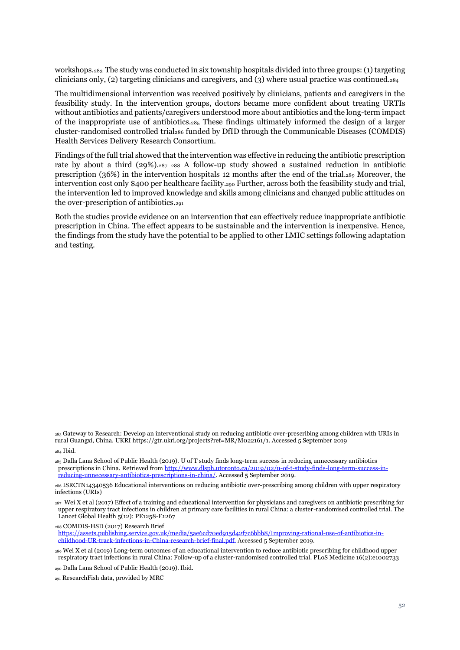workshops.<sup>283</sup> The study was conducted in six township hospitals divided into three groups: (1) targeting clinicians only, (2) targeting clinicians and caregivers, and (3) where usual practice was continued.<sup>284</sup>

The multidimensional intervention was received positively by clinicians, patients and caregivers in the feasibility study. In the intervention groups, doctors became more confident about treating URTIs without antibiotics and patients/caregivers understood more about antibiotics and the long-term impact of the inappropriate use of antibiotics. $285$  These findings ultimately informed the design of a larger cluster-randomised controlled trial<sup>286</sup> funded by DfID through the Communicable Diseases (COMDIS) Health Services Delivery Research Consortium.

Findings of the full trial showed that the intervention was effective in reducing the antibiotic prescription rate by about a third (29%).<sup>287</sup> <sup>288</sup> A follow-up study showed a sustained reduction in antibiotic prescription (36%) in the intervention hospitals 12 months after the end of the trial.<sup>289</sup> Moreover, the intervention cost only \$400 per healthcare facility.<sup>290</sup> Further, across both the feasibility study and trial, the intervention led to improved knowledge and skills among clinicians and changed public attitudes on the over-prescription of antibiotics.<sup>291</sup>

Both the studies provide evidence on an intervention that can effectively reduce inappropriate antibiotic prescription in China. The effect appears to be sustainable and the intervention is inexpensive. Hence, the findings from the study have the potential to be applied to other LMIC settings following adaptation and testing.

<sup>283</sup> Gateway to Research: Develop an interventional study on reducing antibiotic over-prescribing among children with URIs in rural Guangxi, China*.* UKRI https://gtr.ukri.org/projects?ref=MR/M022161/1. Accessed 5 September 2019

<sup>284</sup> Ibid.

<sup>285</sup> Dalla Lana School of Public Health (2019). U of T study finds long-term success in reducing unnecessary antibiotics prescriptions in China. Retrieved fro[m http://www.dlsph.utoronto.ca/2019/02/u-of-t-study-finds-long-term-success-in](http://www.dlsph.utoronto.ca/2019/02/u-of-t-study-finds-long-term-success-in-reducing-unnecessary-antibiotics-prescriptions-in-china/)[reducing-unnecessary-antibiotics-prescriptions-in-china/.](http://www.dlsph.utoronto.ca/2019/02/u-of-t-study-finds-long-term-success-in-reducing-unnecessary-antibiotics-prescriptions-in-china/) Accessed 5 September 2019.

<sup>286</sup> ISRCTN14340536 Educational interventions on reducing antibiotic over-prescribing among children with upper respiratory infections (URIs)

<sup>287</sup> Wei X et al (2017) Effect of a training and educational intervention for physicians and caregivers on antibiotic prescribing for upper respiratory tract infections in children at primary care facilities in rural China: a cluster-randomised controlled trial. The Lancet Global Health 5(12): PE1258-E1267

<sup>288</sup> COMDIS-HSD (2017) Research Brief [https://assets.publishing.service.gov.uk/media/5ae6cd70ed915d42f7c6bbb8/Improving-rational-use-of-antibiotics-in](https://assets.publishing.service.gov.uk/media/5ae6cd70ed915d42f7c6bbb8/Improving-rational-use-of-antibiotics-in-childhood-UR-track-infections-in-China-research-brief-final.pdf)[childhood-UR-track-infections-in-China-research-brief-final.pdf.](https://assets.publishing.service.gov.uk/media/5ae6cd70ed915d42f7c6bbb8/Improving-rational-use-of-antibiotics-in-childhood-UR-track-infections-in-China-research-brief-final.pdf) Accessed 5 September 2019.

<sup>289</sup> Wei X et al (2019) Long-term outcomes of an educational intervention to reduce antibiotic prescribing for childhood upper respiratory tract infections in rural China: Follow-up of a cluster-randomised controlled trial. PLoS Medicine 16(2):e1002733

<sup>290</sup> Dalla Lana School of Public Health (2019). Ibid.

<sup>291</sup> ResearchFish data, provided by MRC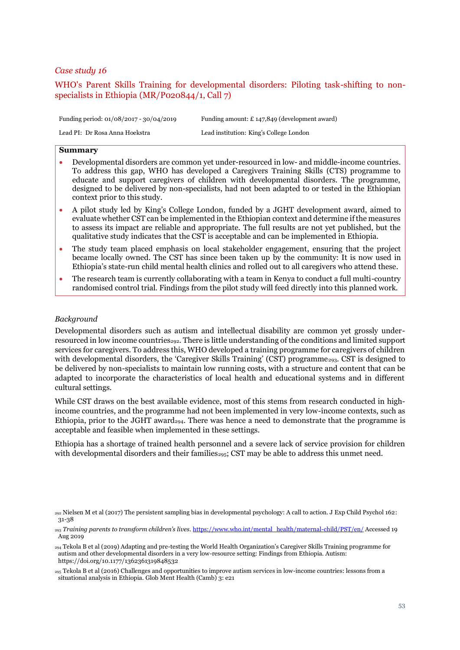# <span id="page-52-0"></span>WHO's Parent Skills Training for developmental disorders: Piloting task-shifting to nonspecialists in Ethiopia (MR/P020844/1, Call 7)

Funding period: 01/08/2017 - 30/04/2019 Funding amount: £ 147,849 (development award)

Lead PI: Dr Rosa Anna Hoekstra Lead institution: King's College London

# **Summary**

- Developmental disorders are common yet under-resourced in low- and middle-income countries. To address this gap, WHO has developed a Caregivers Training Skills (CTS) programme to educate and support caregivers of children with developmental disorders. The programme, designed to be delivered by non-specialists, had not been adapted to or tested in the Ethiopian context prior to this study.
- A pilot study led by King's College London, funded by a JGHT development award, aimed to evaluate whether CST can be implemented in the Ethiopian context and determine if the measures to assess its impact are reliable and appropriate. The full results are not yet published, but the qualitative study indicates that the CST is acceptable and can be implemented in Ethiopia.
- The study team placed emphasis on local stakeholder engagement, ensuring that the project became locally owned. The CST has since been taken up by the community: It is now used in Ethiopia's state-run child mental health clinics and rolled out to all caregivers who attend these.
- The research team is currently collaborating with a team in Kenya to conduct a full multi-country randomised control trial. Findings from the pilot study will feed directly into this planned work.

## *Background*

Developmental disorders such as autism and intellectual disability are common yet grossly underresourced in low income countries<sub>292</sub>. There is little understanding of the conditions and limited support services for caregivers. To address this, WHO developed a training programme for caregivers of children with developmental disorders, the 'Caregiver Skills Training' (CST) programme<sub>293</sub>. CST is designed to be delivered by non-specialists to maintain low running costs, with a structure and content that can be adapted to incorporate the characteristics of local health and educational systems and in different cultural settings.

While CST draws on the best available evidence, most of this stems from research conducted in highincome countries, and the programme had not been implemented in very low-income contexts, such as Ethiopia, prior to the JGHT award<sub>294</sub>. There was hence a need to demonstrate that the programme is acceptable and feasible when implemented in these settings.

Ethiopia has a shortage of trained health personnel and a severe lack of service provision for children with developmental disorders and their families<sub>295</sub>; CST may be able to address this unmet need.

<sup>294</sup> Tekola B et al (2019) Adapting and pre-testing the World Health Organization's Caregiver Skills Training programme for autism and other developmental disorders in a very low-resource setting: Findings from Ethiopia. Autism: https://doi.org/10.1177/1362361319848532

 $_{292}$  Nielsen M et al (2017) The persistent sampling bias in developmental psychology: A call to action. J Exp Child Psychol 162: 31-38

<sup>293</sup> *Training parents to transform children's lives.* [https://www.who.int/mental\\_health/maternal-child/PST/en/](https://www.who.int/mental_health/maternal-child/PST/en/) Accessed 19 Aug 2019

<sup>295</sup> Tekola B et al (2016) Challenges and opportunities to improve autism services in low-income countries: lessons from a situational analysis in Ethiopia. Glob Ment Health (Camb) 3: e21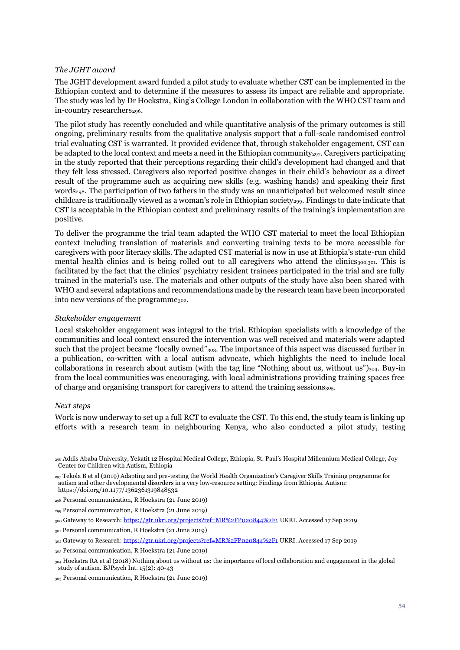## *The JGHT award*

The JGHT development award funded a pilot study to evaluate whether CST can be implemented in the Ethiopian context and to determine if the measures to assess its impact are reliable and appropriate. The study was led by Dr Hoekstra, King's College London in collaboration with the WHO CST team and in-country researchers<sub>296</sub>.

The pilot study has recently concluded and while quantitative analysis of the primary outcomes is still ongoing, preliminary results from the qualitative analysis support that a full-scale randomised control trial evaluating CST is warranted. It provided evidence that, through stakeholder engagement, CST can be adapted to the local context and meets a need in the Ethiopian community<sub>297</sub>. Caregivers participating in the study reported that their perceptions regarding their child's development had changed and that they felt less stressed. Caregivers also reported positive changes in their child's behaviour as a direct result of the programme such as acquiring new skills (e.g. washing hands) and speaking their first words<sub>298</sub>. The participation of two fathers in the study was an unanticipated but welcomed result since childcare is traditionally viewed as a woman's role in Ethiopian society<sub>299</sub>. Findings to date indicate that CST is acceptable in the Ethiopian context and preliminary results of the training's implementation are positive.

To deliver the programme the trial team adapted the WHO CST material to meet the local Ethiopian context including translation of materials and converting training texts to be more accessible for caregivers with poor literacy skills. The adapted CST material is now in use at Ethiopia's state-run child mental health clinics and is being rolled out to all caregivers who attend the clinics<sub>300,301</sub>. This is facilitated by the fact that the clinics' psychiatry resident trainees participated in the trial and are fully trained in the material's use. The materials and other outputs of the study have also been shared with WHO and several adaptations and recommendations made by the research team have been incorporated into new versions of the programme<sub>302</sub>.

## *Stakeholder engagement*

Local stakeholder engagement was integral to the trial. Ethiopian specialists with a knowledge of the communities and local context ensured the intervention was well received and materials were adapted such that the project became "locally owned"<sub>303</sub>. The importance of this aspect was discussed further in a publication, co-written with a local autism advocate, which highlights the need to include local collaborations in research about autism (with the tag line "Nothing about us, without us") $304$ . Buy-in from the local communities was encouraging, with local administrations providing training spaces free of charge and organising transport for caregivers to attend the training sessions<sub>305</sub>.

#### *Next steps*

Work is now underway to set up a full RCT to evaluate the CST. To this end, the study team is linking up efforts with a research team in neighbouring Kenya, who also conducted a pilot study, testing

<sup>297</sup> Tekola B et al (2019) Adapting and pre-testing the World Health Organization's Caregiver Skills Training programme for autism and other developmental disorders in a very low-resource setting: Findings from Ethiopia. Autism: https://doi.org/10.1177/1362361319848532

<sup>296</sup> Addis Ababa University, Yekatit 12 Hospital Medical College, Ethiopia, St. Paul's Hospital Millennium Medical College, Joy Center for Children with Autism, Ethiopia

<sup>298</sup> Personal communication, R Hoekstra (21 June 2019)

<sup>299</sup> Personal communication, R Hoekstra (21 June 2019)

<sup>300</sup> Gateway to Research:<https://gtr.ukri.org/projects?ref=MR%2FP020844%2F1> UKRI. Accessed 17 Sep 2019

<sup>301</sup> Personal communication, R Hoekstra (21 June 2019)

<sup>302</sup> Gateway to Research[: https://gtr.ukri.org/projects?ref=MR%2FP020844%2F1](https://gtr.ukri.org/projects?ref=MR%2FP020844%2F1) UKRI. Accessed 17 Sep 2019

<sup>303</sup> Personal communication, R Hoekstra (21 June 2019)

<sup>304</sup> Hoekstra RA et al (2018) Nothing about us without us: the importance of local collaboration and engagement in the global study of autism. BJPsych Int. 15(2): 40-43

<sup>305</sup> Personal communication, R Hoekstra (21 June 2019)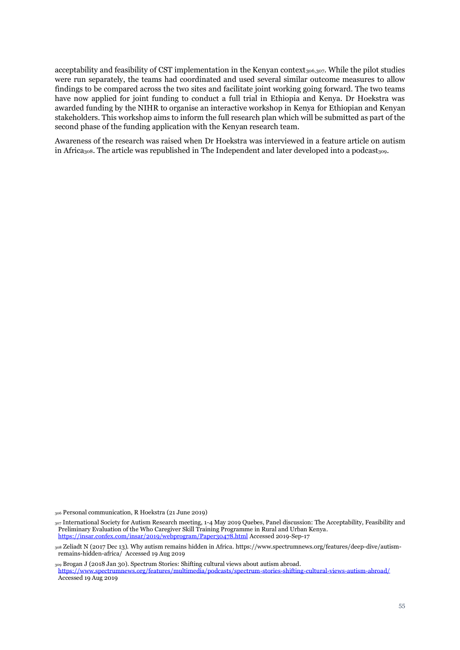acceptability and feasibility of CST implementation in the Kenyan context<sub>306,307</sub>. While the pilot studies were run separately, the teams had coordinated and used several similar outcome measures to allow findings to be compared across the two sites and facilitate joint working going forward. The two teams have now applied for joint funding to conduct a full trial in Ethiopia and Kenya. Dr Hoekstra was awarded funding by the NIHR to organise an interactive workshop in Kenya for Ethiopian and Kenyan stakeholders. This workshop aims to inform the full research plan which will be submitted as part of the second phase of the funding application with the Kenyan research team.

Awareness of the research was raised when Dr Hoekstra was interviewed in a feature article on autism in Africa<sub>308</sub>. The article was republished in The Independent and later developed into a podcast<sub>309</sub>.

<sup>306</sup> Personal communication, R Hoekstra (21 June 2019)

<sup>307</sup> International Society for Autism Research meeting, 1-4 May 2019 Quebes, Panel discussion: The Acceptability, Feasibility and Preliminary Evaluation of the Who Caregiver Skill Training Programme in Rural and Urban Kenya. <https://insar.confex.com/insar/2019/webprogram/Paper30478.html> Accessed 2019-Sep-17

<sup>308</sup> Zeliadt N (2017 Dec 13). Why autism remains hidden in Africa*.* https://www.spectrumnews.org/features/deep-dive/autismremains-hidden-africa/ Accessed 19 Aug 2019

<sup>309</sup> Brogan J (2018 Jan 30). Spectrum Stories: Shifting cultural views about autism abroad. <https://www.spectrumnews.org/features/multimedia/podcasts/spectrum-stories-shifting-cultural-views-autism-abroad/> Accessed 19 Aug 2019